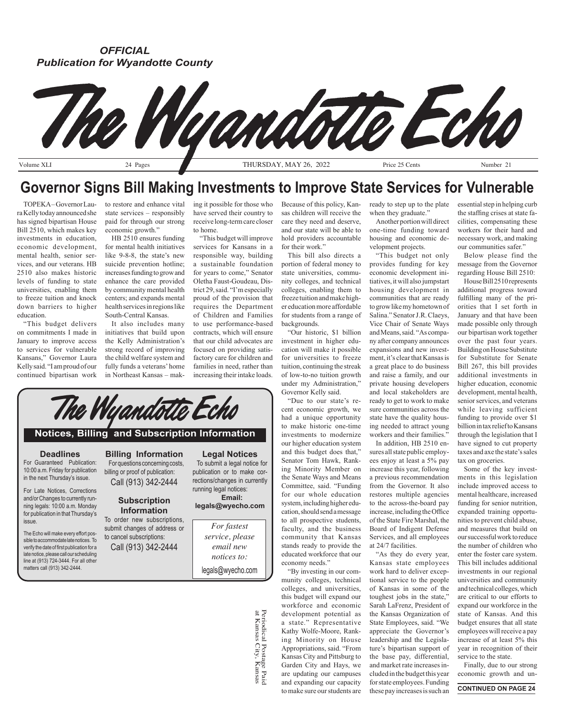# *OFFICIAL Publication for Wyandotte County*



# **Governor Signs Bill Making Investments to Improve State Services for Vulnerable**

ra Kelly today announced she has signed bipartisan House Bill 2510, which makes key investments in education, economic development, mental health, senior services, and our veterans. HB 2510 also makes historic levels of funding to state universities, enabling them to freeze tuition and knock down barriers to higher education.

"This budget delivers on commitments I made in January to improve access to services for vulnerable Kansans," Governor Laura Kelly said. "I am proud of our continued bipartisan work

state services – responsibly paid for through our strong economic growth."

HB 2510 ensures funding for mental health initiatives like 9-8-8, the state's new suicide prevention hotline; increases funding to grow and enhance the care provided by community mental health centers; and expands mental health services in regions like South-Central Kansas.

It also includes many initiatives that build upon the Kelly Administration's strong record of improving the child welfare system and fully funds a veterans' home in Northeast Kansas – mak-

TOPEKA – Governor Lau-to restore and enhance vital ing it possible for those who Because of this policy, Kanhave served their country to receive long-term care closer to home.

> "This budget will improve services for Kansans in a responsible way, building a sustainable foundation for years to come," Senator Oletha Faust-Goudeau, District 29, said. "I'm especially proud of the provision that requires the Department of Children and Families to use performance-based contracts, which will ensure that our child advocates are focused on providing satisfactory care for children and families in need, rather than increasing their intake loads.

sas children will receive the care they need and deserve, and our state will be able to hold providers accountable

for their work." This bill also directs a portion of federal money to state universities, community colleges, and technical colleges, enabling them to freeze tuition and make higher education more affordable for students from a range of **backgrounds** 

"Our historic, \$1 billion investment in higher education will make it possible for universities to freeze tuition, continuing the streak of low-to-no tuition growth under my Administration," Governor Kelly said.

"Due to our state's recent economic growth, we had a unique opportunity to make historic one-time investments to modernize our higher education system and this budget does that," Senator Tom Hawk, Ranking Minority Member on the Senate Ways and Means Committee, said. "Funding for our whole education system, including higher education, should send a message to all prospective students, faculty, and the business community that Kansas stands ready to provide the educated workforce that our economy needs."

"By investing in our community colleges, technical colleges, and universities, this budget will expand our workforce and economic development potential as a state." Representative Kathy Wolfe-Moore, Ranking Minority on House Appropriations, said. "From Kansas City and Pittsburg to Garden City and Hays, we are updating our campuses and expanding our capacity to make sure our students are ready to step up to the plate when they graduate."

Another portion will direct one-time funding toward housing and economic development projects.

"This budget not only provides funding for key economic development initiatives, it will also jumpstart housing development in communities that are ready to grow like my hometown of Salina." Senator J.R. Claeys, Vice Chair of Senate Ways and Means, said. "As company after company announces expansions and new investment, it's clear that Kansas is a great place to do business and raise a family, and our private housing developers and local stakeholders are ready to get to work to make sure communities across the state have the quality housing needed to attract young workers and their families."

In addition, HB 2510 ensures all state public employees enjoy at least a 5% pay increase this year, following a previous recommendation from the Governor. It also restores multiple agencies to the across-the-board pay increase, including the Office of the State Fire Marshal, the Board of Indigent Defense Services, and all employees at 24/7 facilities.

"As they do every year, Kansas state employees work hard to deliver exceptional service to the people of Kansas in some of the toughest jobs in the state," Sarah LaFrenz, President of the Kansas Organization of State Employees, said. "We appreciate the Governor's leadership and the Legislature's bipartisan support of the base pay, differential, and market rate increases included in the budget this year for state employees. Funding these pay increases is such an essential step in helping curb the staffing crises at state facilities, compensating these workers for their hard and necessary work, and making our communities safer."

Below please find the message from the Governor regarding House Bill 2510:

House Bill 2510 represents additional progress toward fulfilling many of the priorities that I set forth in January and that have been made possible only through our bipartisan work together over the past four years. Building on House Substitute for Substitute for Senate Bill 267, this bill provides additional investments in higher education, economic development, mental health, senior services, and veterans while leaving sufficient funding to provide over \$1 billion in tax relief to Kansans through the legislation that I have signed to cut property taxes and axe the state's sales tax on groceries.

Some of the key investments in this legislation include improved access to mental healthcare, increased funding for senior nutrition, expanded training opportunities to prevent child abuse, and measures that build on our successful work to reduce the number of children who enter the foster care system. This bill includes additional investments in our regional universities and community and technical colleges, which are critical to our efforts to expand our workforce in the state of Kansas. And this budget ensures that all state employees will receive a pay increase of at least 5% this year in recognition of their service to the state.

Finally, due to our strong economic growth and un-

**CONTINUED ON PAGE 24**

**Deadlines Notices, Billing and Subscription Information Legal Notices Billing Information**

The Wyandotte Echi

# For Guaranteed Publication:

10:00 a.m. Friday for publication in the next Thursday's issue.

For Late Notices, Corrections and/or Changes to currently running legals: 10:00 a.m. Monday for publication in that Thursday's issue.

The Echo will make every effort possible to accommodate late notices. To verify the date of first publication for a late notice, please call our scheduling line at (913) 724-3444. For all other matters call (913) 342-2444.

For questions concerning costs, billing or proof of publication: Call (913) 342-2444

# **Subscription Information**

To order new subscriptions, submit changes of address or to cancel subscriptions: Call (913) 342-2444

To submit a legal notice for publication or to make corrections/changes in currently running legal notices: **Email:**

**legals@wyecho.com**

*For fastest service, please email new notices to:* legals@wyecho.com

> Periodical Postage Paic<br>at Kansas City, Kansas Periodical Postage Paid at Kansas City, Kansas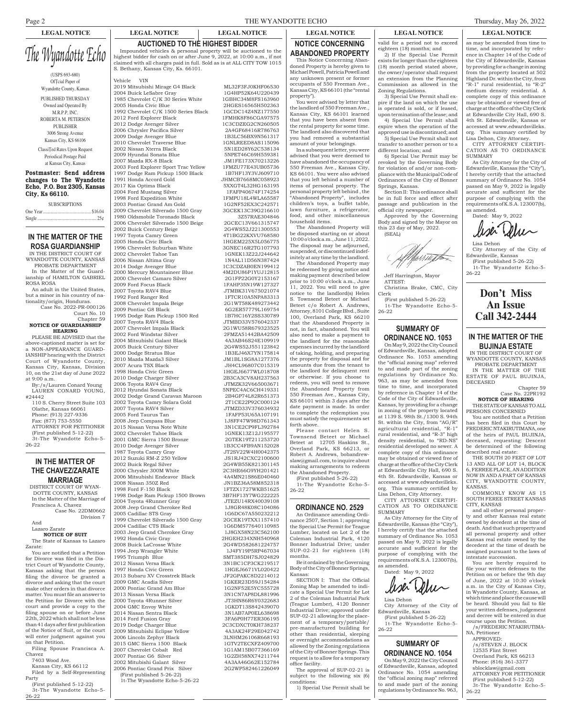# Page 2 THE WYANDOTTE ECHO Thursday, May 26, 2022

**AUCTIONED TO THE HIGHEST BIDDER** Impounded vehicles & personal property will be auctioned to the highest bidder for cash on or after June 9, 2022, at 10:00 a.m., if not

# **LEGAL NOTICE LEGAL NOTICE LEGAL NOTICE LEGAL NOTICE LEGAL NOTICE LEGAL NOTICE**

valid for a period not to exceed eighteen (18) months; and 2) If the Special Use Permit

exists for longer than the eighteen (18) month period stated above, the owner/operator shall request an extension from the Planning Commission as allowed in the

3) Special Use Permit shall expire if the land on which the use is operated is sold, or if leased, upon termination of the lease; and 4) Special Use Permit shall expire when the operation of the approved use is discontinued; and 5) Special Use Permit shall not transfer to another person or to a different location; and

6) Special Use Permit may be revoked by the Governing Body for violation of and/or non-compliance with the Municipal Code of Ordinances of the City of Bonner

Section II: This ordinance shall be in full force and effect after passage and publication in the official city newspaper.

Approved by the Governing Body and signed by the Mayor on

Zoning Regulations.

Springs, Kansas.

as may be amended from time to time, and incorporated by reference in Chapter 14 of the Code of the City of Edwardsville, Kansas by providing for a change in zoning from the property located at 502 Highland Dr. within the City, from "R-1" rural residential, to "R-2" medium density residential. A complete copy of this ordinance may be obtained or viewed free of charge at the office of the City Clerk at Edwardsville City Hall, 690 S. 4th St. Edwardsville, Kansas or accessed at www.edwardsvilleks. org. This summary certified by Lisa Dehon, City Attorney.

CITY ATTORNEY CERTIFI-CATION AS TO ORDINANCE SUMMARY

As City Attorney for the City of Edwardsville, Kansas (the "City"), I hereby certify that the attached summary of Ordinance No. 1054 passed on May 9, 2022 is legally accurate and sufficient for the purpose of complying with the requirements of K.S.A.123007(b), as amended.

Dated: May 9, 2022

Lisa Dehon City Attorney of the City of Edwardsville, Kansas (First published 5-26-22) 1t-The Wyandotte Echo-5-

26-22

**Don't Miss An Issue Call 342-2444**

# **IN THE MATTER OF THE BUJINJA ESTATE**

IN THE DISTRICT COURT OF WYANDOTTE COUNTY, KANSAS PROBATE DEPARTMENT

IN THE MATTER OF THE ESTATE OF PAUL BUJINJA, DECEASED

#### Chapter 59 Case No. 22PR192

**NOTICE OF HEARING** THE STATE OF KANSAS TO ALL PERSONS CONCERNED

You are notified that a Petition has been filed in this Court by FREDERIC NTAKIRUTIMANA, one of the heirs of PAUL BUJINJA, deceased, requesting: Descent be determined of the following described real estate:

THE SOUTH 20 FEET OF LOT 13 AND ALL OF LOT 14, BLOCK 6, FERREE PLACE, AN ADDITION NOW IN AND A PART OF KANSAS CITY, WYANDOTTE COUNTY, KANSAS.

COMMONLY KNOW AS 15 SOUTH FEREE STREET KANSAS CITY, KANSAS

and all other personal property and other Kansas real estate owned by decedent at the time of death. And that such property and all personal property and other Kansas real estate owned by the decedent at the time of death be assigned pursuant to the laws of intestate succession.

You are hereby required to file your written defenses to the Petition on or before the 9th day of June, 2022 at 10:30 o'clock a.m. in the City of Kansas City, in Wyandotte County, Kansas, at which time and place the cause will be heard. Should you fail to file your written defenses, judgement and decree will be entered in due course upon the Petition.

/s/FREDERIC NTAKIRUTIMA-NA, Petitioner APPROVED: /s/STEVEN J. BLOCK 12535 Flint Street Overland Park, KS 66213 Phone: (816) 361-3377 sblocklaw@gmail.com ATTORNEY FOR PETITIONER (First published 5-12-22) 3t-The Wyandotte Echo-5- 26-22

*The Wyandotte Echo* (USPS 693-680) Official Paper of Wyandotte County, Kansas PUBLISHED THURSDAY Owned and Operated By M.R.P.P, INC. ROBERTA M. PETERSON PUBLISHER 3006 Strong Avenue Kansas City, KS 66106 Classified Rates Upon Request Periodical Postage Paid at Kansas City, Kansas Postmaster: Send address changes to The Wyandotte Echo, P.O. Box 2305, Kansas claimed with all charges paid in full. Sold as is at ALL CITY TOW 1015 S. Bethany, Kansas City, Ks. 66101.

**SUBSCRIPTIONS** 

City, Ks 66110.

# **IN THE MATTER OF THE ROSA GUARDIANSHIP**

IN THE DISTRICT COURT OF WYANDOTTE COUNTY, KANSAS PROBATE DEPARTMENT In the Matter of the Guard-

ianship of HAMILTON GABRIEL ROSA ROSA An adult in the United States,

but a minor in his country of nationality/origin, Honduras. Case No. 2022-PR-000126

Court No. 10 Chapter 59

**NOTICE OF GUARDIANSHIP HEARING**

PLEASE BE ADVISED that the above-captioned matter is set for a NON-APPEARANCE GUARD-IANSHIP hearing with the District Court of Wyandotte County, Kansas City, Kansas, Division 10, on the 21st day of June 2022 at 9:00 a.m. By:/s/Lauren Conard Young

LAUREN CONARD YOUNG, #24442 110 S. Cherry Street Suite 103 Olathe, Kansas 66061 Phone: (913) 227-9336 Fax: (877) 753-5550 ATTORNEY FOR PETITIONER

(First published 5-12-22) 3t-The Wyandotte Echo-5- 26-22

# **IN THE MATTER OF THE CHAVEZ/ZARATE MARRIAGE**

DISTRICT COURT OF WYAN-DOTTE COUNTY, KANSAS In the Matter of the Marriage of Francisca A. Chavez Case No. 22DM0662

Division 7 And

Lazaro Zarate

**NOTICE OF SUIT** The State of Kansas to Lazaro Zarate:

You are notified that a Petition for Divorce was filed in the District Court of Wyandotte County, Kansas asking that the person filing the divorce be granted a divorce and asking that the court make other orders in that divorce matter. You must file an answer to the Petition for Divorce with the court and provide a copy to the filing spouse on or before June 22th, 2022 which shall not be less than 41 days after first publication of the Notice of Suit, or the court will enter judgment against you on that Petition.

Filing Spouse Francisca A. Chavez

- 7403 Wood Ave.
- Kansas City, KS 66112 Filed by a Self-Representing

Party (First published 5-12-22) 3t-The Wyandotte Echo-5-

26-22

Vehicle VIN 2019 Mitsubishi Mirage G4 Black ML32F3FJ0KHF06530 2004 Buick LeSabre Gray 1G4HP52K64U220439 1985 Chevrolet C/K 30 Series White 1GBHC34M8FS163960 2005 Honda Civic Blue 2HGES16565H502363<br>1992 Chevrolet C/K 1500 Series Black 1GCDC14Z4NZ177550<br>2012 Ford Explorer Black 1FMHK8F86CGA97575 1992 Chevrolet C/K 1500 Series Black 1GCDC14Z4NZ177550 2012 Ford Explorer Black 1FMHK8F86CGA97575 2012 Dodge Avenger Silver 1C3CDZEG2CN260505<br>2006 Chrysler Pacifica Silver 2A4GF68416R786763 2006 Chrysler Pacifica Silver 2A4GF68416R786763 2009 Dodge Avenger Blue 2010 Chevrolet Traverse Blue 1GNLREED8AS115096 2002 Nissan Xterra Black 5N1ED28Y62C538134 2009 Hyundai Sonata Blue 5NPET46C69H559381 2007 Mazda RX-8 Black JM1FE173X70213226 2003 Ford Explorer Sport Trac Yellow 1997 Dodge Ram Pickup 1500 Black 1B7HF13Y3VJ609710 1991 Honda Accord Gold JHMCB7668MC058923 2017 Kia Optima Black 5XXGT4L32HG163195 2004 Ford Mustang Silver 1FAFP40674F174254 1998 Ford Expedition White 2003 Pontiac Grand Am Gold 1G2NF52EX3C242571<br>2009 Chevrolet Silverado 1500 Gray 3GCEK13C39G216610 2009 Chevrolet Silverado 1500 Gray 3GCEK13C39G216610<br>1980 Oldsmobile Toronado Black 3Z57RAE304846<br>2006 Chevrolet Silverado 1500 Beige 2GCEC13V661315747 1980 Oldsmobile Toronado Black 3Z57RAE304846 2006 Chevrolet Silverado 1500 Beige 2GCEC13V661315747 2002 Buick Century Beige 2G4WS52J221300553 1997 Toyota Camry Green 4T1BG22KXVU768580 2005 Honda Civic Black 1HGEM225X5L056775 1996 Chevrolet Suburban White 3GNEC16R2TG107793 2002 Chevrolet Tahoe Tan 1GNEK13Z22J244642 2006 Nissan Altima Gray 1N4AL11D56N387424 2014 Dodge Avenger Blue 1C3CDZAB0EN199412 2000 Mercury Mountaineer Blue 4M2DU86P1YUJ12815<br>2000 Chevrolet Camaro Silver 2G1FP22G0Y2153167 2000 Chevrolet Camaro Silver 2G1FP22G0Y2153167 2009 Ford Focus Black 1FAHP35N19W127327 2007 Toyota RAV4 Blue JTMBK31V675021074 1992 Ford Ranger Red 1FTCR10A5NPA83313 2008 Chevrolet Impala Beige 2G1WT58K489273442 2009 Pontiac G8 Black 6G2ER57779L169754 1995 Dodge Ram Pickup 1500 Red 1B7HC16Y2SS330789 2007 Toyota RAV4 Black JTMBD33V576042337<br>2007 Chevrolet Impala Black 2G1WU58R679323525 2007 Chevrolet Impala Black 2G1WU58R679323525 2002 Ford Windstar Silver 2FMZA51442BA42509 2004 Mitsubishi Galant Black 4A3AB46S24E109919 2005 Buick Century Silver 2G4WS52J551123842<br>2005 Buick Century Silver 2G4WS52J551123842<br>2000 Dodge Stratus Blue 1B3EJ46X7YN175814 2000 Dodge Stratus Blue 1B3EJ46X7YN175814<br>2010 Mazda Mazda3 Silver 1 M1BL1SG8A1277376 2010 Mazda Mazda3 Silver JM1BL1SG8A1277376 2007 Acura TSX Black 1998 Honda Civic Green 1HGEJ6677WL018708<br>2010 Dodge Charger Silver 2B3CA3CV8AH237563 2010 Dodge Charger Silver 2B3CA3CV8AH237563<br>2006 Tovota RAV4 Gray 2006 7.TMZK32V665003671 2006 Toyota RAV4 Gray JTMZK32V665003671 2012 Hyundai Sonata Black 5NPEC4AC6CH419331<br>2002 Dodge Grand Caravan Maroon 2R4GP74L82R651373 2002 Dodge Grand Caravan Maroon 2B4GP74L82R651373 2002 Toyota Camry Solara Gold 2T1CE22P92C000124 2007 Toyota RAV4 Silver JTMZD33V376034932 2005 Ford Taurus Tan 1FAFP53U65A107191 2008 Jeep Compass Blue 1J8FF47W98D761343<br>2015 Nissan Versa Note White 3N1CE2CP9FL392784 2015 Nissan Versa Note White 3N1CE2CP9FL392784 2002 Chevrolet Tahoe Black 1GNEK13Z12J195577<br>2001 GMC Sierra 1500 Bronze 2GTEK19T211253720 2001 GMC Sierra 1500 Bronze 2010 Dodge Avenger Silver 1B3CC4FB9AN152028 1987 Toyota Camry Gray <br>
2012 Suzuki RM-Z 250 Yellow JS1R.I42CXC2100600 2012 Suzuki RM-Z 250 Yellow<br>2002 Buick Regal Silver 2000 Chrysler 300M White 2006 Mitsubishi Endeavor Black 4A4MN21S86E040460 1998 Ford F-150 Black 1FTZX1727WKB51625<br>1998 Dodge Ram Pickup 1500 Brown 3B7HF13Y7WG222225 1998 Dodge Ram Pickup 1500 Brown 3B7HF13Y7WG222225 2004 Toyota 4Runner Gray JTEZU14RX40039108 2008 Jeep Grand Cherokee Red 1J8GR48K08C104086 2005 Cadillac STS Gray 1G6DC67A550232212<br>1999 Chevrolet Silverado 1500 Gray 2GCEK19TXX1157410 1999 Chevrolet Silverado 1500 Gray 2GCEK19TXX1157410 2004 Cadillac CTS Black 1G6DM577640110985<br>2003 Jeen Grand Cherokee Gray 1J8GX58N23C562100 2003 Jeep Grand Cherokee Gray<br>1992 Honda Civic Grav 2008 Buick LaCrosse White 2G4WD582681224757 1994 Jeep Wrangler White<br>1995 Triumph Blue 2012 Nissan Versa Black 3N1BC1CP3CK219517 1997 Honda Civic Green 1HGEJ6671VL020422<br>2013 Subaru XV Crosstrek Black JF2GPAKC8D2214012 2013 Subaru XV Crosstrek Black 2009 GMC Acadia Silver 1GKER23D59J154284<br>2000 Pontiac Grand Am Blue 1G2NF52E5YC555728 2000 Pontiac Grand Am Blue 1G2NF52E5YC555728<br>2013 Nissan Versa Black 3N1CN7AP8DL881996 2013 Nissan Versa Black 3N1CN7AP8DL881996 2000 Toyota 4Runner Silver JT3HN86R6Y0322683 2004 GMC Envoy White 1GKDT13S842439070<br>2014 Nissan Sentra Black 2011 3N1AB7AP0EL638698 2014 Nissan Sentra Black 3N1AB7AP0EL638698 2014 Ford Fusion Gray 2019 Dodge Charger Blue 2C3CDXCT0KH738237<br>2009 Mitsubishi Eclipse Yellow 4A3AK24F29E042742 2009 Mitsubishi Eclipse Yellow 4A3AK24F29E042742 2006 Lincoln Zephyr Black 3LNHM26106R668193<br>2015 GMC Sierra 1500 Black 1GTV2TECXFZ409700 2015 GMC Sierra 1500 Black 1GTV2TECXFZ409700 2007 Chevrolet Cobalt Red 2007 Pontiac G6 Silver 1G2ZH58NX74211744 2002 Mitubishi Galant Silver 4A3AA46G62E152784 2006 Pontiac Grand Prix Silver

(First published 5-26-22) 1t-The Wyandotte Echo-5-26-22

2002 Buick Regal Silver 2G4WB55K821301145<br>2C3HE66G9YH201421 JN1BZ36A58M852318<br>1FTZX1727WKB51625 2HGEH234XNH540968<br>2G4WD582681224757 1995 SMT385DH7SJ024829

#### **ABANDONED PROPERTY** This Notice Concerning Abandoned Property is hereby given to Michael Powell, Patricia Powell and any unknown present or former occupants of 550 Freeman Ave., Kansas City, KS 66101 (the "rental property").

**NOTICE CONCERNING** 

You were advised by letter that the landlord of 550 Freeman Ave., Kansas City, KS 66101 learned that you have been absent from the rental property for some time. The landlord also discovered that you had removed a substantial amount of your belongings.

In a subsequent letter, you were advised that you were deemed to have abandoned the occupancy of 550 Freeman Ave., Kansas City, KS 66101. You were also advised that you left behind a number of items of personal property. The personal property left behind , the "Abandoned Property", includes children's toys, a buffet table, lawn furniture, a refrigerator, food, and other miscellaneous household items.

The Abandoned Property will be disposed starting on or about 10:00 o'clock a.m., June 11, 2022. The disposal may be adjourned, suspended, or discontinued indefinitely at any time by the landlord.

The Abandoned Property may be redeemed by giving notice and making payment described below prior to 10:00 o'clock a.m., June 11, 2022. You will need to give notice to the landlord(s) Helen S. Townsend Beteet or Michael Beteet c/o Robert A. Andrews, Attorney, 8101 College Blvd., Suite 100, Overland Park, KS 66210 that the Abandoned Property is not, in fact, abandoned. You will also need to make a payment to the landlord for the reasonable expenses incurred by the landlord of taking, holding, and preparing the property for disposal and for amounts due from the tenant to the landlord for delinquent rent or otherwise. If you choose to redeem, you will need to remove the Abandoned Property from 550 Freeman Ave., Kansas City, KS 66101 within 3 days after the date payment is made. In order to complete the redemption you must satisfy the requirements set forth above.

Please contact Helen S. Townsend Beteet or Michael Beteet at 12705 Haskins St., Overland Park, KS 66213, or Robert A. Andrews, bobandrewslaw@gmail.com, to inquire about making arrangements to redeem the Abandoned Property.

(First published 5-26-22) 1t-The Wyandotte Echo-5- 26-22

# **ORDINANCE NO. 2529**

An Ordinance amending Ordinance 2507, Section 1; approving the Special Use Permit for Teague Lumber, located on Lot 2 of the Coleman Industrial Park, 4120 Bonner Industrial Drive; under SUP-02-21 for eighteen (18) months.

Be it ordained by the Governing Body of the City of Bonner Springs, Kansas:

SECTION I: That the Official Zoning Map be amended to indicate a Special Use Permit for Lot 2 of the Coleman Industrial Park (Teague Lumber), 4120 Bonner Industrial Drive; approved under SUP-02-21 allowing for the placement of a temporary/portable/ pre-manufactured building for other than residential, sleeping or overnight accommodations as allowed by the Zoning regulations of the City of Bonner Springs. This request is to allow for a temporary office facility.

The approval of SUP-02-21 is subject to the following six (6) conditions:

1) Special Use Permit shall be

this 23 day of May, 2022. (SEAL) Ner 1 The Te

Jeff Harrington, Mayor ATTEST: Christina Brake, CMC, City Clerk

(First published 5-26-22) 1t-The Wyandotte Echo-5- 26-22

# **SUMMARY OF ORDINANCE NO. 1053**

On May 9, 2022 the City Council of Edwardsville, Kansas, adopted Ordinance No. 1053 amending the "official zoning map" referred to and made part of the zoning regulations by Ordinance No. 963, as may be amended from time to time, and incorporated by reference in Chapter 14 of the Code of the City of Edwardsville, Kansas, by providing for a change in zoning of the property located at 1139 S. 98th St./1300 S. 94th St. within the City, from "AG/R" agricultural residential, "R-1" rural residential, and "R-3" high density residential, to "RD-NS" residential developed no sewer. A complete copy of this ordinance may be obtained or viewed free of charge at the office of the City Clerk at Edwardsville City Hall, 690 S. 4th St. Edwardsville, Kansas or accessed at www.edwardsvilleks. org. This summary certified by Lisa Dehon, City Attorney.

CITY ATTORNEY CERTIFI-CATION AS TO ORDINANCE **SUMMARY** 

As City Attorney for the City of Edwardsville, Kansas (the "City"), I hereby certify that the attached summary of Ordinance No. 1053 passed on May 9, 2022 is legally accurate and sufficient for the<br>purpose of complying with the purpose of complying requirements of K.S.A.123007(b),



Lisa Dehon

26-22

City Attorney of the City of Edwardsville, Kansas (First published 5-26-22) 1t-The Wyandotte Echo-5-

# **SUMMARY OF**

On May 9, 2022 the City Council of Edwardsville, Kansas, adopted Ordinance No. 1054 amending the "official zoning map" referred to and made part of the zoning regulations by Ordinance No. 963,

as amended. Dated: May 9, 2022 liser Delu

# **ORDINANCE NO. 1054**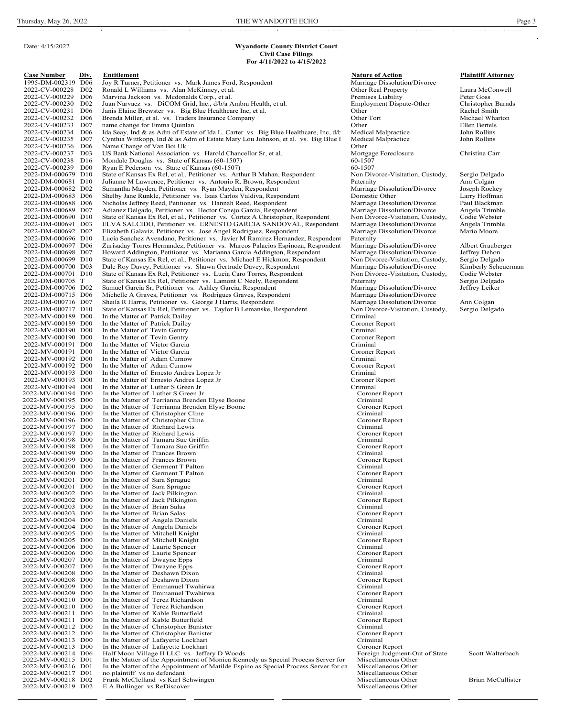### **Wyandotte County District Court Civil Case Filings For 4/11/2022 to 4/15/2022**

Date: 4/15/2022

**Case Number Div. Div. Entitlement**<br>
1995-DM-002319 D06 Joy R Turner, Petitioner vs. Mark James Ford, Respondent Marriage Dissolution/Divorce Plaintiff Attorney<br>
2022-CV-000228 D02 Ronald L Williams vs. Alan McKinney, 1997 - Joy R Turner, Petitioner vs. Mark James Ford, Respondent Marriage Dissolution<br>
1997 - Mark Joseph Mark James Ford, Respondent Marriage Dissolution<br>
1997 - Other Real Property 2022-CV-000228 D02 Ronald L Williams vs. Alan McKinney, et al. Converting the Converting Converting Converting Converting Converting Converting Converting Converting Converting Converting Converting Converting Converting C 2022-CV-000229 D06 Marvina Jackson vs. Mcdonalds Corp., et al. Premises Liability Peter Goss Peter Goss Peter Goss<br>2022-CV-000230 D02 Juan Narvaez vs. DiCOM Grid, Inc., d/b/a Ambra Health, et al. Premises Liability Peter G 2022-CV-000230 D02 Juan Narvaez vs. DiCOM Grid, Inc., d/b/a Ambra Health, et al. 2022-CV-000231 D06 Janis Elaine Brewster vs. Big Blue Healthcare Inc. et al. 2022-CV-000231 D06 Janis Elaine Brewster vs. Big Blue Healthcare Inc, et al. Other Chernet Communication of the Rachel Smith 2022-CV-000232 D06 Brenda Miller, et al. vs. Traders Insurance Company Other Tort Michael Wharton 2022-CV-000233 D07 name change for Emma Quinlan<br>2022-CV-000234 D06 Ida Seay, Ind & as Adm of Estate of Ida L. Carter vs. Big Blue Healthcare, Inc. d/t Medical Malpractice John Rollins 2022-CV-000234 D06 Ida Seay, Ind & as Adm of Estate of Ida L. Carter vs. Big Blue Healthcare, Inc, d/t Medical Malpractice John Rollins 2022-CV-000235 D07 Cynthia Wittkopp, Ind & as Adm of Estate Mary Lou Johnson, et al. v 2022-CV-000235 D07 Cynthia Wittkopp, Ind & as Adm of Estate Mary Lou Johnson, et al. vs. Big Blue I Medical Malpractice Johnson, et al. vs. Big Blue I Medical Malpractice Van Boi Uk 2022-CV-000236 D06 Name Change of Van Boi Uk<br>2022-CV-000237 D03 US Bank National Association vs. Harold Chancellor Sr, et al. Mortgage Foreclosure 2022-CV-000237 D03 US Bank National Association vs. Harold Chancellor Sr, et al. Mortgage Foreclosure Christina Carr<br>2022-CV-000238 D16 Mondale Douglas vs. State of Kansas (60-1507) 60-1507 60-1507 2022-CV-000238 D16 Mondale Douglas vs. State of Kansas (60-1507) 60-1507 60-1507<br>2022-CV-000239 D00 Ryan E Pederson vs. State of Kansas (60-1507) 60-1507 60-1507 2022-CV-000239 D00 Ryan E Pederson vs. State of Kansas (60-1507) 60-1507 60-1507 60-1507 60-1507 60-1507 60-1507<br>2022-DM-000679 D10 State of Kansas Ex Rel, et al., Petitioner vs. Arthur B Mahan, Respondent Non Divorce-Visi 2022-DM-000679 D10 State of Kansas Ex Rel, et al., Petitioner vs. Arthur B Mahan, Respondent Non Divorce-Visitation, Custody, Sergio Delgado 2022-DM-000681 D10 Julianne M Lawrence, Petitioner vs. Antonio R. Brown, Responde 2022-DM-000681 D10 Julianne M Lawrence, Petitioner vs. Antonio R. Brown, Respondent Paternity Paternity Ann Colgan<br>2022-DM-000682 D02 Samantha Mayden, Petitioner vs. Ryan Mayden, Respondent Marriage Dissolution/Divorce Jos 2022-DM-000682 D02 Samantha Mayden, Petitioner vs. Ryan Mayden, Respondent Marriage Dissolution/Divorce Joseph Rockey<br>2022-DM-000683 D06 Shelby Jane Runkle, Petitioner vs. Isais Carlos Valdiva, Respondent Domestic Other La 2022-DM-000683 D06 Shelby Jane Runkle, Petitioner vs. Isais Carlos Valdiva, Respondent Domestic Other Larry Hoffman<br>2022-DM-000688 D06 Nicholas Jeffrey Reed, Petitioner vs. Hannah Reed, Respondent Marriage Dissolution/Divo 2022-DM-000688 D06 Nicholas Jeffrey Reed, Petitioner vs. Hannah Reed, Respondent Marriage Dissolution/Divorce Paul Blackman<br>2022-DM-000689 D07 Adianez Delgado, Petitioner vs. Hector Conejo Garcia, Respondent Marriage Disso 2022-DM-000689 D07 Adianez Delgado, Petitioner vs. Hector Conejo Garcia, Respondent Marriage Dissolution/Divorce Angela Trimble 2022-DM-000690 D10 State of Kansas Ex Rel, et al., Petitioner vs. Cortez A Christopher, Respondent Non Divorce-Visitation, Custody, Codie Webster 2022-DM-000691 D03 ELVA SALCIDO, Petitioner vs. ERNESTO GARCIA SANDOVAL, Res 2022-DM-000691 D03 ELVA SALCIDO, Petitioner vs. ERNESTO GARCIA SANDOVAL, Respondent Marriage Dissolution/Divorce Angela Trimb<br>2022-DM-000692 D02 Elizabeth Galaviz, Petitioner vs. Jose Angel Rodriguez, Respondent Marriage D 2022-DM-000692 D02 Elizabeth Galaviz, Petitioner vs. Jose Angel Rodriguez, Respondent Marriage 2022-DM-000696 D10 Lucia Sanchez Avendano, Petitioner vs. Javier M Ramirez Hernandez, Respondent Paternity 2022-DM-000696 D10 Lucia Sanchez Avendano, Petitioner vs. Javier M Ramirez Hernandez, Respondent Paternity<br>2022-DM-000697 D06 Zurisaday Torres Hernandez, Petitioner vs. Marcos Palacios Espinoza, Respondent Marriage Dissolu 2022-DM-000697 D06 Zurisaday Torres Hernandez, Petitioner vs. Marcos Palacios Espinoza, Respondent Marriage Dissolution/Divorce Albert Grauberger<br>2022-DM-000698 D07 Howard Addington, Petitioner vs. Marianna Garcia Addingto 2022-DM-000698 D07 Howard Addington, Petitioner vs. Marianna Garcia Addington, Respondent Marriage Dissolution/Divorce Jeffrey Dehon<br>2022-DM-000699 D10 State of Kansas Ex Rel, et al., Petitioner vs. Michael E Hickmon, Resp State of Kansas Ex Rel, et al., Petitioner vs. Michael E Hickmon, Respondent 2022-DM-000700 D03 Dale Roy Davey, Petitioner vs. Shawn Gertrude Davey, Respondent Marriage Dissolution/Divorce Kimberly Scheuerman<br>2022-DM-000701 D10 State of Kansas Ex Rel, Petitioner vs. Lucia Caro Torres, Respondent No 2022-DM-000701 D10 State of Kansas Ex Rel, Petitioner vs. Lucia Caro Torres, Respondent Non Divorce-Visitation, Custody, Codie Webster<br>2022-DM-000705 T State of Kansas Ex Rel, Petitioner vs. Lamont C Neely, Respondent Pate 2022-DM-000705 T State of Kansas Ex Rel, Petitioner vs. Lamont C Neely, Respondent Paternity Paternity Paternity Capacia St, Petitioner vs. Ashley Garcia, Respondent Marriage Dissolution/Divorce 2022-DM-000706 D02 Samuel Garcia Sr, Petitioner vs. Ashley Garcia, Respondent Marriage Dissolution/Divorce Jeffrey Leiker<br>2022-DM-000715 D06 Michelle A Graves, Petitioner vs. Rodrigues Graves, Respondent Marriage Dissoluti 2022-DM-000715 D06 Michelle A Graves, Petitioner vs. Rodrigues Graves, Respondent Marriage Dissolution/Divorce<br>2022-DM-000716 D07 Sheila R Harris, Petitioner vs. George J Harris, Respondent Marriage Dissolution/Divorce 2022-DM-000716 D07 Sheila R Harris, Petitioner vs. George J Harris, Respondent Marriage Dissolution/Divorce Ann Colgan<br>2022-DM-000717 D10 State of Kansas Ex Rel, Petitioner vs. Taylor B Lemanske, Respondent Non Divorce-Vis 2022-DM-000717 D10 State of Kansas Ex Rel, Petitioner vs. Taylor B Lemanske, Respondent Non Divorce-Visitation, Custody, Sergio Delgado<br>2022-MV-000189 D00 In the Matter of Patrick Dailey Charles School Criminal 2022-MV-000189 D00 In the Matter of Patrick Dailey<br>
2022-MV-000189 D00 In the Matter of Patrick Dailey Coroner Report Coroner Report 2022-MV-000189 D00 In the Matter of Patrick Dailey Coroner Coroner 1<br>2022-MV-000190 D00 In the Matter of Tevin Gentry Criminal 2022-MV-000190 D00 In the Matter of Tevin Gentry<br>2022-MV-000190 D00 In the Matter of Tevin Gentry Coroner Report Coroner Report 2022-MV-000190 D00 In the Matter of Tevin Gentry Coroner 1<br>2022-MV-000190 D00 In the Matter of Tevin Gentry Coroner Report of Tevin Gentry Coroner 1 2022-MV-000191 D00 In the Matter of Victor Garcia Criminal Criminal Criminal Criminal Criminal Coroner Report 2022-MV-000191 D00 In the Matter of Victor Garcia Coroner 1<br>2022-MV-000192 D00 In the Matter of Adam Curnow Criminal 2022-MV-000192 D00 In the Matter of Adam Curnow Criminal Criminal Criminal Criminal Coroner Report Criminal Coroner Report 2022-MV-000192 D00 In the Matter of Adam Curnow Coroner 1<br>2022-MV-000193 D00 In the Matter of Ernesto Andres Lopez Jr Criminal 2022-MV-000193 D00 In the Matter of Ernesto Andres Lopez Jr Criminal Criminal Criminal Coroner Report Criminal Coroner Report 2022-MV-000193 D00 In the Matter of Ernesto Andres Lopez Jr Coroner I<br>2022-MV-000194 D00 In the Matter of Luther S Green Jr Criminal<br>2022-MV-000194 D00 In the Matter of Luther S Green Jr Corone In the Matter of Luther S Green Jr Criminal Criminal Coroner Report Coroner Report 2022-MV-000194 D00 In the Matter of Luther S Green Jr Coroner I<br>2022-MV-000195 D00 In the Matter of Terrianna Brenden Elyse Boone Coroner Report Criminal 2022-MV-000195 D00 In the Matter of Terrianna Brenden Elyse Boone Criminal Criminal Criminal Criminal 2022-MV-000195 D00 In the Matter of Terrianna Brenden Elyse Boone Coroner Coroner Report 2022-MV-000195 D00 In the Matter of Terrianna Brenden Elyse Boone<br>2022-MV-000195 D00 In the Matter of Terrianna Brenden Elyse Boone Coroner Report Coroner Report of Terrianna Brenden Elyse Boone 2022-MV-000196 D00 In the Matter of Christopher Cline Criminal Criminal Criminal Criminal Coroner Report 2022-MV-000196 D00 In the Matter of Christopher Cline Coroner Coroner Coroner Coroner Coroner Report of Richard Lewis Coroner Report Criminal 2022-MV-000197 D00 In the Matter of Richard Lewis Criminal 2022-MV-000197 D00 In the Matter of Richard Lewis Coroner Report 2022-MV-000198 D00 In the Matter of Tamara Sue Griffin Criminal Criminal Criminal Criminal Criminal Criminal Criminal Criminal Criminal Criminal Criminal Criminal Criminal Criminal Criminal Criminal Criminal Coroner Report 2022-MV-000198 D00 In the Matter of Tamara Sue Griffin Coroner Coroner I<br>2022-MV-000199 D00 In the Matter of Frances Brown Criminal 2022-MV-000199 D00 In the Matter of Frances Brown<br>2022-MV-000199 D00 In the Matter of Frances Brown Coroner Report Coroner Report 2022-MV-000199 D00 In the Matter of Frances Brown<br>2022-MV-000200 D00 In the Matter of Germent T Palton Coroner Report Criminal 2022-MV-000200 D00 In the Matter of Germent T Palton Criminal Criminal Criminal Criminal Coroner Report 2022-MV-000200 D00 In the Matter of Germent T Palton Coroner Coroner Coroner Coroner Coroner Report of Sara Sprague Coroner Report Criminal 2022-MV-000201 D00 In the Matter of Sara Sprague<br>2022-MV-000201 D00 In the Matter of Sara Sprague Coroner Report 2022-MV-000201 D00 In the Matter of Sara Sprague Coroner I<br>2022-MV-000202 D00 In the Matter of Jack Pilkington Coroner Report Criminal 2022-MV-000202 D00 In the Matter of Jack Pilkington Criminal Criminal 2022-MV-000202 D00 In the Matter of Jack Pilkington Coroner Report 2022-MV-000203 D00 In the Matter of Brian Salas Criminal Criminal Criminal Criminal Coroner Report 2022-MV-000203 D00 In the Matter of Brian Salas Coroner I<br>2022-MV-000204 D00 In the Matter of Angela Daniels Coroner Report Coroner Report of Angela Daniels Coroner Report Coroner Report of Angela Daniels Coroner Report of 2022-MV-000204 D00 In the Matter of Angela Daniels Criminal 2022-MV-000204 D00 In the Matter of Angela Daniels Coroner Report 2022-MV-000205 D00 In the Matter of Mitchell Knight Criminal Criminal Criminal Criminal Coroner Report 2022-MV-000205 D00 In the Matter of Mitchell Knight Coroner Coroner Coroner Coroner Coroner 2022-MV-000206 D00 In the Matter of Laurie Spencer Criminal Coroner Report Coroner Report Coroner Report Coroner Report Coroner Re 2022 In the Matter of Laurie Spencer Criminal Coroner Report Criminal Coroner Report Criminal Coroner Report 2022-MV-000206 D00 In the Matter of Laurie Spencer<br>2022-MV-000207 D00 In the Matter of Dwayne Epps 2022-MV-000207 D00 In the Matter of Dwayne Epps Criminal Criminal Criminal Criminal Coroner Report 2022-MV-000207 D00 In the Matter of Dwayne Epps Coroner Report Coroner Report Coroner Report Coroner Report Coroner Report Coroner Report Coroner Report Coroner Report Coroner Report Coroner Report Coroner Report Coroner R 2022-MV-000208 D00 In the Matter of Deshawn Dixon Criminal Criminal Criminal Criminal Coroner Report Coroner Report 2022-MV-000208 D00 In the Matter of Deshawn Dixon Coroner I<br>2022-MV-000209 D00 In the Matter of Emmanuel Twahirwa Criminal Criminal 2022-MV-000209 D00 In the Matter of Emmanuel Twahirwa Criminal Criminal Criminal Criminal Coroner Report 2022-MV-000209 D00 In the Matter of Emmanuel Twahirwa Coroner Coroner Coroner Report of Emmanuel Twahirwa Coroner Report of Terez Richardson Criminal 2022-MV-000210 D00 In the Matter of Terez Richardson Criminal Criminal Criminal Coroner Report 2022-MV-000210 D00 In the Matter of Terez Richardson Coroner I<br>2022-MV-000211 D00 In the Matter of Kable Butterfield Criminal Coroner I<br>2022-MV-000211 D00 In the Matter of Kable Butterfield Coroner I 2022-MV-000211 D00 In the Matter of Kable Butterfield Criminal 2022-MV-000211 D00 In the Matter of Kable Butterfield Coroner Report 2022-MV-000211 D00 In the Matter of Kable Butterfield<br>
2022-MV-000212 D00 In the Matter of Christopher Banister Criminal<br>
2022-MV-000212 D00 In the Matter of Christopher Banister Coroner Report Coroner Report 2022-MV-000212 D00 In the Matter of Christopher Banister Coroner I Coroner F<br>2022-MV-000213 D00 In the Matter of Lafayette Lockhart Criminal 2022-MV-000213 D00 In the Matter of Lafayette Lockhart Criminal Criminal Criminal Criminal Criminal Coroner Report 2022-MV-000213 D00 In the Matter of Lafayette Lockhart Coroner Report Coroner Report 2022-MV-000214 D06 Half Moon Village II LLC vs. Jeffery D Woods Foreign Judgment-Out of State Scott Walterbach 2022-MV-000214 D06 Half Moon Village II LLC vs. Jeffery D Woods<br>2022-MV-000215 D01 In the Matter of the Appointment of Monica Kennedy as Special Process Server for Miscellaneous Other<br>2022-MV-000216 D01 In the Matter of th 2022-MV-000216 D01 In the Matter of the Appointment of Matilde Espino as Special Process Server for ca Miscellaneous Other 2022-MV-000217 D01 no plaintiff vs no defendant 2022-MV-000217 D01 no plaintiff vs no defendant<br>
2022-MV-000218 D02 Frank McClelland vs Karl Schwingen<br>
Miscellaneous Other 2022-MV-000218 D02 Frank McClelland vs Karl Schwingen Miscellaneous Other Miscellaneous Other Brian McCallister<br>2022-MV-000219 D02 E A Bollinger vs ReDiscover Miscellaneous Other Miscellaneous Other Brian McCallister E A Bollinger vs ReDiscover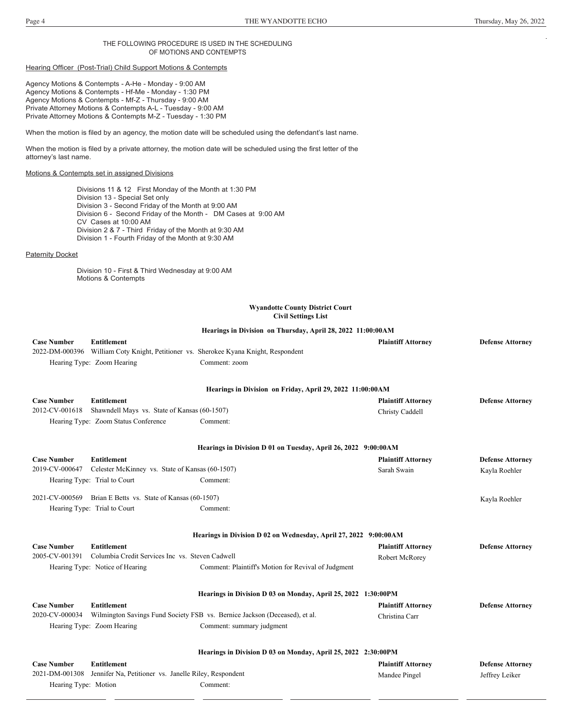# THE FOLLOWING PROCEDURE IS USED IN THE SCHEDULING OF MOTIONS AND CONTEMPTS

# Hearing Officer (Post-Trial) Child Support Motions & Contempts

Agency Motions & Contempts - A-He - Monday - 9:00 AM Agency Motions & Contempts - Hf-Me - Monday - 1:30 PM Agency Motions & Contempts - Mf-Z - Thursday - 9:00 AM Private Attorney Motions & Contempts A-L - Tuesday - 9:00 AM Private Attorney Motions & Contempts M-Z - Tuesday - 1:30 PM

When the motion is filed by an agency, the motion date will be scheduled using the defendant's last name.

When the motion is filed by a private attorney, the motion date will be scheduled using the first letter of the attorney's last name.

# Motions & Contempts set in assigned Divisions

Divisions 11 & 12 First Monday of the Month at 1:30 PM Division 13 - Special Set only Division 3 - Second Friday of the Month at 9:00 AM Division 6 - Second Friday of the Month - DM Cases at 9:00 AM CV Cases at 10:00 AM Division 2 & 7 - Third Friday of the Month at 9:30 AM Division 1 - Fourth Friday of the Month at 9:30 AM

# **Paternity Docket**

Division 10 - First & Third Wednesday at 9:00 AM Motions & Contempts

# **Wyandotte County District Court Civil Settings List**

|                      |                                                                      | Hearings in Division on Thursday, April 28, 2022 11:00:00AM                          |                           |                         |
|----------------------|----------------------------------------------------------------------|--------------------------------------------------------------------------------------|---------------------------|-------------------------|
| <b>Case Number</b>   | <b>Entitlement</b>                                                   |                                                                                      | <b>Plaintiff Attorney</b> | <b>Defense Attorney</b> |
|                      |                                                                      | 2022-DM-000396 William Coty Knight, Petitioner vs. Sherokee Kyana Knight, Respondent |                           |                         |
|                      | Hearing Type: Zoom Hearing                                           | Comment: zoom                                                                        |                           |                         |
|                      |                                                                      |                                                                                      |                           |                         |
|                      |                                                                      | Hearings in Division on Friday, April 29, 2022 11:00:00AM                            |                           |                         |
| <b>Case Number</b>   | <b>Entitlement</b>                                                   |                                                                                      | <b>Plaintiff Attorney</b> | <b>Defense Attorney</b> |
| 2012-CV-001618       | Shawndell Mays vs. State of Kansas (60-1507)                         |                                                                                      | Christy Caddell           |                         |
|                      | Hearing Type: Zoom Status Conference                                 | Comment:                                                                             |                           |                         |
|                      |                                                                      | Hearings in Division D 01 on Tuesday, April 26, 2022 9:00:00AM                       |                           |                         |
| <b>Case Number</b>   | <b>Entitlement</b>                                                   |                                                                                      | <b>Plaintiff Attorney</b> | <b>Defense Attorney</b> |
| 2019-CV-000647       | Celester McKinney vs. State of Kansas (60-1507)                      |                                                                                      | Sarah Swain               | Kayla Roehler           |
|                      | Hearing Type: Trial to Court                                         | Comment:                                                                             |                           |                         |
|                      | 2021-CV-000569 Brian E Betts vs. State of Kansas (60-1507)           |                                                                                      |                           | Kayla Roehler           |
|                      | Hearing Type: Trial to Court                                         | Comment:                                                                             |                           |                         |
|                      |                                                                      | Hearings in Division D 02 on Wednesday, April 27, 2022 9:00:00AM                     |                           |                         |
| <b>Case Number</b>   | <b>Entitlement</b>                                                   |                                                                                      | <b>Plaintiff Attorney</b> | <b>Defense Attorney</b> |
| 2005-CV-001391       | Columbia Credit Services Inc vs. Steven Cadwell                      |                                                                                      | Robert McRorey            |                         |
|                      | Hearing Type: Notice of Hearing                                      | Comment: Plaintiff's Motion for Revival of Judgment                                  |                           |                         |
|                      |                                                                      | Hearings in Division D 03 on Monday, April 25, 2022 1:30:00PM                        |                           |                         |
| <b>Case Number</b>   | <b>Entitlement</b>                                                   |                                                                                      | <b>Plaintiff Attorney</b> | <b>Defense Attorney</b> |
| 2020-CV-000034       |                                                                      | Wilmington Savings Fund Society FSB vs. Bernice Jackson (Deceased), et al.           | Christina Carr            |                         |
|                      | Hearing Type: Zoom Hearing                                           | Comment: summary judgment                                                            |                           |                         |
|                      |                                                                      |                                                                                      |                           |                         |
|                      |                                                                      | Hearings in Division D 03 on Monday, April 25, 2022 2:30:00PM                        |                           |                         |
| <b>Case Number</b>   | <b>Entitlement</b>                                                   |                                                                                      | <b>Plaintiff Attorney</b> | <b>Defense Attorney</b> |
|                      | 2021-DM-001308 Jennifer Na, Petitioner vs. Janelle Riley, Respondent |                                                                                      | Mandee Pingel             | Jeffrey Leiker          |
| Hearing Type: Motion |                                                                      | Comment:                                                                             |                           |                         |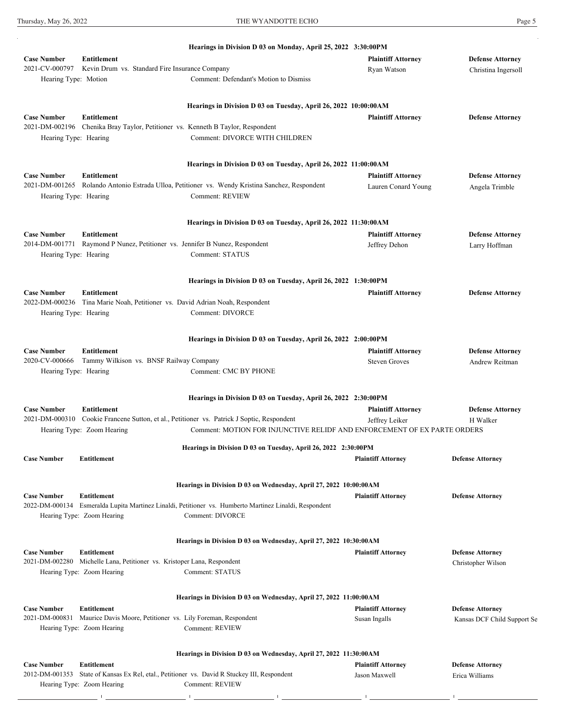|                                      |                                                                                            | Hearings in Division D 03 on Monday, April 25, 2022 3:30:00PM                                          |                                          |                                                |
|--------------------------------------|--------------------------------------------------------------------------------------------|--------------------------------------------------------------------------------------------------------|------------------------------------------|------------------------------------------------|
| <b>Case Number</b><br>2021-CV-000797 | <b>Entitlement</b><br>Kevin Drum vs. Standard Fire Insurance Company                       |                                                                                                        | <b>Plaintiff Attorney</b><br>Ryan Watson | <b>Defense Attorney</b><br>Christina Ingersoll |
| Hearing Type: Motion                 |                                                                                            | Comment: Defendant's Motion to Dismiss                                                                 |                                          |                                                |
|                                      |                                                                                            | Hearings in Division D 03 on Tuesday, April 26, 2022 10:00:00AM                                        |                                          |                                                |
| <b>Case Number</b>                   | <b>Entitlement</b>                                                                         |                                                                                                        | <b>Plaintiff Attorney</b>                | <b>Defense Attorney</b>                        |
|                                      | 2021-DM-002196 Chenika Bray Taylor, Petitioner vs. Kenneth B Taylor, Respondent            |                                                                                                        |                                          |                                                |
| Hearing Type: Hearing                |                                                                                            | Comment: DIVORCE WITH CHILDREN                                                                         |                                          |                                                |
|                                      |                                                                                            | Hearings in Division D 03 on Tuesday, April 26, 2022 11:00:00AM                                        |                                          |                                                |
| <b>Case Number</b>                   | Entitlement                                                                                |                                                                                                        | <b>Plaintiff Attorney</b>                | <b>Defense Attorney</b>                        |
|                                      |                                                                                            | 2021-DM-001265 Rolando Antonio Estrada Ulloa, Petitioner vs. Wendy Kristina Sanchez, Respondent        | Lauren Conard Young                      | Angela Trimble                                 |
| Hearing Type: Hearing                |                                                                                            | <b>Comment: REVIEW</b>                                                                                 |                                          |                                                |
|                                      |                                                                                            | Hearings in Division D 03 on Tuesday, April 26, 2022 11:30:00AM                                        |                                          |                                                |
| <b>Case Number</b>                   | <b>Entitlement</b>                                                                         |                                                                                                        | <b>Plaintiff Attorney</b>                | <b>Defense Attorney</b>                        |
|                                      | 2014-DM-001771 Raymond P Nunez, Petitioner vs. Jennifer B Nunez, Respondent                |                                                                                                        | Jeffrey Dehon                            | Larry Hoffman                                  |
| Hearing Type: Hearing                |                                                                                            | <b>Comment: STATUS</b>                                                                                 |                                          |                                                |
|                                      |                                                                                            | Hearings in Division D 03 on Tuesday, April 26, 2022 1:30:00PM                                         |                                          |                                                |
| <b>Case Number</b>                   | Entitlement                                                                                |                                                                                                        | <b>Plaintiff Attorney</b>                | <b>Defense Attorney</b>                        |
| 2022-DM-000236                       | Tina Marie Noah, Petitioner vs. David Adrian Noah, Respondent                              |                                                                                                        |                                          |                                                |
| Hearing Type: Hearing                |                                                                                            | Comment: DIVORCE                                                                                       |                                          |                                                |
|                                      |                                                                                            | Hearings in Division D 03 on Tuesday, April 26, 2022 2:00:00PM                                         |                                          |                                                |
| <b>Case Number</b>                   | Entitlement                                                                                |                                                                                                        | <b>Plaintiff Attorney</b>                | <b>Defense Attorney</b>                        |
|                                      | 2020-CV-000666 Tammy Wilkison vs. BNSF Railway Company                                     |                                                                                                        | <b>Steven Groves</b>                     | Andrew Reitman                                 |
| Hearing Type: Hearing                |                                                                                            | <b>Comment: CMC BY PHONE</b>                                                                           |                                          |                                                |
|                                      |                                                                                            | Hearings in Division D 03 on Tuesday, April 26, 2022 2:30:00PM                                         |                                          |                                                |
| <b>Case Number</b>                   | <b>Entitlement</b>                                                                         |                                                                                                        | <b>Plaintiff Attorney</b>                | <b>Defense Attorney</b>                        |
| 2021-DM-000310                       |                                                                                            | Cookie Francene Sutton, et al., Petitioner vs. Patrick J Soptic, Respondent                            | Jeffrey Leiker                           | H Walker                                       |
|                                      | Hearing Type: Zoom Hearing                                                                 | Comment: MOTION FOR INJUNCTIVE RELIDF AND ENFORCEMENT OF EX PARTE ORDERS                               |                                          |                                                |
| <b>Case Number</b>                   | <b>Entitlement</b>                                                                         | Hearings in Division D 03 on Tuesday, April 26, 2022 2:30:00PM                                         | <b>Plaintiff Attorney</b>                | <b>Defense Attorney</b>                        |
|                                      |                                                                                            |                                                                                                        |                                          |                                                |
|                                      |                                                                                            | Hearings in Division D 03 on Wednesday, April 27, 2022 10:00:00AM                                      |                                          |                                                |
| <b>Case Number</b>                   | <b>Entitlement</b>                                                                         | 2022-DM-000134 Esmeralda Lupita Martinez Linaldi, Petitioner vs. Humberto Martinez Linaldi, Respondent | <b>Plaintiff Attorney</b>                | <b>Defense Attorney</b>                        |
|                                      | Hearing Type: Zoom Hearing                                                                 | Comment: DIVORCE                                                                                       |                                          |                                                |
|                                      |                                                                                            | Hearings in Division D 03 on Wednesday, April 27, 2022 10:30:00AM                                      |                                          |                                                |
| <b>Case Number</b>                   | <b>Entitlement</b>                                                                         |                                                                                                        | <b>Plaintiff Attorney</b>                | <b>Defense Attorney</b>                        |
|                                      | 2021-DM-002280 Michelle Lana, Petitioner vs. Kristoper Lana, Respondent                    |                                                                                                        |                                          | Christopher Wilson                             |
|                                      | Hearing Type: Zoom Hearing                                                                 | Comment: STATUS                                                                                        |                                          |                                                |
|                                      |                                                                                            | Hearings in Division D 03 on Wednesday, April 27, 2022 11:00:00AM                                      |                                          |                                                |
| <b>Case Number</b>                   | <b>Entitlement</b>                                                                         |                                                                                                        | <b>Plaintiff Attorney</b>                | <b>Defense Attorney</b>                        |
| 2021-DM-000831                       | Maurice Davis Moore, Petitioner vs. Lily Foreman, Respondent<br>Hearing Type: Zoom Hearing | Comment: REVIEW                                                                                        | Susan Ingalls                            | Kansas DCF Child Support Se                    |
|                                      |                                                                                            | Hearings in Division D 03 on Wednesday, April 27, 2022 11:30:00AM                                      |                                          |                                                |
| <b>Case Number</b>                   | <b>Entitlement</b>                                                                         |                                                                                                        | <b>Plaintiff Attorney</b>                | <b>Defense Attorney</b>                        |
| 2012-DM-001353                       |                                                                                            | State of Kansas Ex Rel, etal., Petitioner vs. David R Stuckey III, Respondent                          | Jason Maxwell                            | Erica Williams                                 |
|                                      | Hearing Type: Zoom Hearing                                                                 | Comment: REVIEW                                                                                        |                                          |                                                |
|                                      |                                                                                            |                                                                                                        |                                          |                                                |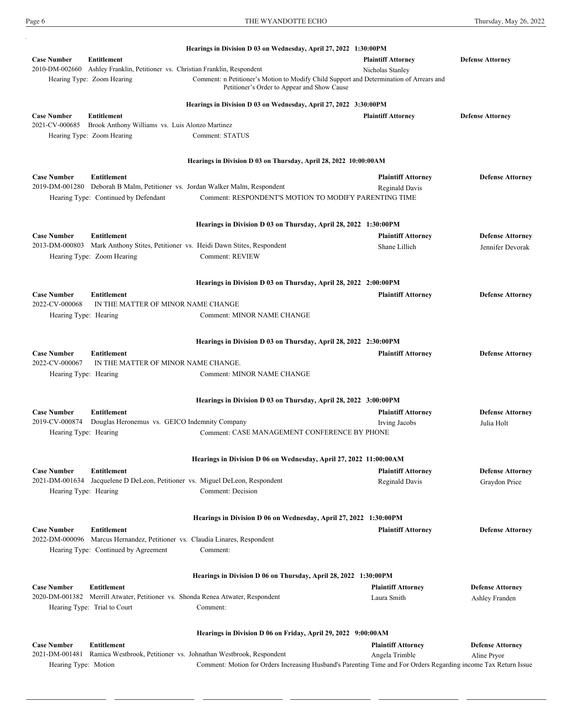Hearing Type: Zoom Hearing

|                                                                                                                                                                  | Hearings in Division D 03 on Wednesday, April 27, 2022 1:30:00PM                                                |                                               |                         |
|------------------------------------------------------------------------------------------------------------------------------------------------------------------|-----------------------------------------------------------------------------------------------------------------|-----------------------------------------------|-------------------------|
| <b>Case Number</b><br><b>Entitlement</b><br>2010-DM-002660<br>Ashley Franklin, Petitioner vs. Christian Franklin, Respondent<br>Hearing Type: Zoom Hearing       | Comment: n Petitioner's Motion to Modify Child Support and Determination of Arrears and                         | <b>Plaintiff Attorney</b><br>Nicholas Stanley | <b>Defense Attorney</b> |
|                                                                                                                                                                  | Petitioner's Order to Appear and Show Cause                                                                     |                                               |                         |
|                                                                                                                                                                  | Hearings in Division D 03 on Wednesday, April 27, 2022 3:30:00PM                                                |                                               |                         |
| <b>Case Number</b><br><b>Entitlement</b><br>2021-CV-000685<br>Brook Anthony Williams vs. Luis Alonzo Martinez<br>Hearing Type: Zoom Hearing                      | Comment: STATUS                                                                                                 | <b>Plaintiff Attorney</b>                     | <b>Defense Attorney</b> |
|                                                                                                                                                                  |                                                                                                                 |                                               |                         |
|                                                                                                                                                                  | Hearings in Division D 03 on Thursday, April 28, 2022 10:00:00AM                                                |                                               |                         |
| <b>Case Number</b><br><b>Entitlement</b><br>2019-DM-001280 Deborah B Malm, Petitioner vs. Jordan Walker Malm, Respondent<br>Hearing Type: Continued by Defendant | Comment: RESPONDENT'S MOTION TO MODIFY PARENTING TIME                                                           | <b>Plaintiff Attorney</b><br>Reginald Davis   | <b>Defense Attorney</b> |
|                                                                                                                                                                  | Hearings in Division D 03 on Thursday, April 28, 2022 1:30:00PM                                                 |                                               |                         |
| <b>Case Number</b><br><b>Entitlement</b>                                                                                                                         |                                                                                                                 | <b>Plaintiff Attorney</b>                     | <b>Defense Attorney</b> |
| 2013-DM-000803 Mark Anthony Stites, Petitioner vs. Heidi Dawn Stites, Respondent<br>Hearing Type: Zoom Hearing                                                   | <b>Comment: REVIEW</b>                                                                                          | Shane Lillich                                 | Jennifer Devorak        |
|                                                                                                                                                                  | Hearings in Division D 03 on Thursday, April 28, 2022 2:00:00PM                                                 |                                               |                         |
| <b>Case Number</b><br><b>Entitlement</b>                                                                                                                         |                                                                                                                 | <b>Plaintiff Attorney</b>                     | <b>Defense Attorney</b> |
| 2022-CV-000068<br>IN THE MATTER OF MINOR NAME CHANGE                                                                                                             |                                                                                                                 |                                               |                         |
| Hearing Type: Hearing                                                                                                                                            | <b>Comment: MINOR NAME CHANGE</b>                                                                               |                                               |                         |
|                                                                                                                                                                  | Hearings in Division D 03 on Thursday, April 28, 2022 2:30:00PM                                                 |                                               |                         |
| <b>Case Number</b><br><b>Entitlement</b>                                                                                                                         |                                                                                                                 | <b>Plaintiff Attorney</b>                     | <b>Defense Attorney</b> |
| 2022-CV-000067<br>IN THE MATTER OF MINOR NAME CHANGE.                                                                                                            |                                                                                                                 |                                               |                         |
| Hearing Type: Hearing                                                                                                                                            | Comment: MINOR NAME CHANGE                                                                                      |                                               |                         |
|                                                                                                                                                                  | Hearings in Division D 03 on Thursday, April 28, 2022 3:00:00PM                                                 |                                               |                         |
| <b>Case Number</b><br><b>Entitlement</b>                                                                                                                         |                                                                                                                 | <b>Plaintiff Attorney</b>                     | <b>Defense Attorney</b> |
| 2019-CV-000874<br>Douglas Heronemus vs. GEICO Indemnity Company                                                                                                  |                                                                                                                 | Irving Jacobs                                 | Julia Holt              |
| Hearing Type: Hearing                                                                                                                                            | Comment: CASE MANAGEMENT CONFERENCE BY PHONE                                                                    |                                               |                         |
|                                                                                                                                                                  | Hearings in Division D 06 on Wednesday, April 27, 2022 11:00:00AM                                               |                                               |                         |
| <b>Case Number</b><br><b>Entitlement</b>                                                                                                                         |                                                                                                                 | <b>Plaintiff Attorney</b>                     | <b>Defense Attorney</b> |
| 2021-DM-001634 Jacquelene D DeLeon, Petitioner vs. Miguel DeLeon, Respondent<br>Hearing Type: Hearing                                                            | Comment: Decision                                                                                               | Reginald Davis                                | Graydon Price           |
|                                                                                                                                                                  | Hearings in Division D 06 on Wednesday, April 27, 2022 1:30:00PM                                                |                                               |                         |
| <b>Case Number</b><br><b>Entitlement</b>                                                                                                                         |                                                                                                                 | <b>Plaintiff Attorney</b>                     | <b>Defense Attorney</b> |
| 2022-DM-000096 Marcus Hernandez, Petitioner vs. Claudia Linares, Respondent                                                                                      |                                                                                                                 |                                               |                         |
| Hearing Type: Continued by Agreement                                                                                                                             | Comment:                                                                                                        |                                               |                         |
|                                                                                                                                                                  | Hearings in Division D 06 on Thursday, April 28, 2022 1:30:00PM                                                 |                                               |                         |
| <b>Case Number</b><br><b>Entitlement</b>                                                                                                                         |                                                                                                                 | <b>Plaintiff Attorney</b>                     | <b>Defense Attorney</b> |
| 2020-DM-001382 Merrill Atwater, Petitioner vs. Shonda Renea Atwater, Respondent                                                                                  |                                                                                                                 | Laura Smith                                   | Ashley Franden          |
| Hearing Type: Trial to Court                                                                                                                                     | Comment:                                                                                                        |                                               |                         |
|                                                                                                                                                                  | Hearings in Division D 06 on Friday, April 29, 2022 9:00:00AM                                                   |                                               |                         |
| <b>Case Number</b><br><b>Entitlement</b>                                                                                                                         |                                                                                                                 | <b>Plaintiff Attorney</b>                     | <b>Defense Attorney</b> |
| 2021-DM-001481 Ramica Westbrook, Petitioner vs. Johnathan Westbrook, Respondent                                                                                  |                                                                                                                 | Angela Trimble                                | Aline Pryor             |
| Hearing Type: Motion                                                                                                                                             | Comment: Motion for Orders Increasing Husband's Parenting Time and For Orders Regarding income Tax Return Issue |                                               |                         |

**Case Number Entitlement Plaintiff Attorney Defense Attorney**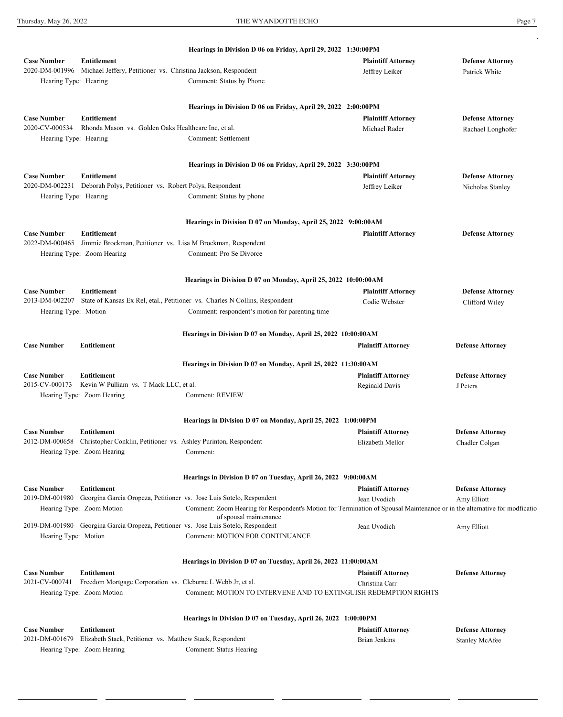2020-DM-000939 Jalisa White, Petitioner vs. Cayden White, Respondent

Thursday, May 26, 2022 **THE WYANDOTTE ECHO** Page 7

|                       |                                                                                               | Hearings in Division D 06 on Friday, April 29, 2022 1:30:00PM                                                                                       |                           |                         |
|-----------------------|-----------------------------------------------------------------------------------------------|-----------------------------------------------------------------------------------------------------------------------------------------------------|---------------------------|-------------------------|
| <b>Case Number</b>    | <b>Entitlement</b>                                                                            |                                                                                                                                                     | <b>Plaintiff Attorney</b> | <b>Defense Attorney</b> |
|                       | 2020-DM-001996 Michael Jeffery, Petitioner vs. Christina Jackson, Respondent                  |                                                                                                                                                     | Jeffrey Leiker            | Patrick White           |
| Hearing Type: Hearing |                                                                                               | Comment: Status by Phone                                                                                                                            |                           |                         |
|                       |                                                                                               |                                                                                                                                                     |                           |                         |
|                       |                                                                                               | Hearings in Division D 06 on Friday, April 29, 2022 2:00:00PM                                                                                       |                           |                         |
| <b>Case Number</b>    | <b>Entitlement</b>                                                                            |                                                                                                                                                     | <b>Plaintiff Attorney</b> | <b>Defense Attorney</b> |
| 2020-CV-000534        | Rhonda Mason vs. Golden Oaks Healthcare Inc, et al.                                           |                                                                                                                                                     | Michael Rader             | Rachael Longhofer       |
| Hearing Type: Hearing |                                                                                               | Comment: Settlement                                                                                                                                 |                           |                         |
|                       |                                                                                               | Hearings in Division D 06 on Friday, April 29, 2022 3:30:00PM                                                                                       |                           |                         |
| <b>Case Number</b>    | <b>Entitlement</b>                                                                            |                                                                                                                                                     | <b>Plaintiff Attorney</b> | <b>Defense Attorney</b> |
|                       | 2020-DM-002231 Deborah Polys, Petitioner vs. Robert Polys, Respondent                         |                                                                                                                                                     | Jeffrey Leiker            |                         |
| Hearing Type: Hearing |                                                                                               | Comment: Status by phone                                                                                                                            |                           | Nicholas Stanley        |
|                       |                                                                                               |                                                                                                                                                     |                           |                         |
|                       |                                                                                               | Hearings in Division D 07 on Monday, April 25, 2022 9:00:00AM                                                                                       |                           |                         |
| <b>Case Number</b>    | <b>Entitlement</b>                                                                            |                                                                                                                                                     | <b>Plaintiff Attorney</b> | <b>Defense Attorney</b> |
|                       | 2022-DM-000465 Jimmie Brockman, Petitioner vs. Lisa M Brockman, Respondent                    |                                                                                                                                                     |                           |                         |
|                       | Hearing Type: Zoom Hearing                                                                    | Comment: Pro Se Divorce                                                                                                                             |                           |                         |
|                       |                                                                                               |                                                                                                                                                     |                           |                         |
|                       |                                                                                               | Hearings in Division D 07 on Monday, April 25, 2022 10:00:00AM                                                                                      |                           |                         |
| <b>Case Number</b>    | <b>Entitlement</b>                                                                            |                                                                                                                                                     | <b>Plaintiff Attorney</b> | <b>Defense Attorney</b> |
| 2013-DM-002207        |                                                                                               | State of Kansas Ex Rel, etal., Petitioner vs. Charles N Collins, Respondent                                                                         | Codie Webster             | Clifford Wiley          |
| Hearing Type: Motion  |                                                                                               | Comment: respondent's motion for parenting time                                                                                                     |                           |                         |
|                       |                                                                                               | Hearings in Division D 07 on Monday, April 25, 2022 10:00:00AM                                                                                      |                           |                         |
| <b>Case Number</b>    | <b>Entitlement</b>                                                                            |                                                                                                                                                     | <b>Plaintiff Attorney</b> | <b>Defense Attorney</b> |
|                       |                                                                                               | Hearings in Division D 07 on Monday, April 25, 2022 11:30:00AM                                                                                      |                           |                         |
| <b>Case Number</b>    | <b>Entitlement</b>                                                                            |                                                                                                                                                     | <b>Plaintiff Attorney</b> | <b>Defense Attorney</b> |
| 2015-CV-000173        | Kevin W Pulliam vs. T Mack LLC, et al.                                                        |                                                                                                                                                     | Reginald Davis            | J Peters                |
|                       | Hearing Type: Zoom Hearing                                                                    | Comment: REVIEW                                                                                                                                     |                           |                         |
|                       |                                                                                               |                                                                                                                                                     |                           |                         |
|                       |                                                                                               | Hearings in Division D 07 on Monday, April 25, 2022 1:00:00PM                                                                                       |                           |                         |
| <b>Case Number</b>    | <b>Entitlement</b>                                                                            |                                                                                                                                                     | <b>Plaintiff Attorney</b> | <b>Defense Attorney</b> |
| 2012-DM-000658        | Christopher Conklin, Petitioner vs. Ashley Purinton, Respondent<br>Hearing Type: Zoom Hearing | Comment:                                                                                                                                            | Elizabeth Mellor          | Chadler Colgan          |
|                       |                                                                                               |                                                                                                                                                     |                           |                         |
|                       |                                                                                               | Hearings in Division D 07 on Tuesday, April 26, 2022 9:00:00AM                                                                                      |                           |                         |
| <b>Case Number</b>    | <b>Entitlement</b>                                                                            |                                                                                                                                                     | <b>Plaintiff Attorney</b> | <b>Defense Attorney</b> |
| 2019-DM-001980        | Georgina Garcia Oropeza, Petitioner vs. Jose Luis Sotelo, Respondent                          |                                                                                                                                                     | Jean Uvodich              | Amy Elliott             |
|                       | Hearing Type: Zoom Motion                                                                     | Comment: Zoom Hearing for Respondent's Motion for Termination of Spousal Maintenance or in the alternative for modficatio<br>of spousal maintenance |                           |                         |
|                       | 2019-DM-001980 Georgina Garcia Oropeza, Petitioner vs. Jose Luis Sotelo, Respondent           |                                                                                                                                                     | Jean Uvodich              | Amy Elliott             |
| Hearing Type: Motion  |                                                                                               | <b>Comment: MOTION FOR CONTINUANCE</b>                                                                                                              |                           |                         |
|                       |                                                                                               |                                                                                                                                                     |                           |                         |
|                       |                                                                                               | Hearings in Division D 07 on Tuesday, April 26, 2022 11:00:00AM                                                                                     |                           |                         |
| <b>Case Number</b>    | <b>Entitlement</b>                                                                            |                                                                                                                                                     | <b>Plaintiff Attorney</b> | <b>Defense Attorney</b> |
| 2021-CV-000741        | Freedom Mortgage Corporation vs. Cleburne L Webb Jr, et al.                                   |                                                                                                                                                     | Christina Carr            |                         |
|                       | Hearing Type: Zoom Motion                                                                     | Comment: MOTION TO INTERVENE AND TO EXTINGUISH REDEMPTION RIGHTS                                                                                    |                           |                         |
|                       |                                                                                               |                                                                                                                                                     |                           |                         |
| <b>Case Number</b>    | <b>Entitlement</b>                                                                            | Hearings in Division D 07 on Tuesday, April 26, 2022 1:00:00PM                                                                                      | <b>Plaintiff Attorney</b> | <b>Defense Attorney</b> |
|                       | 2021-DM-001679 Elizabeth Stack, Petitioner vs. Matthew Stack, Respondent                      |                                                                                                                                                     | <b>Brian Jenkins</b>      | <b>Stanley McAfee</b>   |
|                       | Hearing Type: Zoom Hearing                                                                    | Comment: Status Hearing                                                                                                                             |                           |                         |

Ronald Rundberg Pro Se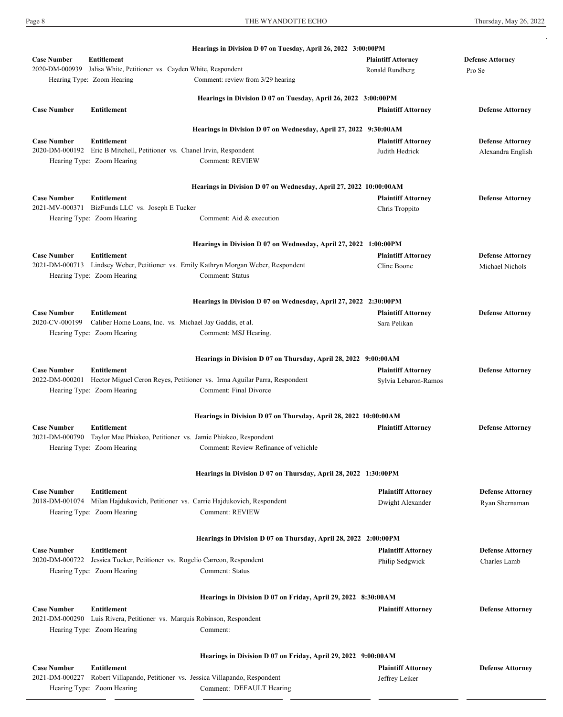Hearing Type: Zoom Hearing

| <b>Case Number</b><br><b>Entitlement</b><br><b>Plaintiff Attorney</b><br><b>Defense Attorney</b><br>Jalisa White, Petitioner vs. Cayden White, Respondent<br>2020-DM-000939<br>Ronald Rundberg<br>Pro Se<br>Hearing Type: Zoom Hearing<br>Comment: review from 3/29 hearing<br>Hearings in Division D 07 on Tuesday, April 26, 2022 3:00:00PM<br><b>Case Number</b><br><b>Entitlement</b><br><b>Plaintiff Attorney</b><br><b>Defense Attorney</b><br>Hearings in Division D 07 on Wednesday, April 27, 2022 9:30:00AM<br><b>Entitlement</b><br><b>Case Number</b><br><b>Plaintiff Attorney</b><br><b>Defense Attorney</b><br>2020-DM-000192 Eric B Mitchell, Petitioner vs. Chanel Irvin, Respondent<br>Judith Hedrick<br>Alexandra English<br>Comment: REVIEW<br>Hearing Type: Zoom Hearing<br>Hearings in Division D 07 on Wednesday, April 27, 2022 10:00:00AM<br><b>Case Number</b><br><b>Entitlement</b><br><b>Plaintiff Attorney</b><br><b>Defense Attorney</b><br>2021-MV-000371<br>BizFunds LLC vs. Joseph E Tucker<br>Chris Troppito<br>Hearing Type: Zoom Hearing<br>Comment: Aid & execution<br>Hearings in Division D 07 on Wednesday, April 27, 2022 1:00:00PM<br><b>Case Number</b><br><b>Entitlement</b><br><b>Plaintiff Attorney</b><br><b>Defense Attorney</b><br>2021-DM-000713 Lindsey Weber, Petitioner vs. Emily Kathryn Morgan Weber, Respondent<br>Cline Boone<br>Michael Nichols<br>Comment: Status<br>Hearing Type: Zoom Hearing<br>Hearings in Division D 07 on Wednesday, April 27, 2022 2:30:00PM<br><b>Entitlement</b><br><b>Case Number</b><br><b>Plaintiff Attorney</b><br><b>Defense Attorney</b><br>2020-CV-000199<br>Caliber Home Loans, Inc. vs. Michael Jay Gaddis, et al.<br>Sara Pelikan<br>Hearing Type: Zoom Hearing<br>Comment: MSJ Hearing.<br>Hearings in Division D 07 on Thursday, April 28, 2022 9:00:00AM<br><b>Case Number</b><br><b>Entitlement</b><br><b>Plaintiff Attorney</b><br><b>Defense Attorney</b><br>2022-DM-000201 Hector Miguel Ceron Reyes, Petitioner vs. Irma Aguilar Parra, Respondent<br>Sylvia Lebaron-Ramos<br>Hearing Type: Zoom Hearing<br>Comment: Final Divorce<br>Hearings in Division D 07 on Thursday, April 28, 2022 10:00:00AM<br><b>Entitlement</b><br><b>Case Number</b><br><b>Plaintiff Attorney</b><br><b>Defense Attorney</b><br>2021-DM-000790 Taylor Mae Phiakeo, Petitioner vs. Jamie Phiakeo, Respondent<br>Comment: Review Refinance of vehichle<br>Hearing Type: Zoom Hearing<br>Hearings in Division D 07 on Thursday, April 28, 2022 1:30:00PM<br><b>Case Number</b><br>Entitlement<br><b>Plaintiff Attorney</b><br><b>Defense Attorney</b><br>2018-DM-001074 Milan Hajdukovich, Petitioner vs. Carrie Hajdukovich, Respondent<br>Dwight Alexander<br>Ryan Shernaman<br><b>Comment: REVIEW</b><br>Hearing Type: Zoom Hearing<br>Hearings in Division D 07 on Thursday, April 28, 2022 2:00:00PM |
|-------------------------------------------------------------------------------------------------------------------------------------------------------------------------------------------------------------------------------------------------------------------------------------------------------------------------------------------------------------------------------------------------------------------------------------------------------------------------------------------------------------------------------------------------------------------------------------------------------------------------------------------------------------------------------------------------------------------------------------------------------------------------------------------------------------------------------------------------------------------------------------------------------------------------------------------------------------------------------------------------------------------------------------------------------------------------------------------------------------------------------------------------------------------------------------------------------------------------------------------------------------------------------------------------------------------------------------------------------------------------------------------------------------------------------------------------------------------------------------------------------------------------------------------------------------------------------------------------------------------------------------------------------------------------------------------------------------------------------------------------------------------------------------------------------------------------------------------------------------------------------------------------------------------------------------------------------------------------------------------------------------------------------------------------------------------------------------------------------------------------------------------------------------------------------------------------------------------------------------------------------------------------------------------------------------------------------------------------------------------------------------------------------------------------------------------------------------------------------------------------------------------------------------------------------------------------------------------------------------------------------------------------------------------------------------------------------------------------------------------------------------------------------------------------------------------------------------------------------------------------------------------|
|                                                                                                                                                                                                                                                                                                                                                                                                                                                                                                                                                                                                                                                                                                                                                                                                                                                                                                                                                                                                                                                                                                                                                                                                                                                                                                                                                                                                                                                                                                                                                                                                                                                                                                                                                                                                                                                                                                                                                                                                                                                                                                                                                                                                                                                                                                                                                                                                                                                                                                                                                                                                                                                                                                                                                                                                                                                                                           |
|                                                                                                                                                                                                                                                                                                                                                                                                                                                                                                                                                                                                                                                                                                                                                                                                                                                                                                                                                                                                                                                                                                                                                                                                                                                                                                                                                                                                                                                                                                                                                                                                                                                                                                                                                                                                                                                                                                                                                                                                                                                                                                                                                                                                                                                                                                                                                                                                                                                                                                                                                                                                                                                                                                                                                                                                                                                                                           |
|                                                                                                                                                                                                                                                                                                                                                                                                                                                                                                                                                                                                                                                                                                                                                                                                                                                                                                                                                                                                                                                                                                                                                                                                                                                                                                                                                                                                                                                                                                                                                                                                                                                                                                                                                                                                                                                                                                                                                                                                                                                                                                                                                                                                                                                                                                                                                                                                                                                                                                                                                                                                                                                                                                                                                                                                                                                                                           |
|                                                                                                                                                                                                                                                                                                                                                                                                                                                                                                                                                                                                                                                                                                                                                                                                                                                                                                                                                                                                                                                                                                                                                                                                                                                                                                                                                                                                                                                                                                                                                                                                                                                                                                                                                                                                                                                                                                                                                                                                                                                                                                                                                                                                                                                                                                                                                                                                                                                                                                                                                                                                                                                                                                                                                                                                                                                                                           |
|                                                                                                                                                                                                                                                                                                                                                                                                                                                                                                                                                                                                                                                                                                                                                                                                                                                                                                                                                                                                                                                                                                                                                                                                                                                                                                                                                                                                                                                                                                                                                                                                                                                                                                                                                                                                                                                                                                                                                                                                                                                                                                                                                                                                                                                                                                                                                                                                                                                                                                                                                                                                                                                                                                                                                                                                                                                                                           |
|                                                                                                                                                                                                                                                                                                                                                                                                                                                                                                                                                                                                                                                                                                                                                                                                                                                                                                                                                                                                                                                                                                                                                                                                                                                                                                                                                                                                                                                                                                                                                                                                                                                                                                                                                                                                                                                                                                                                                                                                                                                                                                                                                                                                                                                                                                                                                                                                                                                                                                                                                                                                                                                                                                                                                                                                                                                                                           |
|                                                                                                                                                                                                                                                                                                                                                                                                                                                                                                                                                                                                                                                                                                                                                                                                                                                                                                                                                                                                                                                                                                                                                                                                                                                                                                                                                                                                                                                                                                                                                                                                                                                                                                                                                                                                                                                                                                                                                                                                                                                                                                                                                                                                                                                                                                                                                                                                                                                                                                                                                                                                                                                                                                                                                                                                                                                                                           |
|                                                                                                                                                                                                                                                                                                                                                                                                                                                                                                                                                                                                                                                                                                                                                                                                                                                                                                                                                                                                                                                                                                                                                                                                                                                                                                                                                                                                                                                                                                                                                                                                                                                                                                                                                                                                                                                                                                                                                                                                                                                                                                                                                                                                                                                                                                                                                                                                                                                                                                                                                                                                                                                                                                                                                                                                                                                                                           |
|                                                                                                                                                                                                                                                                                                                                                                                                                                                                                                                                                                                                                                                                                                                                                                                                                                                                                                                                                                                                                                                                                                                                                                                                                                                                                                                                                                                                                                                                                                                                                                                                                                                                                                                                                                                                                                                                                                                                                                                                                                                                                                                                                                                                                                                                                                                                                                                                                                                                                                                                                                                                                                                                                                                                                                                                                                                                                           |
|                                                                                                                                                                                                                                                                                                                                                                                                                                                                                                                                                                                                                                                                                                                                                                                                                                                                                                                                                                                                                                                                                                                                                                                                                                                                                                                                                                                                                                                                                                                                                                                                                                                                                                                                                                                                                                                                                                                                                                                                                                                                                                                                                                                                                                                                                                                                                                                                                                                                                                                                                                                                                                                                                                                                                                                                                                                                                           |
|                                                                                                                                                                                                                                                                                                                                                                                                                                                                                                                                                                                                                                                                                                                                                                                                                                                                                                                                                                                                                                                                                                                                                                                                                                                                                                                                                                                                                                                                                                                                                                                                                                                                                                                                                                                                                                                                                                                                                                                                                                                                                                                                                                                                                                                                                                                                                                                                                                                                                                                                                                                                                                                                                                                                                                                                                                                                                           |
|                                                                                                                                                                                                                                                                                                                                                                                                                                                                                                                                                                                                                                                                                                                                                                                                                                                                                                                                                                                                                                                                                                                                                                                                                                                                                                                                                                                                                                                                                                                                                                                                                                                                                                                                                                                                                                                                                                                                                                                                                                                                                                                                                                                                                                                                                                                                                                                                                                                                                                                                                                                                                                                                                                                                                                                                                                                                                           |
|                                                                                                                                                                                                                                                                                                                                                                                                                                                                                                                                                                                                                                                                                                                                                                                                                                                                                                                                                                                                                                                                                                                                                                                                                                                                                                                                                                                                                                                                                                                                                                                                                                                                                                                                                                                                                                                                                                                                                                                                                                                                                                                                                                                                                                                                                                                                                                                                                                                                                                                                                                                                                                                                                                                                                                                                                                                                                           |
|                                                                                                                                                                                                                                                                                                                                                                                                                                                                                                                                                                                                                                                                                                                                                                                                                                                                                                                                                                                                                                                                                                                                                                                                                                                                                                                                                                                                                                                                                                                                                                                                                                                                                                                                                                                                                                                                                                                                                                                                                                                                                                                                                                                                                                                                                                                                                                                                                                                                                                                                                                                                                                                                                                                                                                                                                                                                                           |
|                                                                                                                                                                                                                                                                                                                                                                                                                                                                                                                                                                                                                                                                                                                                                                                                                                                                                                                                                                                                                                                                                                                                                                                                                                                                                                                                                                                                                                                                                                                                                                                                                                                                                                                                                                                                                                                                                                                                                                                                                                                                                                                                                                                                                                                                                                                                                                                                                                                                                                                                                                                                                                                                                                                                                                                                                                                                                           |
|                                                                                                                                                                                                                                                                                                                                                                                                                                                                                                                                                                                                                                                                                                                                                                                                                                                                                                                                                                                                                                                                                                                                                                                                                                                                                                                                                                                                                                                                                                                                                                                                                                                                                                                                                                                                                                                                                                                                                                                                                                                                                                                                                                                                                                                                                                                                                                                                                                                                                                                                                                                                                                                                                                                                                                                                                                                                                           |
|                                                                                                                                                                                                                                                                                                                                                                                                                                                                                                                                                                                                                                                                                                                                                                                                                                                                                                                                                                                                                                                                                                                                                                                                                                                                                                                                                                                                                                                                                                                                                                                                                                                                                                                                                                                                                                                                                                                                                                                                                                                                                                                                                                                                                                                                                                                                                                                                                                                                                                                                                                                                                                                                                                                                                                                                                                                                                           |
|                                                                                                                                                                                                                                                                                                                                                                                                                                                                                                                                                                                                                                                                                                                                                                                                                                                                                                                                                                                                                                                                                                                                                                                                                                                                                                                                                                                                                                                                                                                                                                                                                                                                                                                                                                                                                                                                                                                                                                                                                                                                                                                                                                                                                                                                                                                                                                                                                                                                                                                                                                                                                                                                                                                                                                                                                                                                                           |
|                                                                                                                                                                                                                                                                                                                                                                                                                                                                                                                                                                                                                                                                                                                                                                                                                                                                                                                                                                                                                                                                                                                                                                                                                                                                                                                                                                                                                                                                                                                                                                                                                                                                                                                                                                                                                                                                                                                                                                                                                                                                                                                                                                                                                                                                                                                                                                                                                                                                                                                                                                                                                                                                                                                                                                                                                                                                                           |
|                                                                                                                                                                                                                                                                                                                                                                                                                                                                                                                                                                                                                                                                                                                                                                                                                                                                                                                                                                                                                                                                                                                                                                                                                                                                                                                                                                                                                                                                                                                                                                                                                                                                                                                                                                                                                                                                                                                                                                                                                                                                                                                                                                                                                                                                                                                                                                                                                                                                                                                                                                                                                                                                                                                                                                                                                                                                                           |
|                                                                                                                                                                                                                                                                                                                                                                                                                                                                                                                                                                                                                                                                                                                                                                                                                                                                                                                                                                                                                                                                                                                                                                                                                                                                                                                                                                                                                                                                                                                                                                                                                                                                                                                                                                                                                                                                                                                                                                                                                                                                                                                                                                                                                                                                                                                                                                                                                                                                                                                                                                                                                                                                                                                                                                                                                                                                                           |
|                                                                                                                                                                                                                                                                                                                                                                                                                                                                                                                                                                                                                                                                                                                                                                                                                                                                                                                                                                                                                                                                                                                                                                                                                                                                                                                                                                                                                                                                                                                                                                                                                                                                                                                                                                                                                                                                                                                                                                                                                                                                                                                                                                                                                                                                                                                                                                                                                                                                                                                                                                                                                                                                                                                                                                                                                                                                                           |
|                                                                                                                                                                                                                                                                                                                                                                                                                                                                                                                                                                                                                                                                                                                                                                                                                                                                                                                                                                                                                                                                                                                                                                                                                                                                                                                                                                                                                                                                                                                                                                                                                                                                                                                                                                                                                                                                                                                                                                                                                                                                                                                                                                                                                                                                                                                                                                                                                                                                                                                                                                                                                                                                                                                                                                                                                                                                                           |
|                                                                                                                                                                                                                                                                                                                                                                                                                                                                                                                                                                                                                                                                                                                                                                                                                                                                                                                                                                                                                                                                                                                                                                                                                                                                                                                                                                                                                                                                                                                                                                                                                                                                                                                                                                                                                                                                                                                                                                                                                                                                                                                                                                                                                                                                                                                                                                                                                                                                                                                                                                                                                                                                                                                                                                                                                                                                                           |
|                                                                                                                                                                                                                                                                                                                                                                                                                                                                                                                                                                                                                                                                                                                                                                                                                                                                                                                                                                                                                                                                                                                                                                                                                                                                                                                                                                                                                                                                                                                                                                                                                                                                                                                                                                                                                                                                                                                                                                                                                                                                                                                                                                                                                                                                                                                                                                                                                                                                                                                                                                                                                                                                                                                                                                                                                                                                                           |
|                                                                                                                                                                                                                                                                                                                                                                                                                                                                                                                                                                                                                                                                                                                                                                                                                                                                                                                                                                                                                                                                                                                                                                                                                                                                                                                                                                                                                                                                                                                                                                                                                                                                                                                                                                                                                                                                                                                                                                                                                                                                                                                                                                                                                                                                                                                                                                                                                                                                                                                                                                                                                                                                                                                                                                                                                                                                                           |
|                                                                                                                                                                                                                                                                                                                                                                                                                                                                                                                                                                                                                                                                                                                                                                                                                                                                                                                                                                                                                                                                                                                                                                                                                                                                                                                                                                                                                                                                                                                                                                                                                                                                                                                                                                                                                                                                                                                                                                                                                                                                                                                                                                                                                                                                                                                                                                                                                                                                                                                                                                                                                                                                                                                                                                                                                                                                                           |
|                                                                                                                                                                                                                                                                                                                                                                                                                                                                                                                                                                                                                                                                                                                                                                                                                                                                                                                                                                                                                                                                                                                                                                                                                                                                                                                                                                                                                                                                                                                                                                                                                                                                                                                                                                                                                                                                                                                                                                                                                                                                                                                                                                                                                                                                                                                                                                                                                                                                                                                                                                                                                                                                                                                                                                                                                                                                                           |
|                                                                                                                                                                                                                                                                                                                                                                                                                                                                                                                                                                                                                                                                                                                                                                                                                                                                                                                                                                                                                                                                                                                                                                                                                                                                                                                                                                                                                                                                                                                                                                                                                                                                                                                                                                                                                                                                                                                                                                                                                                                                                                                                                                                                                                                                                                                                                                                                                                                                                                                                                                                                                                                                                                                                                                                                                                                                                           |
|                                                                                                                                                                                                                                                                                                                                                                                                                                                                                                                                                                                                                                                                                                                                                                                                                                                                                                                                                                                                                                                                                                                                                                                                                                                                                                                                                                                                                                                                                                                                                                                                                                                                                                                                                                                                                                                                                                                                                                                                                                                                                                                                                                                                                                                                                                                                                                                                                                                                                                                                                                                                                                                                                                                                                                                                                                                                                           |
|                                                                                                                                                                                                                                                                                                                                                                                                                                                                                                                                                                                                                                                                                                                                                                                                                                                                                                                                                                                                                                                                                                                                                                                                                                                                                                                                                                                                                                                                                                                                                                                                                                                                                                                                                                                                                                                                                                                                                                                                                                                                                                                                                                                                                                                                                                                                                                                                                                                                                                                                                                                                                                                                                                                                                                                                                                                                                           |
|                                                                                                                                                                                                                                                                                                                                                                                                                                                                                                                                                                                                                                                                                                                                                                                                                                                                                                                                                                                                                                                                                                                                                                                                                                                                                                                                                                                                                                                                                                                                                                                                                                                                                                                                                                                                                                                                                                                                                                                                                                                                                                                                                                                                                                                                                                                                                                                                                                                                                                                                                                                                                                                                                                                                                                                                                                                                                           |
|                                                                                                                                                                                                                                                                                                                                                                                                                                                                                                                                                                                                                                                                                                                                                                                                                                                                                                                                                                                                                                                                                                                                                                                                                                                                                                                                                                                                                                                                                                                                                                                                                                                                                                                                                                                                                                                                                                                                                                                                                                                                                                                                                                                                                                                                                                                                                                                                                                                                                                                                                                                                                                                                                                                                                                                                                                                                                           |
|                                                                                                                                                                                                                                                                                                                                                                                                                                                                                                                                                                                                                                                                                                                                                                                                                                                                                                                                                                                                                                                                                                                                                                                                                                                                                                                                                                                                                                                                                                                                                                                                                                                                                                                                                                                                                                                                                                                                                                                                                                                                                                                                                                                                                                                                                                                                                                                                                                                                                                                                                                                                                                                                                                                                                                                                                                                                                           |
|                                                                                                                                                                                                                                                                                                                                                                                                                                                                                                                                                                                                                                                                                                                                                                                                                                                                                                                                                                                                                                                                                                                                                                                                                                                                                                                                                                                                                                                                                                                                                                                                                                                                                                                                                                                                                                                                                                                                                                                                                                                                                                                                                                                                                                                                                                                                                                                                                                                                                                                                                                                                                                                                                                                                                                                                                                                                                           |
|                                                                                                                                                                                                                                                                                                                                                                                                                                                                                                                                                                                                                                                                                                                                                                                                                                                                                                                                                                                                                                                                                                                                                                                                                                                                                                                                                                                                                                                                                                                                                                                                                                                                                                                                                                                                                                                                                                                                                                                                                                                                                                                                                                                                                                                                                                                                                                                                                                                                                                                                                                                                                                                                                                                                                                                                                                                                                           |
|                                                                                                                                                                                                                                                                                                                                                                                                                                                                                                                                                                                                                                                                                                                                                                                                                                                                                                                                                                                                                                                                                                                                                                                                                                                                                                                                                                                                                                                                                                                                                                                                                                                                                                                                                                                                                                                                                                                                                                                                                                                                                                                                                                                                                                                                                                                                                                                                                                                                                                                                                                                                                                                                                                                                                                                                                                                                                           |
|                                                                                                                                                                                                                                                                                                                                                                                                                                                                                                                                                                                                                                                                                                                                                                                                                                                                                                                                                                                                                                                                                                                                                                                                                                                                                                                                                                                                                                                                                                                                                                                                                                                                                                                                                                                                                                                                                                                                                                                                                                                                                                                                                                                                                                                                                                                                                                                                                                                                                                                                                                                                                                                                                                                                                                                                                                                                                           |
|                                                                                                                                                                                                                                                                                                                                                                                                                                                                                                                                                                                                                                                                                                                                                                                                                                                                                                                                                                                                                                                                                                                                                                                                                                                                                                                                                                                                                                                                                                                                                                                                                                                                                                                                                                                                                                                                                                                                                                                                                                                                                                                                                                                                                                                                                                                                                                                                                                                                                                                                                                                                                                                                                                                                                                                                                                                                                           |
|                                                                                                                                                                                                                                                                                                                                                                                                                                                                                                                                                                                                                                                                                                                                                                                                                                                                                                                                                                                                                                                                                                                                                                                                                                                                                                                                                                                                                                                                                                                                                                                                                                                                                                                                                                                                                                                                                                                                                                                                                                                                                                                                                                                                                                                                                                                                                                                                                                                                                                                                                                                                                                                                                                                                                                                                                                                                                           |
| <b>Case Number</b><br><b>Entitlement</b><br><b>Plaintiff Attorney</b><br><b>Defense Attorney</b>                                                                                                                                                                                                                                                                                                                                                                                                                                                                                                                                                                                                                                                                                                                                                                                                                                                                                                                                                                                                                                                                                                                                                                                                                                                                                                                                                                                                                                                                                                                                                                                                                                                                                                                                                                                                                                                                                                                                                                                                                                                                                                                                                                                                                                                                                                                                                                                                                                                                                                                                                                                                                                                                                                                                                                                          |
| 2020-DM-000722 Jessica Tucker, Petitioner vs. Rogelio Carreon, Respondent<br>Philip Sedgwick<br>Charles Lamb                                                                                                                                                                                                                                                                                                                                                                                                                                                                                                                                                                                                                                                                                                                                                                                                                                                                                                                                                                                                                                                                                                                                                                                                                                                                                                                                                                                                                                                                                                                                                                                                                                                                                                                                                                                                                                                                                                                                                                                                                                                                                                                                                                                                                                                                                                                                                                                                                                                                                                                                                                                                                                                                                                                                                                              |
| Comment: Status<br>Hearing Type: Zoom Hearing                                                                                                                                                                                                                                                                                                                                                                                                                                                                                                                                                                                                                                                                                                                                                                                                                                                                                                                                                                                                                                                                                                                                                                                                                                                                                                                                                                                                                                                                                                                                                                                                                                                                                                                                                                                                                                                                                                                                                                                                                                                                                                                                                                                                                                                                                                                                                                                                                                                                                                                                                                                                                                                                                                                                                                                                                                             |
|                                                                                                                                                                                                                                                                                                                                                                                                                                                                                                                                                                                                                                                                                                                                                                                                                                                                                                                                                                                                                                                                                                                                                                                                                                                                                                                                                                                                                                                                                                                                                                                                                                                                                                                                                                                                                                                                                                                                                                                                                                                                                                                                                                                                                                                                                                                                                                                                                                                                                                                                                                                                                                                                                                                                                                                                                                                                                           |
| Hearings in Division D 07 on Friday, April 29, 2022 8:30:00AM                                                                                                                                                                                                                                                                                                                                                                                                                                                                                                                                                                                                                                                                                                                                                                                                                                                                                                                                                                                                                                                                                                                                                                                                                                                                                                                                                                                                                                                                                                                                                                                                                                                                                                                                                                                                                                                                                                                                                                                                                                                                                                                                                                                                                                                                                                                                                                                                                                                                                                                                                                                                                                                                                                                                                                                                                             |
| <b>Entitlement</b><br><b>Case Number</b><br><b>Plaintiff Attorney</b><br><b>Defense Attorney</b>                                                                                                                                                                                                                                                                                                                                                                                                                                                                                                                                                                                                                                                                                                                                                                                                                                                                                                                                                                                                                                                                                                                                                                                                                                                                                                                                                                                                                                                                                                                                                                                                                                                                                                                                                                                                                                                                                                                                                                                                                                                                                                                                                                                                                                                                                                                                                                                                                                                                                                                                                                                                                                                                                                                                                                                          |
| 2021-DM-000290 Luis Rivera, Petitioner vs. Marquis Robinson, Respondent<br>Hearing Type: Zoom Hearing<br>Comment:                                                                                                                                                                                                                                                                                                                                                                                                                                                                                                                                                                                                                                                                                                                                                                                                                                                                                                                                                                                                                                                                                                                                                                                                                                                                                                                                                                                                                                                                                                                                                                                                                                                                                                                                                                                                                                                                                                                                                                                                                                                                                                                                                                                                                                                                                                                                                                                                                                                                                                                                                                                                                                                                                                                                                                         |
|                                                                                                                                                                                                                                                                                                                                                                                                                                                                                                                                                                                                                                                                                                                                                                                                                                                                                                                                                                                                                                                                                                                                                                                                                                                                                                                                                                                                                                                                                                                                                                                                                                                                                                                                                                                                                                                                                                                                                                                                                                                                                                                                                                                                                                                                                                                                                                                                                                                                                                                                                                                                                                                                                                                                                                                                                                                                                           |
|                                                                                                                                                                                                                                                                                                                                                                                                                                                                                                                                                                                                                                                                                                                                                                                                                                                                                                                                                                                                                                                                                                                                                                                                                                                                                                                                                                                                                                                                                                                                                                                                                                                                                                                                                                                                                                                                                                                                                                                                                                                                                                                                                                                                                                                                                                                                                                                                                                                                                                                                                                                                                                                                                                                                                                                                                                                                                           |
| Hearings in Division D 07 on Friday, April 29, 2022 9:00:00AM<br><b>Case Number</b><br>Entitlement                                                                                                                                                                                                                                                                                                                                                                                                                                                                                                                                                                                                                                                                                                                                                                                                                                                                                                                                                                                                                                                                                                                                                                                                                                                                                                                                                                                                                                                                                                                                                                                                                                                                                                                                                                                                                                                                                                                                                                                                                                                                                                                                                                                                                                                                                                                                                                                                                                                                                                                                                                                                                                                                                                                                                                                        |
| <b>Plaintiff Attorney</b><br><b>Defense Attorney</b><br>Robert Villapando, Petitioner vs. Jessica Villapando, Respondent<br>2021-DM-000227<br>Jeffrey Leiker                                                                                                                                                                                                                                                                                                                                                                                                                                                                                                                                                                                                                                                                                                                                                                                                                                                                                                                                                                                                                                                                                                                                                                                                                                                                                                                                                                                                                                                                                                                                                                                                                                                                                                                                                                                                                                                                                                                                                                                                                                                                                                                                                                                                                                                                                                                                                                                                                                                                                                                                                                                                                                                                                                                              |
| Comment: DEFAULT Hearing<br>Hearing Type: Zoom Hearing                                                                                                                                                                                                                                                                                                                                                                                                                                                                                                                                                                                                                                                                                                                                                                                                                                                                                                                                                                                                                                                                                                                                                                                                                                                                                                                                                                                                                                                                                                                                                                                                                                                                                                                                                                                                                                                                                                                                                                                                                                                                                                                                                                                                                                                                                                                                                                                                                                                                                                                                                                                                                                                                                                                                                                                                                                    |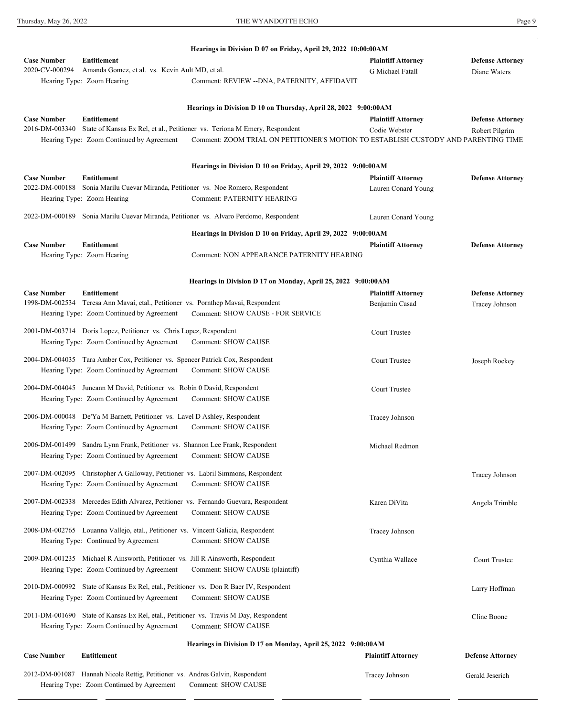$\sim$ 

|                                      |                                                                                          | Hearings in Division D 07 on Friday, April 29, 2022 10:00:00AM                        |                           |                         |
|--------------------------------------|------------------------------------------------------------------------------------------|---------------------------------------------------------------------------------------|---------------------------|-------------------------|
| <b>Case Number</b>                   | Entitlement                                                                              |                                                                                       | <b>Plaintiff Attorney</b> | <b>Defense Attorney</b> |
| 2020-CV-000294                       | Amanda Gomez, et al. vs. Kevin Ault MD, et al.                                           |                                                                                       | G Michael Fatall          | Diane Waters            |
|                                      | Hearing Type: Zoom Hearing                                                               | Comment: REVIEW -- DNA, PATERNITY, AFFIDAVIT                                          |                           |                         |
|                                      |                                                                                          | Hearings in Division D 10 on Thursday, April 28, 2022 9:00:00AM                       |                           |                         |
| <b>Case Number</b>                   | Entitlement                                                                              |                                                                                       | <b>Plaintiff Attorney</b> | <b>Defense Attorney</b> |
| 2016-DM-003340                       |                                                                                          | State of Kansas Ex Rel, et al., Petitioner vs. Teriona M Emery, Respondent            | Codie Webster             | Robert Pilgrim          |
|                                      | Hearing Type: Zoom Continued by Agreement                                                | Comment: ZOOM TRIAL ON PETITIONER'S MOTION TO ESTABLISH CUSTODY AND PARENTING TIME    |                           |                         |
|                                      |                                                                                          | Hearings in Division D 10 on Friday, April 29, 2022 9:00:00AM                         |                           |                         |
| <b>Case Number</b>                   | <b>Entitlement</b>                                                                       |                                                                                       | <b>Plaintiff Attorney</b> | <b>Defense Attorney</b> |
| 2022-DM-000188                       | Sonia Marilu Cuevar Miranda, Petitioner vs. Noe Romero, Respondent                       |                                                                                       | Lauren Conard Young       |                         |
|                                      | Hearing Type: Zoom Hearing                                                               | <b>Comment: PATERNITY HEARING</b>                                                     |                           |                         |
|                                      |                                                                                          | 2022-DM-000189 Sonia Marilu Cuevar Miranda, Petitioner vs. Alvaro Perdomo, Respondent | Lauren Conard Young       |                         |
|                                      |                                                                                          | Hearings in Division D 10 on Friday, April 29, 2022 9:00:00AM                         |                           |                         |
| <b>Case Number</b>                   | <b>Entitlement</b><br>Hearing Type: Zoom Hearing                                         | Comment: NON APPEARANCE PATERNITY HEARING                                             | <b>Plaintiff Attorney</b> | <b>Defense Attorney</b> |
|                                      |                                                                                          |                                                                                       |                           |                         |
|                                      |                                                                                          | Hearings in Division D 17 on Monday, April 25, 2022 9:00:00AM                         |                           |                         |
| <b>Case Number</b><br>1998-DM-002534 | <b>Entitlement</b><br>Teresa Ann Mavai, etal., Petitioner vs. Pornthep Mavai, Respondent |                                                                                       | <b>Plaintiff Attorney</b> | <b>Defense Attorney</b> |
|                                      | Hearing Type: Zoom Continued by Agreement                                                | <b>Comment: SHOW CAUSE - FOR SERVICE</b>                                              | Benjamin Casad            | <b>Tracey Johnson</b>   |
|                                      |                                                                                          |                                                                                       |                           |                         |
|                                      | 2001-DM-003714 Doris Lopez, Petitioner vs. Chris Lopez, Respondent                       |                                                                                       | <b>Court Trustee</b>      |                         |
|                                      | Hearing Type: Zoom Continued by Agreement                                                | <b>Comment: SHOW CAUSE</b>                                                            |                           |                         |
|                                      | 2004-DM-004035 Tara Amber Cox, Petitioner vs. Spencer Patrick Cox, Respondent            |                                                                                       | <b>Court Trustee</b>      | Joseph Rockey           |
|                                      | Hearing Type: Zoom Continued by Agreement                                                | <b>Comment: SHOW CAUSE</b>                                                            |                           |                         |
|                                      | 2004-DM-004045 Juneann M David, Petitioner vs. Robin 0 David, Respondent                 |                                                                                       |                           |                         |
|                                      | Hearing Type: Zoom Continued by Agreement                                                | <b>Comment: SHOW CAUSE</b>                                                            | Court Trustee             |                         |
|                                      |                                                                                          |                                                                                       |                           |                         |
|                                      | 2006-DM-000048 De'Ya M Barnett, Petitioner vs. Lavel D Ashley, Respondent                | <b>Comment: SHOW CAUSE</b>                                                            | Tracey Johnson            |                         |
|                                      | Hearing Type: Zoom Continued by Agreement                                                |                                                                                       |                           |                         |
|                                      | 2006-DM-001499 Sandra Lynn Frank, Petitioner vs. Shannon Lee Frank, Respondent           |                                                                                       | Michael Redmon            |                         |
|                                      | Hearing Type: Zoom Continued by Agreement                                                | <b>Comment: SHOW CAUSE</b>                                                            |                           |                         |
|                                      | 2007-DM-002095 Christopher A Galloway, Petitioner vs. Labril Simmons, Respondent         |                                                                                       |                           | Tracey Johnson          |
|                                      | Hearing Type: Zoom Continued by Agreement                                                | <b>Comment: SHOW CAUSE</b>                                                            |                           |                         |
|                                      | 2007-DM-002338 Mercedes Edith Alvarez, Petitioner vs. Fernando Guevara, Respondent       |                                                                                       |                           |                         |
|                                      | Hearing Type: Zoom Continued by Agreement                                                | <b>Comment: SHOW CAUSE</b>                                                            | Karen DiVita              | Angela Trimble          |
|                                      |                                                                                          |                                                                                       |                           |                         |
|                                      | 2008-DM-002765 Louanna Vallejo, etal., Petitioner vs. Vincent Galicia, Respondent        |                                                                                       | Tracey Johnson            |                         |
|                                      | Hearing Type: Continued by Agreement                                                     | <b>Comment: SHOW CAUSE</b>                                                            |                           |                         |
|                                      | 2009-DM-001235 Michael R Ainsworth, Petitioner vs. Jill R Ainsworth, Respondent          |                                                                                       | Cynthia Wallace           | <b>Court Trustee</b>    |
|                                      | Hearing Type: Zoom Continued by Agreement                                                | Comment: SHOW CAUSE (plaintiff)                                                       |                           |                         |
|                                      | 2010-DM-000992 State of Kansas Ex Rel, etal., Petitioner vs. Don R Baer IV, Respondent   |                                                                                       |                           |                         |
|                                      | Hearing Type: Zoom Continued by Agreement                                                | <b>Comment: SHOW CAUSE</b>                                                            |                           | Larry Hoffman           |
|                                      |                                                                                          |                                                                                       |                           |                         |
|                                      | 2011-DM-001690 State of Kansas Ex Rel, etal., Petitioner vs. Travis M Day, Respondent    |                                                                                       |                           | Cline Boone             |
|                                      | Hearing Type: Zoom Continued by Agreement                                                | <b>Comment: SHOW CAUSE</b>                                                            |                           |                         |
|                                      |                                                                                          | Hearings in Division D 17 on Monday, April 25, 2022 9:00:00AM                         |                           |                         |
| <b>Case Number</b>                   | <b>Entitlement</b>                                                                       |                                                                                       | <b>Plaintiff Attorney</b> | <b>Defense Attorney</b> |
|                                      | 2012-DM-001087 Hannah Nicole Rettig, Petitioner vs. Andres Galvin, Respondent            |                                                                                       | Tracey Johnson            | Gerald Jeserich         |
|                                      | Hearing Type: Zoom Continued by Agreement Comment: SHOW CAUSE                            |                                                                                       |                           |                         |

2013-DM-000752 Bethany Ann Leir, Petitioner vs. Kyle Thomas Leir, Respondent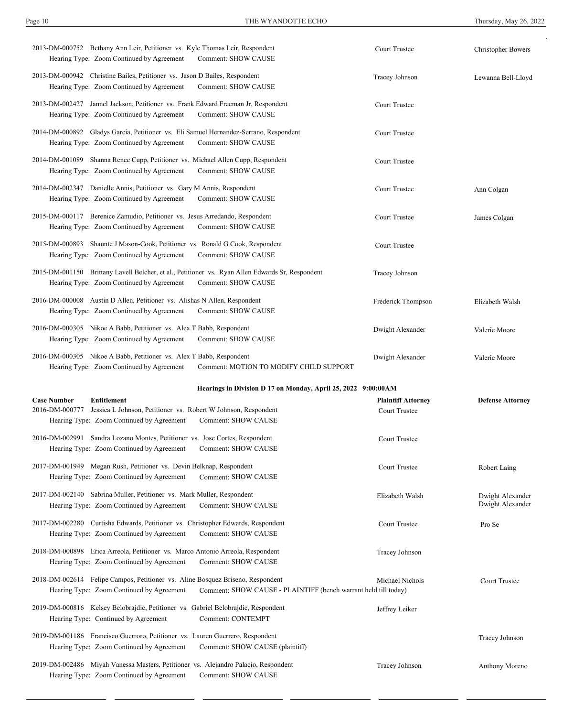| 2013-DM-000752 Bethany Ann Leir, Petitioner vs. Kyle Thomas Leir, Respondent<br>Hearing Type: Zoom Continued by Agreement<br><b>Comment: SHOW CAUSE</b>                                                 | <b>Court Trustee</b>                              | <b>Christopher Bowers</b>            |
|---------------------------------------------------------------------------------------------------------------------------------------------------------------------------------------------------------|---------------------------------------------------|--------------------------------------|
| 2013-DM-000942 Christine Bailes, Petitioner vs. Jason D Bailes, Respondent<br>Hearing Type: Zoom Continued by Agreement<br>Comment: SHOW CAUSE                                                          | Tracey Johnson                                    | Lewanna Bell-Lloyd                   |
| 2013-DM-002427 Jannel Jackson, Petitioner vs. Frank Edward Freeman Jr, Respondent<br><b>Comment: SHOW CAUSE</b><br>Hearing Type: Zoom Continued by Agreement                                            | <b>Court Trustee</b>                              |                                      |
| 2014-DM-000892 Gladys Garcia, Petitioner vs. Eli Samuel Hernandez-Serrano, Respondent<br>Hearing Type: Zoom Continued by Agreement<br><b>Comment: SHOW CAUSE</b>                                        | <b>Court Trustee</b>                              |                                      |
| 2014-DM-001089 Shanna Renee Cupp, Petitioner vs. Michael Allen Cupp, Respondent<br><b>Comment: SHOW CAUSE</b><br>Hearing Type: Zoom Continued by Agreement                                              | <b>Court Trustee</b>                              |                                      |
| 2014-DM-002347 Danielle Annis, Petitioner vs. Gary M Annis, Respondent<br>Comment: SHOW CAUSE<br>Hearing Type: Zoom Continued by Agreement                                                              | <b>Court Trustee</b>                              | Ann Colgan                           |
| 2015-DM-000117 Berenice Zamudio, Petitioner vs. Jesus Arredando, Respondent<br>Hearing Type: Zoom Continued by Agreement<br>Comment: SHOW CAUSE                                                         | <b>Court Trustee</b>                              | James Colgan                         |
| 2015-DM-000893 Shaunte J Mason-Cook, Petitioner vs. Ronald G Cook, Respondent<br><b>Comment: SHOW CAUSE</b><br>Hearing Type: Zoom Continued by Agreement                                                | <b>Court Trustee</b>                              |                                      |
| 2015-DM-001150 Brittany Lavell Belcher, et al., Petitioner vs. Ryan Allen Edwards Sr, Respondent<br>Hearing Type: Zoom Continued by Agreement<br><b>Comment: SHOW CAUSE</b>                             | Tracey Johnson                                    |                                      |
| 2016-DM-000008 Austin D Allen, Petitioner vs. Alishas N Allen, Respondent<br>Hearing Type: Zoom Continued by Agreement<br>Comment: SHOW CAUSE                                                           | Frederick Thompson                                | Elizabeth Walsh                      |
| 2016-DM-000305 Nikoe A Babb, Petitioner vs. Alex T Babb, Respondent<br><b>Comment: SHOW CAUSE</b><br>Hearing Type: Zoom Continued by Agreement                                                          | Dwight Alexander                                  | Valerie Moore                        |
| 2016-DM-000305 Nikoe A Babb, Petitioner vs. Alex T Babb, Respondent                                                                                                                                     | Dwight Alexander                                  | Valerie Moore                        |
| Hearing Type: Zoom Continued by Agreement<br>Comment: MOTION TO MODIFY CHILD SUPPORT                                                                                                                    |                                                   |                                      |
| Hearings in Division D 17 on Monday, April 25, 2022 9:00:00AM                                                                                                                                           |                                                   |                                      |
| <b>Case Number</b><br><b>Entitlement</b><br>2016-DM-000777<br>Jessica L Johnson, Petitioner vs. Robert W Johnson, Respondent<br><b>Comment: SHOW CAUSE</b><br>Hearing Type: Zoom Continued by Agreement | <b>Plaintiff Attorney</b><br><b>Court Trustee</b> | <b>Defense Attorney</b>              |
| 2016-DM-002991 Sandra Lozano Montes, Petitioner vs. Jose Cortes, Respondent<br>Hearing Type: Zoom Continued by Agreement<br><b>Comment: SHOW CAUSE</b>                                                  | <b>Court Trustee</b>                              |                                      |
| 2017-DM-001949 Megan Rush, Petitioner vs. Devin Belknap, Respondent<br>Hearing Type: Zoom Continued by Agreement<br><b>Comment: SHOW CAUSE</b>                                                          | <b>Court Trustee</b>                              | Robert Laing                         |
| 2017-DM-002140 Sabrina Muller, Petitioner vs. Mark Muller, Respondent<br>Hearing Type: Zoom Continued by Agreement<br><b>Comment: SHOW CAUSE</b>                                                        | Elizabeth Walsh                                   | Dwight Alexander<br>Dwight Alexander |
| 2017-DM-002280 Curtisha Edwards, Petitioner vs. Christopher Edwards, Respondent<br><b>Comment: SHOW CAUSE</b><br>Hearing Type: Zoom Continued by Agreement                                              | <b>Court Trustee</b>                              | Pro Se                               |
| 2018-DM-000898 Erica Arreola, Petitioner vs. Marco Antonio Arreola, Respondent<br>Hearing Type: Zoom Continued by Agreement<br><b>Comment: SHOW CAUSE</b>                                               | Tracey Johnson                                    |                                      |
| 2018-DM-002614 Felipe Campos, Petitioner vs. Aline Bosquez Briseno, Respondent<br>Comment: SHOW CAUSE - PLAINTIFF (bench warrant held till today)<br>Hearing Type: Zoom Continued by Agreement          | Michael Nichols                                   | <b>Court Trustee</b>                 |
| 2019-DM-000816 Kelsey Belobrajdic, Petitioner vs. Gabriel Belobrajdic, Respondent<br>Comment: CONTEMPT<br>Hearing Type: Continued by Agreement                                                          | Jeffrey Leiker                                    |                                      |
| 2019-DM-001186 Francisco Guerroro, Petitioner vs. Lauren Guerrero, Respondent<br>Hearing Type: Zoom Continued by Agreement<br>Comment: SHOW CAUSE (plaintiff)                                           |                                                   | <b>Tracey Johnson</b>                |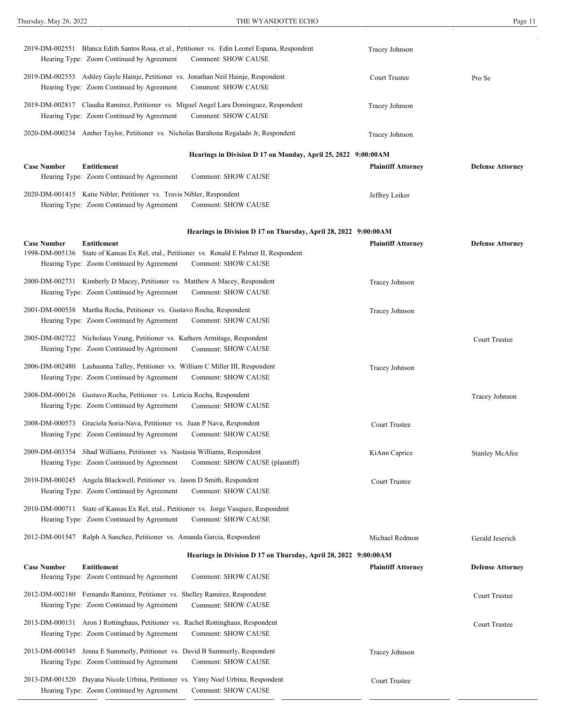| 2019-DM-002551 Blanca Edith Santos Rosa, et al., Petitioner vs. Edin Leonel Espana, Respondent<br>Hearing Type: Zoom Continued by Agreement                                   | <b>Comment: SHOW CAUSE</b>                                      | Tracey Johnson            |                         |
|-------------------------------------------------------------------------------------------------------------------------------------------------------------------------------|-----------------------------------------------------------------|---------------------------|-------------------------|
| 2019-DM-002553 Ashley Gayle Hainje, Petitioner vs. Jonathan Neil Hainje, Respondent<br>Hearing Type: Zoom Continued by Agreement                                              | <b>Comment: SHOW CAUSE</b>                                      | <b>Court Trustee</b>      | Pro Se                  |
| 2019-DM-002817 Claudia Ramirez, Petitioner vs. Miguel Angel Lara Dominguez, Respondent<br>Hearing Type: Zoom Continued by Agreement                                           | <b>Comment: SHOW CAUSE</b>                                      | Tracey Johnson            |                         |
| 2020-DM-000234 Amber Taylor, Petitioner vs. Nicholas Barahona Regalado Jr, Respondent                                                                                         |                                                                 | Tracey Johnson            |                         |
|                                                                                                                                                                               | Hearings in Division D 17 on Monday, April 25, 2022 9:00:00AM   |                           |                         |
| <b>Case Number</b><br>Entitlement<br>Hearing Type: Zoom Continued by Agreement                                                                                                | <b>Comment: SHOW CAUSE</b>                                      | <b>Plaintiff Attorney</b> | <b>Defense Attorney</b> |
| 2020-DM-001415 Katie Nibler, Petitioner vs. Travis Nibler, Respondent<br>Hearing Type: Zoom Continued by Agreement                                                            | <b>Comment: SHOW CAUSE</b>                                      | Jeffrey Leiker            |                         |
|                                                                                                                                                                               | Hearings in Division D 17 on Thursday, April 28, 2022 9:00:00AM |                           |                         |
| <b>Case Number</b><br>Entitlement<br>1998-DM-005136 State of Kansas Ex Rel, etal., Petitioner vs. Ronald E Palmer II, Respondent<br>Hearing Type: Zoom Continued by Agreement | <b>Comment: SHOW CAUSE</b>                                      | <b>Plaintiff Attorney</b> | <b>Defense Attorney</b> |
| 2000-DM-002731 Kimberly D Macey, Petitioner vs. Matthew A Macey, Respondent<br>Hearing Type: Zoom Continued by Agreement                                                      | <b>Comment: SHOW CAUSE</b>                                      | Tracey Johnson            |                         |
| 2001-DM-000538 Martha Rocha, Petitioner vs. Gustavo Rocha, Respondent<br>Hearing Type: Zoom Continued by Agreement                                                            | <b>Comment: SHOW CAUSE</b>                                      | Tracey Johnson            |                         |
| 2005-DM-002722 Nicholaus Young, Petitioner vs. Kathern Armitage, Respondent<br>Hearing Type: Zoom Continued by Agreement Comment: SHOW CAUSE                                  |                                                                 |                           | <b>Court Trustee</b>    |
| 2006-DM-002480 Lashaunna Talley, Petitioner vs. William C Miller III, Respondent<br>Hearing Type: Zoom Continued by Agreement                                                 | <b>Comment: SHOW CAUSE</b>                                      | Tracey Johnson            |                         |
| 2008-DM-000126 Gustavo Rocha, Petitioner vs. Leticia Rocha, Respondent<br>Hearing Type: Zoom Continued by Agreement                                                           | <b>Comment: SHOW CAUSE</b>                                      |                           | Tracey Johnson          |
| 2008-DM-000573 Graciela Soria-Nava, Petitioner vs. Juan P Nava, Respondent<br>Hearing Type: Zoom Continued by Agreement                                                       | <b>Comment: SHOW CAUSE</b>                                      | <b>Court Trustee</b>      |                         |
| 2009-DM-003354 Jihad Williams, Petitioner vs. Nastasia Williams, Respondent<br>Hearing Type: Zoom Continued by Agreement                                                      | Comment: SHOW CAUSE (plaintiff)                                 | KiAnn Caprice             | <b>Stanley McAfee</b>   |
| 2010-DM-000245 Angela Blackwell, Petitioner vs. Jason D Smith, Respondent<br>Hearing Type: Zoom Continued by Agreement                                                        | <b>Comment: SHOW CAUSE</b>                                      | <b>Court Trustee</b>      |                         |
| 2010-DM-000711 State of Kansas Ex Rel, etal., Petitioner vs. Jorge Vasquez, Respondent<br>Hearing Type: Zoom Continued by Agreement                                           | <b>Comment: SHOW CAUSE</b>                                      |                           |                         |
| 2012-DM-001547 Ralph A Sanchez, Petitioner vs. Amanda Garcia, Respondent                                                                                                      |                                                                 | Michael Redmon            | Gerald Jeserich         |
|                                                                                                                                                                               | Hearings in Division D 17 on Thursday, April 28, 2022 9:00:00AM |                           |                         |
| <b>Case Number</b><br><b>Entitlement</b><br>Hearing Type: Zoom Continued by Agreement                                                                                         | <b>Comment: SHOW CAUSE</b>                                      | <b>Plaintiff Attorney</b> | <b>Defense Attorney</b> |
| 2012-DM-002180 Fernando Ramirez, Petitioner vs. Shelley Ramirez, Respondent<br>Hearing Type: Zoom Continued by Agreement                                                      | <b>Comment: SHOW CAUSE</b>                                      |                           | <b>Court Trustee</b>    |
| 2013-DM-000131 Aron J Rottinghaus, Petitioner vs. Rachel Rottinghaus, Respondent<br>Hearing Type: Zoom Continued by Agreement                                                 | <b>Comment: SHOW CAUSE</b>                                      |                           | <b>Court Trustee</b>    |
| 2013-DM-000345 Jenna E Summerly, Petitioner vs. David B Summerly, Respondent<br>Hearing Type: Zoom Continued by Agreement                                                     | <b>Comment: SHOW CAUSE</b>                                      | Tracey Johnson            |                         |
| Dayana Nicole Urbina, Petitioner vs. Yimy Noel Urbina, Respondent<br>2013-DM-001520<br>Hearing Type: Zoom Continued by Agreement                                              | <b>Comment: SHOW CAUSE</b>                                      | <b>Court Trustee</b>      |                         |

Thursday, May 26, 2022

THE WYANDOTTE ECHO Page 11

 $\mathbf{P}_{\mathcal{E}}$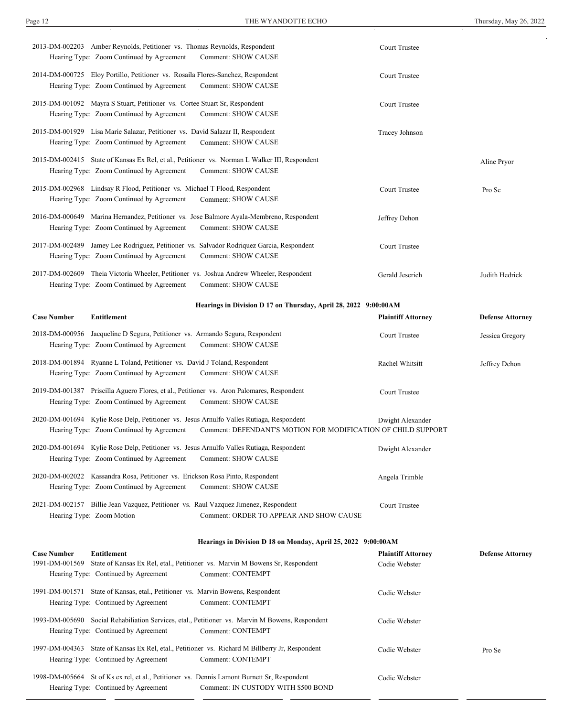| 2013-DM-002203 Amber Reynolds, Petitioner vs. Thomas Reynolds, Respondent<br>Hearing Type: Zoom Continued by Agreement       | <b>Comment: SHOW CAUSE</b>                                                                                                                               | <b>Court Trustee</b>                       |                         |
|------------------------------------------------------------------------------------------------------------------------------|----------------------------------------------------------------------------------------------------------------------------------------------------------|--------------------------------------------|-------------------------|
| 2014-DM-000725 Eloy Portillo, Petitioner vs. Rosaila Flores-Sanchez, Respondent<br>Hearing Type: Zoom Continued by Agreement | <b>Comment: SHOW CAUSE</b>                                                                                                                               | <b>Court Trustee</b>                       |                         |
| 2015-DM-001092 Mayra S Stuart, Petitioner vs. Cortee Stuart Sr, Respondent<br>Hearing Type: Zoom Continued by Agreement      | <b>Comment: SHOW CAUSE</b>                                                                                                                               | <b>Court Trustee</b>                       |                         |
| 2015-DM-001929 Lisa Marie Salazar, Petitioner vs. David Salazar II, Respondent<br>Hearing Type: Zoom Continued by Agreement  | <b>Comment: SHOW CAUSE</b>                                                                                                                               | Tracey Johnson                             |                         |
| Hearing Type: Zoom Continued by Agreement                                                                                    | 2015-DM-002415 State of Kansas Ex Rel, et al., Petitioner vs. Norman L Walker III, Respondent<br><b>Comment: SHOW CAUSE</b>                              |                                            | Aline Pryor             |
| 2015-DM-002968 Lindsay R Flood, Petitioner vs. Michael T Flood, Respondent<br>Hearing Type: Zoom Continued by Agreement      | <b>Comment: SHOW CAUSE</b>                                                                                                                               | <b>Court Trustee</b>                       | Pro Se                  |
| Hearing Type: Zoom Continued by Agreement                                                                                    | 2016-DM-000649 Marina Hernandez, Petitioner vs. Jose Balmore Ayala-Membreno, Respondent<br><b>Comment: SHOW CAUSE</b>                                    | Jeffrey Dehon                              |                         |
| Hearing Type: Zoom Continued by Agreement                                                                                    | 2017-DM-002489 Jamey Lee Rodriguez, Petitioner vs. Salvador Rodriguez Garcia, Respondent<br><b>Comment: SHOW CAUSE</b>                                   | <b>Court Trustee</b>                       |                         |
| Hearing Type: Zoom Continued by Agreement                                                                                    | 2017-DM-002609 Theia Victoria Wheeler, Petitioner vs. Joshua Andrew Wheeler, Respondent<br><b>Comment: SHOW CAUSE</b>                                    | Gerald Jeserich                            | Judith Hedrick          |
|                                                                                                                              | Hearings in Division D 17 on Thursday, April 28, 2022 9:00:00AM                                                                                          |                                            |                         |
| <b>Case Number</b><br><b>Entitlement</b>                                                                                     |                                                                                                                                                          | <b>Plaintiff Attorney</b>                  | <b>Defense Attorney</b> |
| 2018-DM-000956 Jacqueline D Segura, Petitioner vs. Armando Segura, Respondent<br>Hearing Type: Zoom Continued by Agreement   | <b>Comment: SHOW CAUSE</b>                                                                                                                               | <b>Court Trustee</b>                       | Jessica Gregory         |
| 2018-DM-001894 Ryanne L Toland, Petitioner vs. David J Toland, Respondent<br>Hearing Type: Zoom Continued by Agreement       | <b>Comment: SHOW CAUSE</b>                                                                                                                               | Rachel Whitsitt                            | Jeffrey Dehon           |
| Hearing Type: Zoom Continued by Agreement                                                                                    | 2019-DM-001387 Priscilla Aguero Flores, et al., Petitioner vs. Aron Palomares, Respondent<br><b>Comment: SHOW CAUSE</b>                                  | <b>Court Trustee</b>                       |                         |
| Hearing Type: Zoom Continued by Agreement                                                                                    | 2020-DM-001694 Kylie Rose Delp, Petitioner vs. Jesus Arnulfo Valles Rutiaga, Respondent<br>Comment: DEFENDANT'S MOTION FOR MODIFICATION OF CHILD SUPPORT | Dwight Alexander                           |                         |
| Hearing Type: Zoom Continued by Agreement                                                                                    | 2020-DM-001694 Kylie Rose Delp, Petitioner vs. Jesus Arnulfo Valles Rutiaga, Respondent<br><b>Comment: SHOW CAUSE</b>                                    | Dwight Alexander                           |                         |
| 2020-DM-002022 Kassandra Rosa, Petitioner vs. Erickson Rosa Pinto, Respondent<br>Hearing Type: Zoom Continued by Agreement   | <b>Comment: SHOW CAUSE</b>                                                                                                                               | Angela Trimble                             |                         |
| Hearing Type: Zoom Motion                                                                                                    | 2021-DM-002157 Billie Jean Vazquez, Petitioner vs. Raul Vazquez Jimenez, Respondent<br>Comment: ORDER TO APPEAR AND SHOW CAUSE                           | <b>Court Trustee</b>                       |                         |
|                                                                                                                              | Hearings in Division D 18 on Monday, April 25, 2022 9:00:00AM                                                                                            |                                            |                         |
| <b>Entitlement</b><br><b>Case Number</b>                                                                                     | 1991-DM-001569 State of Kansas Ex Rel, etal., Petitioner vs. Marvin M Bowens Sr, Respondent                                                              | <b>Plaintiff Attorney</b><br>Codie Webster | <b>Defense Attorney</b> |
| Hearing Type: Continued by Agreement                                                                                         | Comment: CONTEMPT                                                                                                                                        |                                            |                         |
| 1991-DM-001571 State of Kansas, etal., Petitioner vs. Marvin Bowens, Respondent                                              |                                                                                                                                                          |                                            |                         |
| Hearing Type: Continued by Agreement                                                                                         | Comment: CONTEMPT                                                                                                                                        | Codie Webster                              |                         |
| Hearing Type: Continued by Agreement                                                                                         | 1993-DM-005690 Social Rehabiliation Services, etal., Petitioner vs. Marvin M Bowens, Respondent<br><b>Comment: CONTEMPT</b>                              | Codie Webster                              |                         |
| Hearing Type: Continued by Agreement                                                                                         | 1997-DM-004363 State of Kansas Ex Rel, etal., Petitioner vs. Richard M Billberry Jr, Respondent<br>Comment: CONTEMPT                                     | Codie Webster                              | Pro Se                  |

Hearing Type: Zoom Continued by Agreement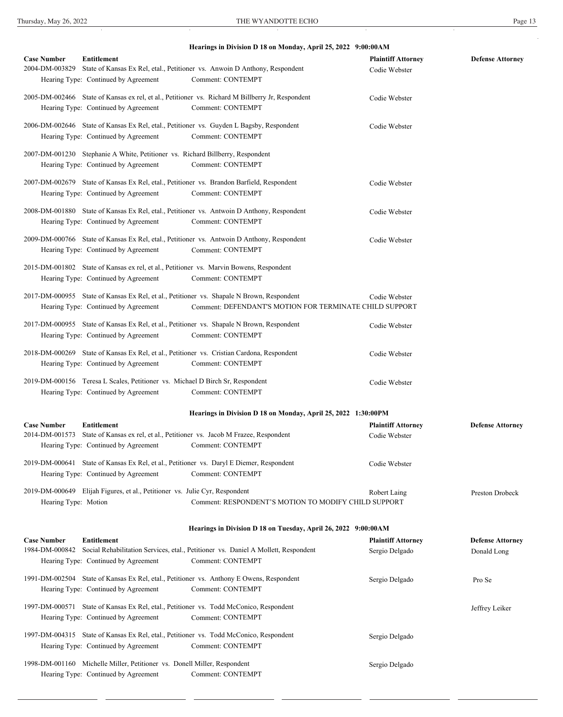|                      |                                                                                | Hearings in Division D 18 on Monday, April 25, 2022 9:00:00AM                                    |                                             |                         |
|----------------------|--------------------------------------------------------------------------------|--------------------------------------------------------------------------------------------------|---------------------------------------------|-------------------------|
| <b>Case Number</b>   | <b>Entitlement</b>                                                             |                                                                                                  | <b>Plaintiff Attorney</b>                   | <b>Defense Attorney</b> |
| 2004-DM-003829       |                                                                                | State of Kansas Ex Rel, etal., Petitioner vs. Anwoin D Anthony, Respondent                       | Codie Webster                               |                         |
|                      | Hearing Type: Continued by Agreement                                           | Comment: CONTEMPT                                                                                |                                             |                         |
|                      |                                                                                | 2005-DM-002466 State of Kansas ex rel, et al., Petitioner vs. Richard M Billberry Jr, Respondent | Codie Webster                               |                         |
|                      | Hearing Type: Continued by Agreement                                           | Comment: CONTEMPT                                                                                |                                             |                         |
|                      |                                                                                | 2006-DM-002646 State of Kansas Ex Rel, etal., Petitioner vs. Guyden L Bagsby, Respondent         | Codie Webster                               |                         |
|                      | Hearing Type: Continued by Agreement                                           | Comment: CONTEMPT                                                                                |                                             |                         |
|                      | 2007-DM-001230 Stephanie A White, Petitioner vs. Richard Billberry, Respondent |                                                                                                  |                                             |                         |
|                      | Hearing Type: Continued by Agreement                                           | Comment: CONTEMPT                                                                                |                                             |                         |
|                      |                                                                                | 2007-DM-002679 State of Kansas Ex Rel, etal., Petitioner vs. Brandon Barfield, Respondent        | Codie Webster                               |                         |
|                      | Hearing Type: Continued by Agreement                                           | Comment: CONTEMPT                                                                                |                                             |                         |
|                      |                                                                                | 2008-DM-001880 State of Kansas Ex Rel, etal., Petitioner vs. Antwoin D Anthony, Respondent       | Codie Webster                               |                         |
|                      | Hearing Type: Continued by Agreement                                           | Comment: CONTEMPT                                                                                |                                             |                         |
|                      |                                                                                | 2009-DM-000766 State of Kansas Ex Rel, etal., Petitioner vs. Antwoin D Anthony, Respondent       | Codie Webster                               |                         |
|                      | Hearing Type: Continued by Agreement                                           | Comment: CONTEMPT                                                                                |                                             |                         |
|                      |                                                                                | 2015-DM-001802 State of Kansas ex rel, et al., Petitioner vs. Marvin Bowens, Respondent          |                                             |                         |
|                      | Hearing Type: Continued by Agreement                                           | Comment: CONTEMPT                                                                                |                                             |                         |
|                      |                                                                                | 2017-DM-000955 State of Kansas Ex Rel, et al., Petitioner vs. Shapale N Brown, Respondent        | Codie Webster                               |                         |
|                      | Hearing Type: Continued by Agreement                                           | Comment: DEFENDANT'S MOTION FOR TERMINATE CHILD SUPPORT                                          |                                             |                         |
|                      |                                                                                | 2017-DM-000955 State of Kansas Ex Rel, et al., Petitioner vs. Shapale N Brown, Respondent        | Codie Webster                               |                         |
|                      | Hearing Type: Continued by Agreement                                           | Comment: CONTEMPT                                                                                |                                             |                         |
|                      |                                                                                | 2018-DM-000269 State of Kansas Ex Rel, et al., Petitioner vs. Cristian Cardona, Respondent       | Codie Webster                               |                         |
|                      | Hearing Type: Continued by Agreement                                           | Comment: CONTEMPT                                                                                |                                             |                         |
|                      | 2019-DM-000156 Teresa L Scales, Petitioner vs. Michael D Birch Sr, Respondent  |                                                                                                  | Codie Webster                               |                         |
|                      | Hearing Type: Continued by Agreement                                           | Comment: CONTEMPT                                                                                |                                             |                         |
|                      |                                                                                | Hearings in Division D 18 on Monday, April 25, 2022 1:30:00PM                                    |                                             |                         |
| <b>Case Number</b>   | <b>Entitlement</b>                                                             |                                                                                                  | <b>Plaintiff Attorney</b>                   | <b>Defense Attorney</b> |
| 2014-DM-001573       |                                                                                | State of Kansas ex rel, et al., Petitioner vs. Jacob M Frazee, Respondent                        | Codie Webster                               |                         |
|                      | Hearing Type: Continued by Agreement                                           | Comment: CONTEMPT                                                                                |                                             |                         |
|                      |                                                                                | 2019-DM-000641 State of Kansas Ex Rel, et al., Petitioner vs. Daryl E Diemer, Respondent         | Codie Webster                               |                         |
|                      | Hearing Type: Continued by Agreement                                           | Comment: CONTEMPT                                                                                |                                             |                         |
|                      | 2019-DM-000649 Elijah Figures, et al., Petitioner vs. Julie Cyr, Respondent    |                                                                                                  | Robert Laing                                | Preston Drobeck         |
| Hearing Type: Motion |                                                                                | Comment: RESPONDENT'S MOTION TO MODIFY CHILD SUPPORT                                             |                                             |                         |
|                      |                                                                                | Hearings in Division D 18 on Tuesday, April 26, 2022 9:00:00AM                                   |                                             |                         |
| <b>Case Number</b>   | <b>Entitlement</b>                                                             |                                                                                                  |                                             |                         |
| 1984-DM-000842       |                                                                                | Social Rehabilitation Services, etal., Petitioner vs. Daniel A Mollett, Respondent               | <b>Plaintiff Attorney</b><br>Sergio Delgado | <b>Defense Attorney</b> |
|                      | Hearing Type: Continued by Agreement                                           | Comment: CONTEMPT                                                                                |                                             | Donald Long             |
|                      |                                                                                | 1991-DM-002504 State of Kansas Ex Rel, etal., Petitioner vs. Anthony E Owens, Respondent         | Sergio Delgado                              | Pro Se                  |
|                      | Hearing Type: Continued by Agreement                                           | Comment: CONTEMPT                                                                                |                                             |                         |
|                      |                                                                                | 1997-DM-000571 State of Kansas Ex Rel, etal., Petitioner vs. Todd McConico, Respondent           |                                             | Jeffrey Leiker          |
|                      | Hearing Type: Continued by Agreement                                           | Comment: CONTEMPT                                                                                |                                             |                         |
|                      |                                                                                | 1997-DM-004315 State of Kansas Ex Rel, etal., Petitioner vs. Todd McConico, Respondent           | Sergio Delgado                              |                         |
|                      | Hearing Type: Continued by Agreement                                           | Comment: CONTEMPT                                                                                |                                             |                         |
|                      |                                                                                |                                                                                                  |                                             |                         |
|                      | 1998-DM-001160 Michelle Miller, Petitioner vs. Donell Miller, Respondent       |                                                                                                  | Sergio Delgado                              |                         |
|                      | Hearing Type: Continued by Agreement                                           | Comment: CONTEMPT                                                                                |                                             |                         |

Comment: CONTEMPT

Hearing Type: Continued by Agreement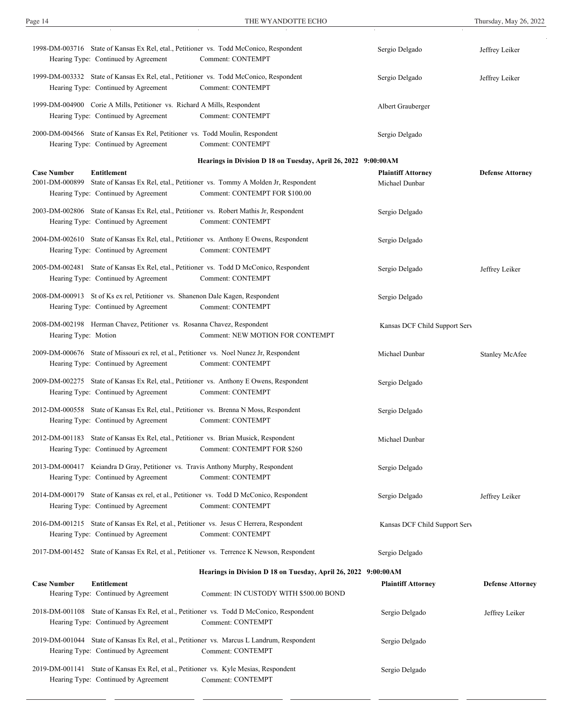| 1998-DM-003716 State of Kansas Ex Rel, etal., Petitioner vs. Todd McConico, Respondent<br>Hearing Type: Continued by Agreement                  | Comment: CONTEMPT                                                                                             | Sergio Delgado                              | Jeffrey Leiker          |
|-------------------------------------------------------------------------------------------------------------------------------------------------|---------------------------------------------------------------------------------------------------------------|---------------------------------------------|-------------------------|
| 1999-DM-003332 State of Kansas Ex Rel, etal., Petitioner vs. Todd McConico, Respondent<br>Hearing Type: Continued by Agreement                  | Comment: CONTEMPT                                                                                             | Sergio Delgado                              | Jeffrey Leiker          |
| 1999-DM-004900 Corie A Mills, Petitioner vs. Richard A Mills, Respondent<br>Hearing Type: Continued by Agreement                                | Comment: CONTEMPT                                                                                             | Albert Grauberger                           |                         |
| 2000-DM-004566 State of Kansas Ex Rel, Petitioner vs. Todd Moulin, Respondent<br>Hearing Type: Continued by Agreement                           | Comment: CONTEMPT                                                                                             | Sergio Delgado                              |                         |
|                                                                                                                                                 | Hearings in Division D 18 on Tuesday, April 26, 2022 9:00:00AM                                                |                                             |                         |
| <b>Case Number</b><br><b>Entitlement</b><br>2001-DM-000899<br>Hearing Type: Continued by Agreement                                              | State of Kansas Ex Rel, etal., Petitioner vs. Tommy A Molden Jr, Respondent<br>Comment: CONTEMPT FOR \$100.00 | <b>Plaintiff Attorney</b><br>Michael Dunbar | <b>Defense Attorney</b> |
| 2003-DM-002806 State of Kansas Ex Rel, etal., Petitioner vs. Robert Mathis Jr, Respondent<br>Hearing Type: Continued by Agreement               | Comment: CONTEMPT                                                                                             | Sergio Delgado                              |                         |
| 2004-DM-002610 State of Kansas Ex Rel, etal., Petitioner vs. Anthony E Owens, Respondent<br>Hearing Type: Continued by Agreement                | Comment: CONTEMPT                                                                                             | Sergio Delgado                              |                         |
| 2005-DM-002481 State of Kansas Ex Rel, etal., Petitioner vs. Todd D McConico, Respondent<br>Hearing Type: Continued by Agreement                | Comment: CONTEMPT                                                                                             | Sergio Delgado                              | Jeffrey Leiker          |
| 2008-DM-000913 St of Ks ex rel, Petitioner vs. Shanenon Dale Kagen, Respondent<br>Hearing Type: Continued by Agreement                          | Comment: CONTEMPT                                                                                             | Sergio Delgado                              |                         |
| 2008-DM-002198 Herman Chavez, Petitioner vs. Rosanna Chavez, Respondent<br>Hearing Type: Motion                                                 | Comment: NEW MOTION FOR CONTEMPT                                                                              | Kansas DCF Child Support Serv               |                         |
| 2009-DM-000676 State of Missouri ex rel, et al., Petitioner vs. Noel Nunez Jr, Respondent<br>Hearing Type: Continued by Agreement               | Comment: CONTEMPT                                                                                             | Michael Dunbar                              | <b>Stanley McAfee</b>   |
| 2009-DM-002275 State of Kansas Ex Rel, etal., Petitioner vs. Anthony E Owens, Respondent<br>Hearing Type: Continued by Agreement                | Comment: CONTEMPT                                                                                             | Sergio Delgado                              |                         |
| 2012-DM-000558 State of Kansas Ex Rel, etal., Petitioner vs. Brenna N Moss, Respondent<br>Hearing Type: Continued by Agreement                  | Comment: CONTEMPT                                                                                             | Sergio Delgado                              |                         |
| 2012-DM-001183 State of Kansas Ex Rel, etal., Petitioner vs. Brian Musick, Respondent<br>Hearing Type: Continued by Agreement                   | Comment: CONTEMPT FOR \$260                                                                                   | Michael Dunbar                              |                         |
| 2013-DM-000417 Keiandra D Gray, Petitioner vs. Travis Anthony Murphy, Respondent<br>Hearing Type: Continued by Agreement                        | Comment: CONTEMPT                                                                                             | Sergio Delgado                              |                         |
| 2014-DM-000179 State of Kansas ex rel, et al., Petitioner vs. Todd D McConico, Respondent<br>Hearing Type: Continued by Agreement               | Comment: CONTEMPT                                                                                             | Sergio Delgado                              | Jeffrey Leiker          |
| 2016-DM-001215 State of Kansas Ex Rel, et al., Petitioner vs. Jesus C Herrera, Respondent<br>Hearing Type: Continued by Agreement               | Comment: CONTEMPT                                                                                             | Kansas DCF Child Support Serv               |                         |
| 2017-DM-001452 State of Kansas Ex Rel, et al., Petitioner vs. Terrence K Newson, Respondent                                                     |                                                                                                               | Sergio Delgado                              |                         |
|                                                                                                                                                 | Hearings in Division D 18 on Tuesday, April 26, 2022 9:00:00AM                                                |                                             |                         |
| <b>Case Number</b><br><b>Entitlement</b><br>Hearing Type: Continued by Agreement                                                                | Comment: IN CUSTODY WITH \$500.00 BOND                                                                        | <b>Plaintiff Attorney</b>                   | <b>Defense Attorney</b> |
| 2018-DM-001108 State of Kansas Ex Rel, et al., Petitioner vs. Todd D McConico, Respondent<br>Hearing Type: Continued by Agreement               | <b>Comment: CONTEMPT</b>                                                                                      | Sergio Delgado                              | Jeffrey Leiker          |
| 2019-DM-001044 State of Kansas Ex Rel, et al., Petitioner vs. Marcus L Landrum, Respondent<br>Hearing Type: Continued by Agreement              | Comment: CONTEMPT                                                                                             | Sergio Delgado                              |                         |
| 2019-DM-001141 State of Kansas Ex Rel, et al., Petitioner vs. Kyle Mesias, Respondent<br>Hearing Type: Continued by Agreement Comment: CONTEMPT |                                                                                                               | Sergio Delgado                              |                         |

Sergio Delgado

2019-DM-001257 State of Kansas Ex Rel, et al., Petitioner vs. Noel Nunez Jr, Respondent

Hearing Type: Continued by Agreement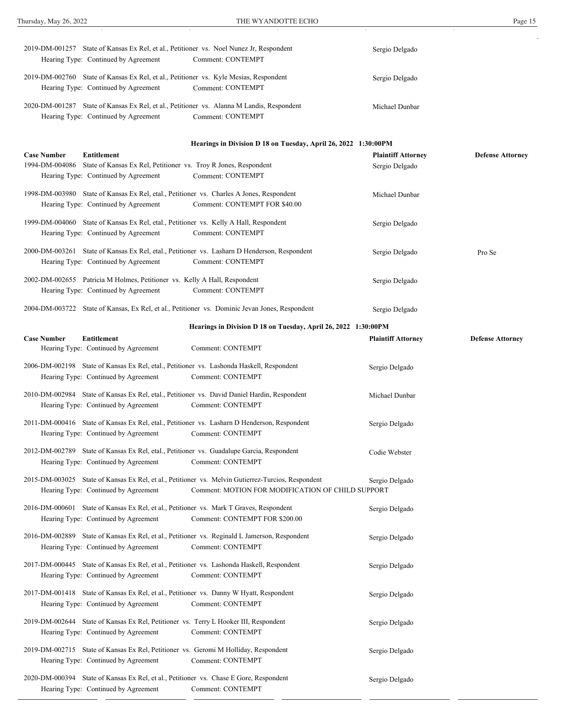Hearing Type: Continued by Agreement

| Hearing Type: Continued by Agreement                                                                              | 2019-DM-001257 State of Kansas Ex Rel, et al., Petitioner vs. Noel Nunez Jr, Respondent<br>Comment: CONTEMPT              | Sergio Delgado                                                      |                         |
|-------------------------------------------------------------------------------------------------------------------|---------------------------------------------------------------------------------------------------------------------------|---------------------------------------------------------------------|-------------------------|
| Hearing Type: Continued by Agreement                                                                              | 2019-DM-002760 State of Kansas Ex Rel, et al., Petitioner vs. Kyle Mesias, Respondent<br>Comment: CONTEMPT                | Sergio Delgado                                                      |                         |
| Hearing Type: Continued by Agreement                                                                              | 2020-DM-001287 State of Kansas Ex Rel, et al., Petitioner vs. Alanna M Landis, Respondent<br>Comment: CONTEMPT            | Michael Dunbar                                                      |                         |
|                                                                                                                   |                                                                                                                           | Hearings in Division D 18 on Tuesday, April 26, 2022 1:30:00PM      |                         |
| <b>Case Number</b><br><b>Entitlement</b><br>Hearing Type: Continued by Agreement                                  | 1994-DM-004086 State of Kansas Ex Rel, Petitioner vs. Troy R Jones, Respondent<br><b>Comment: CONTEMPT</b>                | <b>Plaintiff Attorney</b><br>Sergio Delgado                         | <b>Defense Attorney</b> |
| Hearing Type: Continued by Agreement                                                                              | 1998-DM-003980 State of Kansas Ex Rel, etal., Petitioner vs. Charles A Jones, Respondent<br>Comment: CONTEMPT FOR \$40.00 | Michael Dunbar                                                      |                         |
| Hearing Type: Continued by Agreement                                                                              | 1999-DM-004060 State of Kansas Ex Rel, etal., Petitioner vs. Kelly A Hall, Respondent<br>Comment: CONTEMPT                | Sergio Delgado                                                      |                         |
| Hearing Type: Continued by Agreement                                                                              | 2000-DM-003261 State of Kansas Ex Rel, etal., Petitioner vs. Lasharn D Henderson, Respondent<br>Comment: CONTEMPT         | Sergio Delgado                                                      | Pro Se                  |
| 2002-DM-002655 Patricia M Holmes, Petitioner vs. Kelly A Hall, Respondent<br>Hearing Type: Continued by Agreement | <b>Comment: CONTEMPT</b>                                                                                                  | Sergio Delgado                                                      |                         |
|                                                                                                                   | 2004-DM-003722 State of Kansas, Ex Rel, et al., Petitioner vs. Dominic Jevan Jones, Respondent                            | Sergio Delgado                                                      |                         |
|                                                                                                                   |                                                                                                                           | Hearings in Division D 18 on Tuesday, April 26, 2022 1:30:00PM      |                         |
| <b>Case Number</b><br><b>Entitlement</b><br>Hearing Type: Continued by Agreement                                  | Comment: CONTEMPT                                                                                                         | <b>Plaintiff Attorney</b>                                           | <b>Defense Attorney</b> |
| Hearing Type: Continued by Agreement                                                                              | 2006-DM-002198 State of Kansas Ex Rel, etal., Petitioner vs. Lashonda Haskell, Respondent<br>Comment: CONTEMPT            | Sergio Delgado                                                      |                         |
| Hearing Type: Continued by Agreement                                                                              | 2010-DM-002984 State of Kansas Ex Rel, etal., Petitioner vs. David Daniel Hardin, Respondent<br><b>Comment: CONTEMPT</b>  | Michael Dunbar                                                      |                         |
| Hearing Type: Continued by Agreement                                                                              | 2011-DM-000416 State of Kansas Ex Rel, etal., Petitioner vs. Lasharn D Henderson, Respondent<br>Comment: CONTEMPT         | Sergio Delgado                                                      |                         |
| Hearing Type: Continued by Agreement                                                                              | 2012-DM-002789 State of Kansas Ex Rel, etal., Petitioner vs. Guadalupe Garcia, Respondent<br>Comment: CONTEMPT            | Codie Webster                                                       |                         |
| Hearing Type: Continued by Agreement                                                                              | 2015-DM-003025 State of Kansas Ex Rel, et al., Petitioner vs. Melvin Gutierrez-Turcios, Respondent                        | Sergio Delgado<br>Comment: MOTION FOR MODIFICATION OF CHILD SUPPORT |                         |
| Hearing Type: Continued by Agreement                                                                              | 2016-DM-000601 State of Kansas Ex Rel, et al., Petitioner vs. Mark T Graves, Respondent<br>Comment: CONTEMPT FOR \$200.00 | Sergio Delgado                                                      |                         |
| Hearing Type: Continued by Agreement                                                                              | 2016-DM-002889 State of Kansas Ex Rel, et al., Petitioner vs. Reginald L Jamerson, Respondent<br>Comment: CONTEMPT        | Sergio Delgado                                                      |                         |
| Hearing Type: Continued by Agreement                                                                              | 2017-DM-000445 State of Kansas Ex Rel, et al., Petitioner vs. Lashonda Haskell, Respondent<br>Comment: CONTEMPT           | Sergio Delgado                                                      |                         |
| Hearing Type: Continued by Agreement                                                                              | 2017-DM-001418 State of Kansas Ex Rel, et al., Petitioner vs. Danny W Hyatt, Respondent<br>Comment: CONTEMPT              | Sergio Delgado                                                      |                         |
| Hearing Type: Continued by Agreement                                                                              | 2019-DM-002644 State of Kansas Ex Rel, Petitioner vs. Terry L Hooker III, Respondent<br>Comment: CONTEMPT                 | Sergio Delgado                                                      |                         |
| Hearing Type: Continued by Agreement                                                                              | 2019-DM-002715 State of Kansas Ex Rel, Petitioner vs. Geromi M Holliday, Respondent<br>Comment: CONTEMPT                  | Sergio Delgado                                                      |                         |
| Hearing Type: Continued by Agreement                                                                              | 2020-DM-000394 State of Kansas Ex Rel, et al., Petitioner vs. Chase E Gore, Respondent<br>Comment: CONTEMPT               | Sergio Delgado                                                      |                         |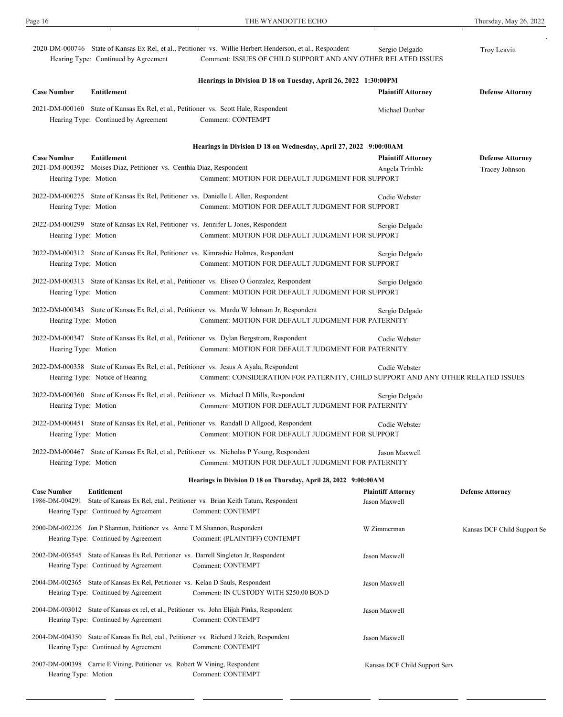|                                                                  | Hearing Type: Continued by Agreement                                                                                             | 2020-DM-000746 State of Kansas Ex Rel, et al., Petitioner vs. Willie Herbert Henderson, et al., Respondent<br>Comment: ISSUES OF CHILD SUPPORT AND ANY OTHER RELATED ISSUES | Sergio Delgado                             | Troy Leavitt                |  |  |  |
|------------------------------------------------------------------|----------------------------------------------------------------------------------------------------------------------------------|-----------------------------------------------------------------------------------------------------------------------------------------------------------------------------|--------------------------------------------|-----------------------------|--|--|--|
|                                                                  |                                                                                                                                  | Hearings in Division D 18 on Tuesday, April 26, 2022 1:30:00PM                                                                                                              |                                            |                             |  |  |  |
| <b>Case Number</b>                                               | Entitlement                                                                                                                      |                                                                                                                                                                             | <b>Plaintiff Attorney</b>                  | <b>Defense Attorney</b>     |  |  |  |
|                                                                  | 2021-DM-000160 State of Kansas Ex Rel, et al., Petitioner vs. Scott Hale, Respondent<br>Hearing Type: Continued by Agreement     | Comment: CONTEMPT                                                                                                                                                           | Michael Dunbar                             |                             |  |  |  |
| Hearings in Division D 18 on Wednesday, April 27, 2022 9:00:00AM |                                                                                                                                  |                                                                                                                                                                             |                                            |                             |  |  |  |
| <b>Case Number</b>                                               | Entitlement                                                                                                                      |                                                                                                                                                                             | <b>Plaintiff Attorney</b>                  | <b>Defense Attorney</b>     |  |  |  |
| Hearing Type: Motion                                             | 2021-DM-000392 Moises Diaz, Petitioner vs. Centhia Diaz, Respondent                                                              | Comment: MOTION FOR DEFAULT JUDGMENT FOR SUPPORT                                                                                                                            | Angela Trimble                             | Tracey Johnson              |  |  |  |
|                                                                  |                                                                                                                                  |                                                                                                                                                                             |                                            |                             |  |  |  |
| Hearing Type: Motion                                             | 2022-DM-000275 State of Kansas Ex Rel, Petitioner vs. Danielle L Allen, Respondent                                               | Comment: MOTION FOR DEFAULT JUDGMENT FOR SUPPORT                                                                                                                            | Codie Webster                              |                             |  |  |  |
| Hearing Type: Motion                                             | 2022-DM-000299 State of Kansas Ex Rel, Petitioner vs. Jennifer L Jones, Respondent                                               | Comment: MOTION FOR DEFAULT JUDGMENT FOR SUPPORT                                                                                                                            | Sergio Delgado                             |                             |  |  |  |
|                                                                  |                                                                                                                                  |                                                                                                                                                                             |                                            |                             |  |  |  |
| Hearing Type: Motion                                             |                                                                                                                                  | 2022-DM-000312 State of Kansas Ex Rel, Petitioner vs. Kimrashie Holmes, Respondent<br>Comment: MOTION FOR DEFAULT JUDGMENT FOR SUPPORT                                      | Sergio Delgado                             |                             |  |  |  |
| Hearing Type: Motion                                             |                                                                                                                                  | 2022-DM-000313 State of Kansas Ex Rel, et al., Petitioner vs. Eliseo O Gonzalez, Respondent<br>Comment: MOTION FOR DEFAULT JUDGMENT FOR SUPPORT                             | Sergio Delgado                             |                             |  |  |  |
| Hearing Type: Motion                                             |                                                                                                                                  | 2022-DM-000343 State of Kansas Ex Rel, et al., Petitioner vs. Mardo W Johnson Jr, Respondent<br>Comment: MOTION FOR DEFAULT JUDGMENT FOR PATERNITY                          | Sergio Delgado                             |                             |  |  |  |
| Hearing Type: Motion                                             |                                                                                                                                  | 2022-DM-000347 State of Kansas Ex Rel, et al., Petitioner vs. Dylan Bergstrom, Respondent<br>Comment: MOTION FOR DEFAULT JUDGMENT FOR PATERNITY                             | Codie Webster                              |                             |  |  |  |
|                                                                  | Hearing Type: Notice of Hearing                                                                                                  | 2022-DM-000358 State of Kansas Ex Rel, et al., Petitioner vs. Jesus A Ayala, Respondent<br>Comment: CONSIDERATION FOR PATERNITY, CHILD SUPPORT AND ANY OTHER RELATED ISSUES | Codie Webster                              |                             |  |  |  |
| Hearing Type: Motion                                             |                                                                                                                                  | 2022-DM-000360 State of Kansas Ex Rel, et al., Petitioner vs. Michael D Mills, Respondent<br>Comment: MOTION FOR DEFAULT JUDGMENT FOR PATERNITY                             | Sergio Delgado                             |                             |  |  |  |
| Hearing Type: Motion                                             |                                                                                                                                  | 2022-DM-000451 State of Kansas Ex Rel, et al., Petitioner vs. Randall D Allgood, Respondent<br>Comment: MOTION FOR DEFAULT JUDGMENT FOR SUPPORT                             | Codie Webster                              |                             |  |  |  |
| Hearing Type: Motion                                             |                                                                                                                                  | 2022-DM-000467 State of Kansas Ex Rel, et al., Petitioner vs. Nicholas P Young, Respondent<br>Comment: MOTION FOR DEFAULT JUDGMENT FOR PATERNITY                            | Jason Maxwell                              |                             |  |  |  |
|                                                                  |                                                                                                                                  | Hearings in Division D 18 on Thursday, April 28, 2022 9:00:00AM                                                                                                             |                                            |                             |  |  |  |
| <b>Case Number</b>                                               | <b>Entitlement</b><br>Hearing Type: Continued by Agreement                                                                       | 1986-DM-004291 State of Kansas Ex Rel, etal., Petitioner vs. Brian Keith Tatum, Respondent<br>Comment: CONTEMPT                                                             | <b>Plaintiff Attorney</b><br>Jason Maxwell | <b>Defense Attorney</b>     |  |  |  |
|                                                                  | 2000-DM-002226 Jon P Shannon, Petitioner vs. Anne T M Shannon, Respondent<br>Hearing Type: Continued by Agreement                | Comment: (PLAINTIFF) CONTEMPT                                                                                                                                               | W Zimmerman                                | Kansas DCF Child Support Se |  |  |  |
|                                                                  | 2002-DM-003545 State of Kansas Ex Rel, Petitioner vs. Darrell Singleton Jr, Respondent<br>Hearing Type: Continued by Agreement   | Comment: CONTEMPT                                                                                                                                                           | Jason Maxwell                              |                             |  |  |  |
|                                                                  | 2004-DM-002365 State of Kansas Ex Rel, Petitioner vs. Kelan D Sauls, Respondent<br>Hearing Type: Continued by Agreement          | Comment: IN CUSTODY WITH \$250.00 BOND                                                                                                                                      | Jason Maxwell                              |                             |  |  |  |
|                                                                  | Hearing Type: Continued by Agreement                                                                                             | 2004-DM-003012 State of Kansas ex rel, et al., Petitioner vs. John Elijah Pinks, Respondent<br>Comment: CONTEMPT                                                            | Jason Maxwell                              |                             |  |  |  |
|                                                                  | 2004-DM-004350 State of Kansas Ex Rel, etal., Petitioner vs. Richard J Reich, Respondent<br>Hearing Type: Continued by Agreement | Comment: CONTEMPT                                                                                                                                                           | Jason Maxwell                              |                             |  |  |  |
| Hearing Type: Motion                                             | 2007-DM-000398 Carrie E Vining, Petitioner vs. Robert W Vining, Respondent                                                       | Comment: CONTEMPT                                                                                                                                                           | Kansas DCF Child Support Serv              |                             |  |  |  |

Comment: CONTEMPT

Hearing Type: Continued by Agreement

Page 16 THE WYANDOTTE ECHO Thursday, May 26, 2022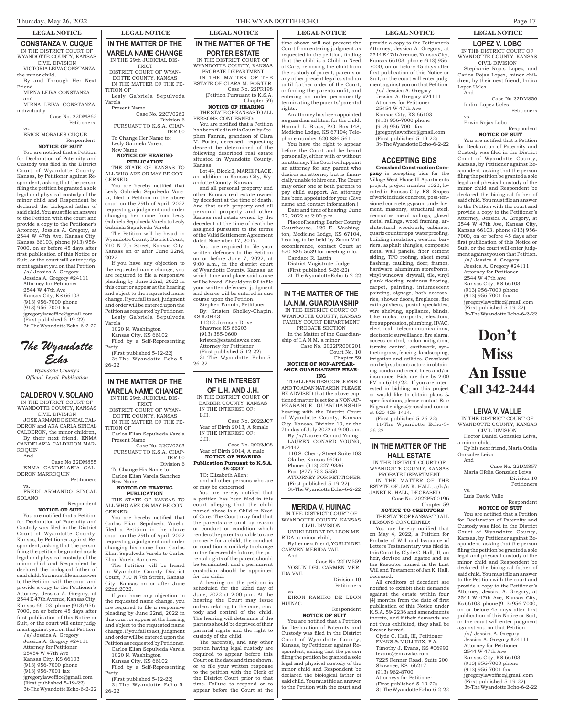#### **CONSTANZA V. CUQUE** IN THE DISTRICT COURT OF WYANDOTTE COUNTY, KANSAS

CIVIL DIVISION VICTORIA LEIVA CONSTANZA,

the minor child, By and Through Her Next Friend

MIRNA LEIVA CONSTANZA and

MIRNA LEIVA CONSTANZA, individually Case No. 22DM862

Petitioners,

#### vs. ERICK MORALES CUQUE

#### Respondent. **NOTICE OF SUIT**

You are notified that a Petition for Declaration of Paternity and Custody was filed in the District Court of Wyandotte County, Kansas, by Petitioner against Respondent, asking that the person filing the petition be granted a sole legal and physical custody of the minor child and Respondent be declared the biological father of said child. You must file an answer to the Petition with the court and provide a copy to the Petitioner's Attorney, Jessica A. Gregory, at 2544 W 47th Ave, Kansas City, Kansas 66103, phone (913) 956- 7000, on or before 45 days after first publication of this Notice or Suit, or the court will enter judgment against you on that Petition.

/s/ Jessica A. Gregory Jessica A. Gregory #24111 Attorney for Petitioner 2544 W 47th Ave Kansas City, KS 66103 (913) 956-7000 phone (913) 956-7001 fax jgregorylawoffice@gmail.com

(First published 5-19-22) 3t-The Wyandotte Echo-6-2-22

# The Wyandotte Echo

*Wyandotte County's Official Legal Publication*

# **CALDERON V. SOLANO**

IN THE DISTRICT COURT OF WYANDOTTE COUNTY, KANSAS CIVIL DIVISION JOSE ARMANDO SINCAL CAL-DERON and ANA CARLA SINCAL CALDERON, the minor children, By their next friend, ENMA

CANDELARIA CALDERON MAR-ROQUIN And Case No 22DM855

ENMA CANDELARIA CAL-DERON MARROQUIN Petitioners

vs. FREDI ARMANDO SINCAL SOLANO

#### Respondent **NOTICE OF SUIT**

You are notified that a Petition for Declaration of Paternity and Custody was filed in the District Court of Wyandotte County, Kansas, by Petitioner against Respondent, asking that the person filing the petition be granted a sole legal and physical custody of the minor child and Respondent be declared the biological father of said child. You must file an answer to the Petition with the court and provide a copy to the Petitioner's Attorney, Jessica A. Gregory, at 2544 E 47th Avenue, Kansas City, Kansas 66103, phone (913) 956- 7000, on or before 45 days after first publication of this Notice or Suit, or the court will enter judgment against you on that Petition.

/s/ Jessica A. Gregory Jessica A. Gregory #24111 Attorney for Petitioner 25454 W 47th Ave Kansas City, KS 66103 (913) 956-7000 phone (913) 956-7001 fax jgregorylawoffice@gmail.com (First published 5-19-22) 3t-The Wyandotte Echo-6-2-22

### **IN THE MATTER OF THE VARELA NAME CHANGE** IN THE 29th JUDICIAL DIS-**TRICT**

DISTRICT COURT OF WYAN-DOTTE COUNTY, KANSAS IN THE MATTER OF THE PE-TITION OF

Lesly Gabriela Sepulveda Varela Present Name

Case No. 22CV0262 Division 6 PURSUANT TO K.S.A. CHAP-

TER 60 To Change Her Name to: Lesly Gabriela Varela

New Name **NOTICE OF HEARING**

# **PUBLICATION**

THE STATE OF KANSAS TO ALL WHO ARE OR MAY BE CON-CERNED:

You are hereby notified that Lesly Gabriela Sepulveda Varela, filed a Petition in the above court on the 29th of April, 2022 requesting a judgment and order changing her name from Lesly Gabriela Sepulveda Varela to Lesly Gabriela Sepulveda Varela

The Petition will be heard in Wyandotte County District Court, 710 N 7th Street, Kansas City, Kansas on or after June 22nd,  $2022.$ 

If you have any objection to the requested name change, you are required to file a responsive pleading by June 22nd, 2022 in this court or appear at the hearing and object to the requested name change. If you fail to act, judgment and order will be entered upon the Petition as requested by Petitioner. Lesly Gabriela Sepulveda

Varela 1020 N. Washington Kansas City, KS 66102

Filed by a Self-Representing Party

(First published 5-12-22) 3t-The Wyandotte Echo-5- 26-22

### **IN THE MATTER OF THE VARELA NAME CHANGE** IN THE 29th JUDICIAL DIS-

TRICT DISTRICT COURT OF WYAN-DOTTE COUNTY, KANSAS IN THE MATTER OF THE PE-

TITION OF Carlos Elian Sepulveda Varela

Present Name Case No. 22CV0263 PURSUANT TO K.S.A. CHAP-TER 60

Division 6 To Change His Name to: Carlos Elian Varela Sanchez

#### **NOTICE OF HEARING PUBLICATION**

New Name

THE STATE OF KANSAS TO ALL WHO ARE OR MAY BE CON-CERNED:

You are hereby notified that Carlos Elian Sepulveda Varela, filed a Petition in the above court on the 29th of April, 2022 requesting a judgment and order changing his name from Carlos Elian Sepulveda Varela to Carlos Elian Varela Sanchez

The Petition will be heard in Wyandotte County District Court, 710 N 7th Street, Kansas City, Kansas on or after June 22nd, 2022.

If you have any objection to the requested name change, you are required to file a responsive pleading by June 22nd, 2022 in this court or appear at the hearing and object to the requested name change. If you fail to act, judgment and order will be entered upon the Petition as requested by Petitioner.

Carlos Elian Sepulveda Varela 1020 N. Washington

Kansas City, KS 66102 Filed by a Self-Representing

Party (First published 5-12-22) 3t-The Wyandotte Echo-5- 26-22

# **LEGAL NOTICE LEGAL NOTICE LEGAL NOTICE LEGAL NOTICE LEGAL NOTICE LEGAL NOTICE IN THE MATTER OF THE**

**PORTER ESTATE** IN THE DISTRICT COURT OF WYANDOTTE COUNTY, KANSAS PROBATE DEPARTMENT IN THE MATTER OF THE ESTATE OF CLARA M. PORTER Case No. 22PR198 (Petition Pursuant to K.S.A. Chapter 59) **NOTICE OF HEARING**

THE STATE OF KANSAS TO ALL PERSONS CONCERNED:

You are notified that a Petition has been filed in this Court by Stephen Fannin, grandson of Clara M. Porter, deceased, requesting descent be determined of the following described real estate situated in Wyandotte County, Kansas:

Lot 44, Block 2, MARIE PLACE, an addition in Kansas City, Wyandotte County, Kansas.

and all personal property and other Kansas real estate owned by decedent at the time of death. And that such property and all personal property and other Kansas real estate owned by the decedent at the time of death be assigned pursuant to the terms of the Valid Settlement Agreement dated November 17, 2017.

You are required to file your written defenses to the Petition on or before June 7, 2022, at 9:00 a.m., in the district court of Wyandotte County, Kansas, at which time and place said cause will be heard. Should you fail to file your written defenses, judgment and decree will be entered in due course upon the Petition.

Stephen Fannin, Petitioner By: Kristen Shelley-Chapin,  $KS \neq 20443$ 

11212 Johnson Drive Shawnee KS 66203 (913) 385-0600 kristen@estatelawks.com Attorney for Petitioner (First published 5-12-22) 3t-The Wyandotte Echo-5- 26-22

# **IN THE INTEREST OF L.H. AND J.H.**

IN THE DISTRICT COURT OF BARBER COUNTY, KANSAS IN THE INTEREST OF: L.H.

Case No. 2022JC7 Year of Birth 2013, A female IN THE INTEREST OF:  $H$  J.

Case No. 2022JC8 Year of Birth 2014, A male

**NOTICE OF HEARING Publication Pursuant to K.S.A. 38-2237**

TO: Elizabeth Allen: and all other persons who are or may be concerned

You are hereby notified that a petition has been filed in this court alleging that the child named above is a Child in Need of Care. The Court may find that the parents are unfit by reason or conduct or condition which

renders the parents unable to care properly for a child, the conduct or condition is unlikely to change in the foreseeable future, the parental rights of the parent should be terminated, and a permanent custodian should be appointed for the child.

A hearing on the petition is scheduled for the 22nd day of June, 2022 at 2:00 p.m. At the hearing the Court may issue orders relating to the care, custody and control of the child. The hearing will determine if the parents should be deprived of their parental rights and the right to custody of the child.

The parent(s), and any other person having legal custody are required to appear before this Court on the date and time shown, or to file your written response to the petition with the Clerk of the District Court prior to that time. Failure to respond or to appear before the Court at the

time shown will not prevent the Court from entering judgment as requested in the petition, finding that the child is a Child in Need of Care, removing the child from the custody of parent, parents or any other present legal custodian until further order of the Court, or finding the parents unfit, and entering an order permanently terminating the parents' parental

rights. An attorney has been appointed as guardian ad litem for the child: Hannah L. Brass, P.O. Box 148, Medicine Lodge, KS 67104; Telephone number 620-886-5611.

You have the right to appear before the Court and be heard personally, either with or without an attorney. The Court will appoint an attorney for any parent who desires an attorney but is financially unable to hire one. The Court may order one or both parents to pay child support. An attorney has been appointed for you: (Give name and contact information.) Date and time of hearing: June 22, 2022 at 2:00 p.m.

Place of hearing: Barber County Courthouse, 120 E. Washington, Medicine Lodge, KS 67104 hearing to be held by Zoom Videoconference, contact Court at

620-886-5639 for meeting info. Candace R. Lattin District Magistrate Judge (First published 5-26-22)

**IN THE MATTER OF THE I.A.N.M. GUARDIANSHIP**

2t-The Wyandotte Echo-6-2-22

IN THE DISTRICT COURT OF WYANDOTTE COUNTY, KANSAS

FAMILY COURT DEPARTMENT PROBATE SECTION In the Matter of the Guardianship of I.A.N.M. a minor.

Case No. 2022PR000201 Court No. 10

#### Chapter 59 **NOTICE OF NON-APPEAR-ANCE GUARDIANSHIP HEAR-ING**

TO ALL PARTIES CONCERNED AND TO ADAN NATAREN: PLEASE BE ADVISED that the above-captioned matter is set for a NON-AP-PEARANCE GUARDIANSHIP hearing with the District Court of Wyandotte County, Kansas City, Kansas, Division 10, on the 7th day of July 2022 at 9:00 a.m. By:/s/Lauren Conard Young LAUREN CONARD YOUNG,

#24442 110 S. Cherry Street Suite 103 Olathe, Kansas 66061 Phone: (913) 227-9336 Fax: (877) 753-5550 ATTORNEY FOR PETITIONER (First published 5-19-22) 3t-The Wyandotte Echo-6-2-22

### **MERIDA V. HUINAC** IN THE DISTRICT COURT OF

WYANDOTTE COUNTY, KANSAS CIVIL DIVISION UYUKI BRIDET DE LEON ME-RIDA, a minor child,

By her next friend, YOSLIN DEL CARMEN MERIDA VAIL And

Case No 22DM559 YOSLIN DEL CARMEN MER-IDA VAIL

Division 10 Petitioners vs. EIRON RAMIRO DE LEON

HUINAC Respondent

#### **NOTICE OF SUIT**

You are notified that a Petition for Declaration of Paternity and Custody was filed in the District Court of Wyandotte County, Kansas, by Petitioner against Respondent, asking that the person filing the petition be granted a sole legal and physical custody of the minor child and Respondent be declared the biological father of said child. You must file an answer to the Petition with the court and

provide a copy to the Petitioner's Attorney, Jessica A. Gregory, at 2544 E 47th Avenue, Kansas City, Kansas 66103, phone (913) 956- 7000, on or before 45 days after first publication of this Notice or Suit, or the court will enter judgment against you on that Petition. /s/ Jessica A. Gregory

Jessica A. Gregory #24111 Attorney for Petitioner 25454 W 47th Ave Kansas City, KS 66103 (913) 956-7000 phone (913) 956-7001 fax jgregorylawoffice@gmail.com (First published 5-19-22) 3t-The Wyandotte Echo-6-2-22

# **ACCEPTING BIDS**

**Crossland Construction Company** is accepting bids for the Village West Phase III Apartments project, project number 1323, located in Kansas City, KS. Scopes of work include concrete, post-tensioned concrete, gypsum underlayment, masonry, structural steel, decorative metal railings, glazed metal railings, wood framing, architectural woodwork, cabinets, quartz countertops, waterproofing, building insulation, weather barriers, asphalt shingles, composite metal wall panels, fiber cement siding, TPO roofing, sheet metal flashing, caulking, door, frames, hardware, aluminum storefronts, vinyl windows, drywall, tile, vinyl plank flooring, resinous flooring, carpet, painting, intumescent painting, signage, bath accessories, shower doors, fireplaces, fire extinguishers, postal specialties, wire shelving, appliance, blinds, bike racks, carports, elevators, fire suppression, plumbing, HVAC, electrical, telecommunications, electronic surveillance, fire alarm, access control, radon mitigation termite control, earthwork, synthetic grass, fencing, landscaping, irrigation and utilities. Crossland can help subcontractors in obtaining bonds and credit lines and/or insurance. Bids are due by 2:00 PM on  $6/14/22$ . If you are interested in bidding on this project or would like to obtain plans & specifications, please contact Eric Nilges at enilges@crossland.com or at 620-429-1414.

(First published 5-26-22) 1t-The Wyandotte Echo-5- 26-22

**LEIVA V. VALLE** IN THE DISTRICT COURT OF WYANDOTTE COUNTY, KANSAS CIVIL DIVISION Hector Daniel Gonzalez Leiva,

**Don't** 

**Miss** 

**An Issue**

**Call 342-2444**

**LOPEZ V. LOBO** IN THE DISTRICT COURT OF WYANDOTTE COUNTY, KANSAS CIVIL DIVISION Stephanie Rojas Lopez, and Carlos Rojas Lopez, minor children, by their next friend, Indira

Case No 22DM856

Petitioners

Respondent

Lopez Ucles And

vs.

Indira Lopez Ucles

Erwin Rojas Lobo

**NOTICE OF SUIT** You are notified that a Petition for Declaration of Paternity and Custody was filed in the District Court of Wyandotte County, Kansas, by Petitioner against Respondent, asking that the person filing the petition be granted a sole legal and physical custody of the minor child and Respondent be declared the biological father of said child. You must file an answer to the Petition with the court and provide a copy to the Petitioner's Attorney, Jessica A. Gregory, at 2544 W 47th Ave, Kansas City, Kansas 66103, phone (913) 956- 7000, on or before 45 days after first publication of this Notice or Suit, or the court will enter judgment against you on that Petition. /s/ Jessica A. Gregory Jessica A. Gregory #24111 Attorney for Petitioner 2544 W 47th Ave Kansas City, KS 66103 (913) 956-7000 phone (913) 956-7001 fax jgregorylawoffice@gmail.com (First published 5-19-22) 3t-The Wyandotte Echo-6-2-22

By his next friend, Maria Ofelia

Maria Ofelia Gonzalez Leiva

**NOTICE OF SUIT** You are notified that a Petition for Declaration of Paternity and Custody was filed in the District Court of Wyandotte County, Kansas, by Petitioner against Respondent, asking that the person filing the petition be granted a sole legal and physical custody of the minor child and Respondent be declared the biological father of said child. You must file an answer to the Petition with the court and provide a copy to the Petitioner's Attorney, Jessica A. Gregory, at 2544 W 47th Ave, Kansas City, Ks 66103, phone (913) 956-7000, on or before 45 days after first publication of this Notice or Suit, or the court will enter judgment against you on that Petition. /s/ Jessica A. Gregory Jessica A. Gregory #24111 Attorney for Petitioner 2544 W 47th Ave Kansas City, KS 66103 (913) 956-7000 phone (913) 956-7001 fax jgregorylawoffice@gmail.com (First published 5-19-22) 3t-The Wyandotte Echo-6-2-22

Case No. 22DM857

Division 10 Petitioners

Respondent

a minor child,

Gonzalez Leiva And

Luis David Valle

vs.

# **IN THE MATTER OF THE HALL ESTATE**

IN THE DISTRICT COURT OF WYANDOTTE COUNTY, KANSAS PROBATE DEPARTMENT

IN THE MATTER OF THE ESTATE OF JAN K. HALL,  $a/k/a$ JANET K. HALL, DECEASED. Case No. 2022PR00196 Chapter 59

#### **NOTICE TO CREDITORS** THE STATE OF KANSAS TO ALL PERSONS CONCERNED:

You are hereby notified that on May 4, 2022, a Petition for Probate of Will and Issuance of Letters Testamentary was filed in this Court by Clyde C. Hall, III, an heir, devisee and legatee and as the Executor named in the Last Will and Testament of Jan K. Hall

All creditors of decedent are notified to exhibit their demands against the estate within four (4) months from the date of first publication of this Notice under K.S.A. 59-2236 and amendments thereto, and if their demands are not thus exhibited, they shall be

Clyde C. Hall, III, Petitioner EVANS & MULLINIX, P.A. Timothy J. Evans, KS #06992 tevans@emlawkc.com 7225 Renner Road, Suite 200 Shawnee, KS 66217 (913) 962-8700 Attorneys for Petitioner (First published 5-19-22) 3t-The Wyandotte Echo-6-2-22

deceased.

forever barred.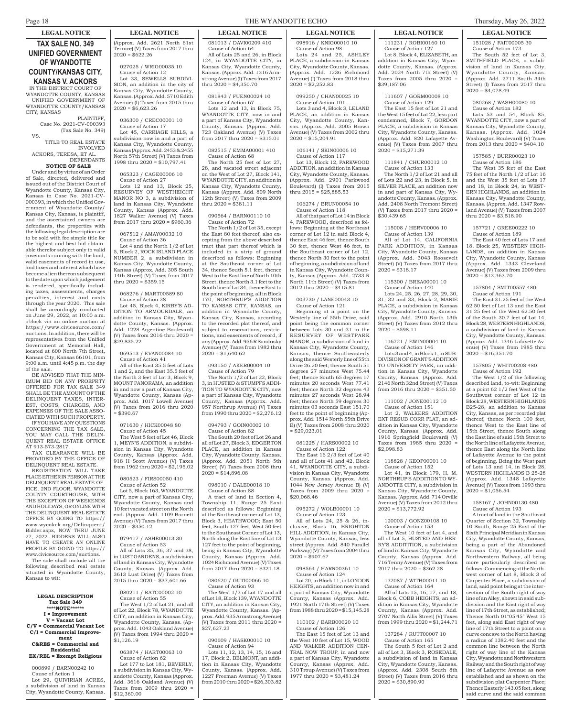# **TAX SALE NO. 349 UNIFIED GOVERNMENT OF WYANDOTTE COUNTY/KANSAS CITY,**

**KANSAS V. ACKORS** IN THE DISTRICT COURT OF WYANDOTTE COUNTY, KANSAS UNIFIED GOVERNMENT OF WYANDOTTE COUNTY/KANSAS CITY, KANSAS

PLAINTIFF, Case No. 2021-CV-000393 (Tax Sale No. 349) VS.

TITLE TO REAL ESTATE INVOLVED

ACKORS, TERESA, ET AL. DEFENDANTS **NOTICE OF SALE**

Under and by virtue of an Order of Sale, directed, delivered and issued out of the District Court of Wyandotte County, Kansas City, Kansas in Case No. 2021-CV-000393, in which the Unified Government of Wyandotte County/ Kansas City, Kansas, is plaintiff, and the ascertained owners are defendants, the properties with the following legal description are to be sold with fee simple title for the highest and best bid obtainable therefor subject only to valid covenants running with the land, valid easements of record in use, and taxes and interest which have become a lien thereon subsequent to the date upon which judgement is rendered, specifically including taxes, assessments, charges penalties, interest and costs through the year 2020. This sale shall be accordingly conducted on June 29, 2022, at 10:00 a.m. o'clock via an online auction at https://www.civicsource.com/ auctions. In addition, there will be representatives from the Unified Government at Memorial Hall, located at 600 North 7th Street, Kansas City, Kansas 66101, from 9:00 a.m. until 4:45 p.m. the day of the sale.

BE ADVISED THAT THE MIN-IMUM BID ON ANY PROEPRTY OFFERED FOR TAX SALE 349 SHALL BE THE AMOUNT OF THE DELINQUENT TAXES, INTER-EST, COSTS, CHARGES, AND EXPENSES OF THE SALE ASSO-CIATED WITH SUCH PROPERTY. IF YOU HAVE ANY QUESTIONS CONCERNING THE TAX SALE,

YOU MAY CALL THE DELIN-QUENT REAL ESTATE OFFICE AT 913-573-2817. TAX CLEARANCE WILL BE

PROVIDED BY THE OFFICE OF DELINQUENT REAL ESTATE.

REGISTRATION WILL TAKE PLACE EITHER IN PERSON AT THE DELINQUENT REAL ESTATE OF FICE, 2ND FLOOR, WYANDOTTE COUNTY COURTHOUSE, WITH THE EXCEPTION OF WEEKENDS AND HOLIDAYS, OR ONLINE WITH THE DELINQUENT REAL ESTATE OFFICE BY GOING TO https:// www.wycokck.org/Delinquent/ Bidder.aspx, NOW THRU JUNE 27, 2022. BIDDERS WILL ALSO HAVE TO CREATE AN ONLINE PROFILE BY GOING TO https:// www.civicsource.com/auctions.

The sale shall include all the following described real estate situated in Wyandotte County, Kansas to wit:

#### **LEGAL DESCRIPTION Tax Sale 349 \*\*\*\*NOTE\*\*\*\*\*\* I = Improvement V = Vacant Lot C/V = Commercial Vacant Lot C/I = Commercial Improve-**

**ment C&RES = Commercial and Residential**

**EX/REL = Exempt Religious** 000899 / BARN00242 10

Cause of Action 1 Lot 29, QUIVIRIAN ACRES, a subdivision of land in Kansas City, Wyandotte County, Kansas.

### **LEGAL NOTICE LEGAL NOTICE LEGAL NOTICE LEGAL NOTICE LEGAL NOTICE LEGAL NOTICE**

(Approx. Add. 2621 North 61st Terrace) (V) Taxes from 2017 thru  $2020 = $622.26$ 

#### 027025 / WRIG00035 10 Cause of Action 12

Lot 33, SEWELLS SUBDIVI-SION, an addition in the city of Kansas City, Wyandotte County, Kansas. (Approx. Add. 5710 Edith Avenue) (I) Taxes from 2015 thru  $2020 = $6,623.26$ 

# 036300 / CREC00001 10

Cause of Action 17 Lot 45, CARRIAGE HILLS, a subdivision now in and a part of Kansas City, Wyandotte County, Kansas (Approx. Add. 2453 & 2455 North 57th Street) (V) Taxes from 1998 thru 2020 = \$10,797.41

### 065323 / CAGE00006 10

Cause of Action 27 Lots 12 and 13, Block 25, RESURVEY OF WESTHEIGHT MANOR NO 3, a subdivision of land in Kansas City, Wyandotte Kansas (Approx. Add. 1827 Walker Avenue) (V) Taxes from 2017 thru 2020 = \$960.36

### 067512 / AMAY00032 10

Cause of Action 36 Lot 4 and the North 1/2 of Lot 5, Block 2, ROCK ISLAND PLACE NUMBER 2, a subdivision in Kansas City, Wyandotte County, Kansas (Approx. Add. 305 South 14th Street) (V) Taxes from 2017 thru  $2020 = $359.15$ 

# 068276 / MART00589 80

Cause of Action 38 Lot 45, Block 4, KIRBY'S AD-DITION TO ARMOURDALE, an addition in Kansas City, Wyandotte County, Kansas. (Approx. Add. 1228 Argentine Boulevard) (V) Taxes from 2016 thru 2020 = \$29,835.22

#### 069513 / EVAN00084 10 Cause of Action 41

All of the East 35.5 feet of Lots 1 and 2, and the East 35.5 feet of the North 3 feet of Lot 3, Block 9, MOUNT PANORAMA, an addition in and now a part of Kansas City, Wyandotte County, Kansas (Approx. Add. 1017 Lowell Avenue) (V) Taxes from 2016 thru 2020  $$390.67$ 

#### 071630 / HICK00048 80 Cause of Action 45

The West 5 feet of Lot 46, Block 1, MEYN'S ADDITION, a subdivision in Kansas City, Wyandotte County, Kansas (Approx. Add. 918 H Scott Avenue) (V) Taxes from 1962 thru 2020 = \$2,195.02

# 080523 / FIRS00050 410

Cause of Action 52 Lot 5, Block 163, WYANDOTTE CITY, now a part of Kansas City, Wyandotte County, Kansas and 10 feet vacated street on the North end. (Approx. Add. 1109 Barnett Avenue) (V) Taxes from 2017 thru  $2020 = $350.12$ 

# 079417 / ASHE00013 30

Cause of Action 53 All of Lots 35, 36, 37 and 38, in LUST GARDENS, a subdivision of land in Kansas City, Wyandotte County, Kansas. (Approx. Add. 3613 Lust Drive) (V) Taxes from 2015 thru 2020 = \$37,601.66

#### 080211 / RATC00002 10 Cause of Action 55

The West 1/2 of Lot 21, and all of Lot 22, Block 78, WYANDOTTE CITY, an addition in Kansas City, Wyandotte County, Kansas. (Approx. Add. 1043 Oakland Avenue) (V) Taxes from 1994 thru 2020 =  $$1,126.19$ 

#### 063874 / HART00063 10 Cause of Action 62

Lot 177 to Lot 181, BEVERLY, a subdivision in Kansas City, Wyandotte County, Kansas (Approx. Add. 3616 Oakland Avenue) (V) Taxes from 2009 thru 2020 \$12,360.00

# Page 18 THE WYANDOTTE ECHO Thursday, May 26, 2022

081013 / DAVI00209 410 Cause of Action 64

081843 / FUEN00024 10 Cause of Action 67 Lots 12 and 13, in Block 75, WYANDOTTE CITY, now in and a part of Kansas City, Wyandotte County, Kansas. (Approx. Add. 723 Oakland Avenue) (V) Taxes from 2017 thru 2020 =  $$315.01$ 082515 / EMMA00001 410 Cause of Action 68

The North 25 feet of Lot 27, 28, and vacated street adjacent on the West of Lot 27, Block 141, WYANDOTTE CITY, an addition in Kansas City, Wyandotte County, Kansas (Approx. Add. 809 North 12th Street) (V) Taxes from 2009

thru 2020 = \$381.11

 $2020 = $1,640.62$ 

 $2020 = $14,896.08$ 

093150 / AKER00004 10 Cause of Action 79

The North 1/2 of Lot 22, Block 3, in HUSTED & STUMPFS ADDI-TION TO WYANDOTTE CITY, now a part of Kansas City, Wyandotte County, Kansas (Approx. Add. 957 Northrup Avenue) (V) Taxes from 1990 thru 2020 = \$2,276.12 094793 / GOIN00002 10 Cause of Action 82

The South 20 feet of Lot 26 and all of Lot 27, Block 3, EDGERTON PLACE, an addition in Kansas City, Wyandotte County, Kansas. (Approx. Add. 2051 North 5th Street) (V) Taxes from 2008 thru

098010 / DALE00018 10 Cause of Action 88

A tract of land in Section 4, Township 11, Range 25 East described as follows: Beginning at the Northeast corner of Lot 13, Block 3, HEATHWOOD; East 50 feet, South 127 feet, West 50 feet to the Southeast Corner of Lot 13, North along the East line of Lot 13 127 feet to the point of beginning, being in Kansas City, Wyandotte County, Kansas (Approx. Add. 1024 Richmond Avenue) (V) Taxes from 2017 thru 2020 = \$321.18 080620 / GUTI00066 10 Cause of Action 93

The West 1/3 of Lot 17 and all of Lot 18, Block 139, WYANDOTTE CITY, an addition in Kansas City, Wyandotte County, Kansas. (Approx. Add. 935 Armstrong Avenue) (V) Taxes from 2011 thru 2020 =

090609 / HASK00010 10 Cause of Action 94

Lots 11, 12, 13, 14, 15, 16 and 17, Block 2, BELMONT, an addition in Kansas City, Wyandotte County, Kansas. (Approx. Add. 1227 Freeman Avenue) (V) Taxes from 2010 thru 2020 = \$26,303.82

\$27,627.23

090564 / BARN00110 10 Cause of Action 72 The North 1/2 of Lot 35, except the East 80 feet thereof, also excepting from the above described tract that part thereof which is included in a strip of ground described as follows: Beginning at the Southeast corner of Lot 34, thence South 5.1 feet, thence West to the East line of North 10th Street, thence North 3.1 feet to the South line of Lot 34, thence East to the point of beginning, all in Block 170, NORTHRUP'S ADDITION TO KANSAS CITY, KANSAS, an addition in Wyandotte County, Kansas City, Kansas, according to the recorded plat thereof, and subject to reservations, restrictions, and easements of record, if any (Approx. Add. 956 R Sandusky Avenue) (V) Taxes from 1982 thru

thru 2020 = \$4,350.70

All of Lots 25 and 26, in Block 124, in WYANDOTTE CITY, in Kansas City, Wyandotte County, Kansas. (Approx. Add. 1316 Armstrong Avenue) (I) Taxes from 2017 098916 / KNIG00010 10 Cause of Action 98 Lots 24 and 25, ASHLEY PLACE, a subdivision in Kansas City, Wyandotte County, Kansas. (Approx. Add. 1236 Richmond Avenue) (I) Taxes from 2018 thru  $2020 = $2,252.83$ 

#### 099250 / CHAN00025 10 Cause of Action 101

Lots 3 and 4, Block 3, LELAND PLACE, an addition in Kansas City, Wyandotte County, Kansas. (Approx. Add. 3005 Brown Avenue) (V) Taxes from 2002 thru  $2020 = $15,204.91$ 

#### 106141 / SKIN00006 10 Cause of Action 117

Lot 13, Block 12, PARKWOOD ADDITION, an addition in Kansas City, Wyandotte County, Kansas.

# thru 2015 = \$25,885.53 106274 / BRUN00054 10

(Approx. Add. 2901 Parkwood Boulevard) (I) Taxes from 2015

Cause of Action 118

All of that part of Lot 14 in Block 4, PARKWOOD, described as follows: Beginning at the Northeast corner of Lot  $12$  in said Block 4 thence East 46 feet, thence South 30 feet, thence West 46 feet, to the Southeast corner of Lot 12, thence North 30 feet to the point of beginning, a subdivision of land in Kansas City, Wyandotte County, Kansas (Approx. Add. 2733 R North 11th Street) (V) Taxes from 2012 thru 2020 = \$415.81

#### 003730 / LANE00043 10 Cause of Action 121

Beginning at a point on the Westerly line of 55th Drive, said point being the common corner between Lots 30 and 31 in the RESURVEY OF WESTPARK MANOR, a subdivision of land in Kansas City, Wyandotte County, Kansas; thence Southeasterly along the said Westerly line of 55th Drive 26.20 feet; thence South 51 degrees 27 minutes West 75.44 feet; thence South 65 degrees 17 minutes 20 seconds West 77.41 feet; thence North 32 degrees 43 minutes 27 seconds West 28.94 feet; thence North 59 degrees 30 minutes 03 seconds East 151.70 feet to the point of beginning (Approx. Add. 1514 North 55th Drive B) (V) Taxes from 2008 thru 2020 = \$29,023.01

# 081225 / HARS00002 10

Cause of Action 122 The East 16 2/3 feet of Lot 40 and all of Lots 41 and 42, Block 41, WYANDOTTE CITY, a subdivision in Kansas City, Wyandotte County, Kansas. (Approx. Add. 1044 New Jersey Avenue B) (V) Taxes from 2009 thru 2020 \$20,068.46

# 095272 / WOLB00001 10

Cause of Action 123 All of Lots 24, 25 & 26, inclusive, Block 16, BRIGHTON HILL ADDITION, in Kansas City, Wyandotte County, Kansas, less street (Approx. Add. 840 Parallel Parkway) (V) Taxes from 2004 thru  $2020 = $907.67$ 

#### 098564 / HARR00361 10 Cause of Action 124 Lot 20, in Block 11, in LONDON HEIGHTS, an addition now in and a part of Kansas City, Wyandotte County, Kansas (Approx. Add. 1921 North 17th Street) (V) Taxes from 1988 thru 2020 = \$15,145.28

#### 110102 / BARB00020 10 Cause of Action 126

The East 15 feet of Lot 13 and the West 10 feet of Lot 15, WOOD AND WALKER ADDITION CEN-TRAL NOW TROUP, in and now a part of Kansas City, Wyandotte unty, Kansas (Approx. Add. 310 Troup Avenue) (V) Taxes from 1977 thru 2020 = \$3,481.24

111231 / ROBI00160 10 Cause of Action 127 Lot 8, Block 4, ELIZABETH, an addition in Kansas City, Wyandotte County, Kansas. (Approx. Add. 2024 North 7th Street) (V) Taxes from  $2005$  thru  $2020$ \$39,187.06

### 111607 / GORM00008 10 Cause of Action 129

The East 15 feet of Lot 21 and the West 15 feet of Lot 22, less part condemned, Block 7, GORDON PLACE, a subdivision in Kansas City, Wyandotte County, Kansas. (Approx. Add. 820 Lafayette Avenue) (V) Taxes from 2007 thru  $2020 = $15,271.39$ 

# 111841 / CHUR00012 10

Cause of Action 133 The North 1/2 of Lot 21 and all of Lots 22 and 23, in Block 5, in SILVER PLACE, an addition no in and part of Kansas City, Wyandotte County, Kansas. (Approx. Add. 2408 North Tremont Street) (V) Taxes from 2017 thru 2020 = \$30,439.65

#### 115008 / HERV00006 10

Cause of Action 139 All of Lot 14, CALIFORNIA

PARK ADDITION, in Kansas City, Wyandotte County, Kansas (Approx. Add. 3043 Roosevelt Street) (V) Taxes from 2017 thru  $2020 = $318.17$ 

# 115300 / BREA00001 10

Cause of Action 140 Lots 24, 25, 26, 27, 28, 29, 30, 31, 32 and 33, Block 2, MARIE PLACE, a subdivision in Kansas City, Wyandotte County, Kansas. (Approx. Add. 2910 North 13th Street) (V) Taxes from 2012 thru  $2020 = $598.11$ 

### 116721 / EWIN00004 10

Cause of Action 146 Lots 3 and 4, in Block 1, in SUB-DIVISION OF GRANT'S ADDITION

TO UNIVERSITY PARK, an addition in Kansas City, Wyandotte County, Kansas. (Approx. Add. 2146 North 32nd Street) (V) Taxes from 2016 thru 2020 = \$351.50

# 111002 / JONE00112 10

Cause of Action 151 Lot 2, WALKERS ADDITION EXT RESUB CORR PLAT, an addition in Kansas City, Wyandotte County, Kansas. (Approx. Add. 1916 Springfield Boulevard) (V) Taxes from 1985 thru 2020 \$2,098.83

# 118828 / KEOP00001 10

Cause of Action 152 Lot 41, in Block 179, H. M. NORTHRUP'S ADDITION TO WY-ANDOTTE CITY, a subdivision in Kansas City, Wyandotte County, Kansas. (Approx. Add. 714 Orville

Avenue) (V) Taxes from 2012 thru

# $2020 = $13,772.92$

120003 / GONZ00108 10

Cause of Action 153 The West 10 feet of Lot 4, and all of Lot 5, HUSTED AND BER-RY'S ADDITITION, a subdivision of land in Kansas City, Wyandotte County, Kansas (Approx. Add. 716 Tenny Avenue) (V) Taxes from 2017 thru 2020 = \$362.28

# 132087 / WITH00011 10

Cause of Action 164 All of Lots 15, 16, 17, and 18, Block 6, COBB HEIGHTS, an addition in Kansas City, Wyandotte County, Kansas (Approx. Add. 2707 North Allis Street) (V) Taxes from 1999 thru 2020 = \$1,244.71

#### 137284 / RUTT00007 10 Cause of Action 165

The South 5 feet of Lot 2 and all of Lot 3, Block 3, ROSEDALE, a subdivision of land in Kansas City, Wyandotte County, Kansas. (Approx. Add. 2308 South 8th Street) (V) Taxes from 2016 thru  $2020 = $30,890.90$ 

151028 / FAIT00005 30 Cause of Action 173 The South 52 feet of Lot 3, SMITHFIELD PLACE, a subdivision of land in Kansas City, Wyandotte County, Kansas. (Approx. Add. 2711 South 34th

Street) (I) Taxes from 2017 thru

# $2020 = $4,078.49$ 080268 / WASH00080 10

Cause of Action 182

Lots 53 and 54, Block 85, WYANDOTTE CITY, now a part of Kansas City, Wyandotte County, Kansas. (Approx. Add. 1024 Washington Boulevard) (V) Taxes from 2013 thru 2020 = \$404.10

#### 157585 / BURR00023 10 Cause of Action 186

The West 35 feet of the East 75 feet of the North 1/2 of Lot 16 and the West 35 feet of Lots 17 and 18, in Block 24, in WEST-ERN HIGHLANDS, an addition in Kansas City, Wyandotte County, Kansas. (Approx. Add. 1347 Rowland Avenue) (V) Taxes from 2007 thru 2020 = \$3,518.90

# 157721 / GREE00222 10

# Cause of Action 189

The East 40 feet of Lots 17 and 18, Block 25, WESTERN HIGH-LANDS, an addition in Kansas City, Wyandotte County, Kansas (Approx. Add. 1343 Cleveland Avenue) (V) Taxes from 2009 thru  $2020 = $13,363,70$ 

#### 157804 / SMIT00557 480 Cause of Action 191

The East 31.25 feet of the West 62.50 feet of Lot 13 and the East 31.25 feet of the West 62.50 feet of the South 30.7 feet of Lot 14, Block 28, WESTERN HIGHLANDS, a subdivision of land in Kansas City, Wyandotte County, Kansas. (Approx. Add. 1346 Lafayette Avenue) (V) Taxes from 1985 thru 2020 = \$16,351.70

#### 157805 / WHIT00208 480 Cause of Action 192 The West 1/2 of the following

described land, to-wit: Beginning at a point 62 1/2 feet West of the Southwest corner of Lot 12 in Block 28, WESTERN HIGHLANDS B25-28, an addition to Kansas City, Kansas, as per recorded plat thereof, thence North 100 feet, thence West to the East line of 15th Street, thence South along the East line of said 15th Street to the North line of Lafayette Avenue, thence East along the North line of Lafayette Avenue to the point of beginning. Being the West part of Lots 13 and 14, in Block 28, WESTERN HIGHLANDS B 25-28 (Approx. Add. 1348 Lafayette Avenue) (V) Taxes from 1993 thru

 $2020 = $1,056.54$ 

158167 / JOHN00130 480 Cause of Action 193 A tract of land in the Southeast Quarter of Section 32, Township 10 South, Range 25 East of the Sixth Principal Meridian in Kansas City, Wyandotte County, Kansas, being a part of the Abandoned Kansas City, Wyandotte and Northwestern Railway, all being more particularly described as follows: Commencing at the Northwest corner of Lot 8, Block 3 of Carpenter Place, a subdivision of land, said point being at the intersection of the South right of way line of an Alley, shown in said subdivision and the East right of way line of 17th Street, as established; Thence North 01°05'45" West 15 feet, along said East right of way line of 17th Street to a point on a curve concave to the North having a radius of 1382.40 feet and the common line between the North right of way line of the Kansas City, Wyandotte and Northwestern Railway and the South right of way line of Lafayette Avenue as now established and as shown on the subdivision plat Carpenter Place; Thence Easterly 143.05 feet, along said curve and the said common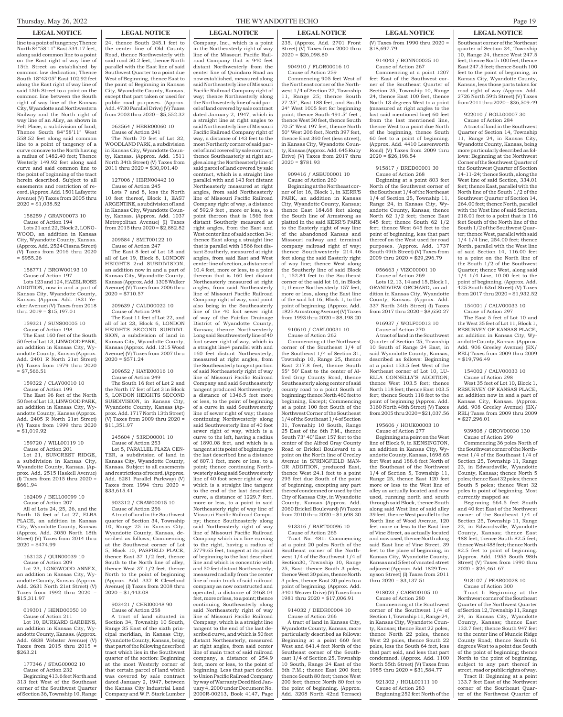line to a point of tangency; Thence North 84°58'11" East 534.17 feet, along said common line to a point on the East right of way line of 15th Street as established by common law dedication; Thence South 18°43'05" East 102.92 feet along the East right of way line of said 15th Street to a point on the common line between the South right of way line of the Kansas City, Wyandotte and Northwestern Railway and the North right of way line of an Alley, as shown in Felt Place, a subdivision of land; Thence South 84°58'11" West 558.52 feet along said common line to a point of tangency of a curve concave to the North having a radius of 1482.40 feet; Thence Westerly 149.92 feet along said curve and said common line to the point of beginning of the tract herein described. Subject to all easements and restriction of record. (Approx. Add. 1501 Lafayette Avenue) (V) Taxes from 2005 thru  $2020 = $1,038.52$ 

#### 158259 / GRAN00073 10 Cause of Action 194

Lots 21 and 22, Block 2, LONG-WOOD, an addition in Kansas City, Wyandotte County, Kansas. (Approx. Add. 2524 Cissna Street) (V) Taxes from 2016 thru 2020 = \$955.26

#### 158771 / BROW00193 10 Cause of Action 197 Lots 123 and 124, HAZEL ROSE ADDITION, now in and a part of Kansas City, Wyandotte County, Kansas. (Approx. Add. 1831 Yecker Avenue) (V) Taxes from 2018 thru 2019 = \$15,197.01

159321 / SUNS00005 10

Cause of Action 198 The East 160 feet of the South 50 feet of Lot 13, LINWOOD PARK, an addition in Kansas City, Wyandotte County, Kansas (Approx. Add. 2401 R North 21st Street) (V) Taxes from 1979 thru 2020  $= $7,566.51$ 

# 159322 / CLAY00010 10

Cause of Action 199 The East 96 feet of the North 50 feet of Lot 13, LINWOOD PARK, an addition in Kansas City, Wyandotte County, Kansas (Approx. Add. 2405 R North 21st Street) (V) Taxes from 1999 thru 2020  $=$  \$1,019.92

# 159720 / WILL00119 10

Cause of Action 201 Lot 21, SUNCREST RIDGE, a subdivision in Kansas City, Wyandotte County, Kansas. (Approx. Add. 2515 Haskell Avenue) (I) Taxes from 2015 thru 2020 = \$661.94

#### 162409 / BELL00099 10 Cause of Action 207 All of Lots 24, 25, 26, and the North 15 feet of Lot 27, ELBA PLACE, an addition in Kansas City, Wyandotte County, Kansas (Approx. Add. 3050 North 18th

Street) (V) Taxes from 2014 thru

 $2020 = $474.99$ 163123 / QUIN00039 10 Cause of Action 209 Lot 23, LONGWOOD ANNEX, an addition in Kansas City, Wyandotte County, Kansas. (Approx. Add. 2631 North 21st Street) (V) Taxes from  $1992$  thru  $2020$ 

\$15,311.97

019301 / HEND00050 10 Cause of Action 211 Lot 10, BURKARD GARDENS, an addition in Kansas City, Wyandotte County, Kansas. (Approx. Add. 6838 Webster Avenue) (V) Taxes from 2015 thru 2015 = \$263.21

#### 177346 / STAG00002 10 Cause of Action 232

Beginning 413.6 feet North and 313 feet West of the Southeast corner of the Southwest Quarter of Section 36, Township 10, Range

# **LEGAL NOTICE LEGAL NOTICE LEGAL NOTICE LEGAL NOTICE LEGAL NOTICE LEGAL NOTICE** 24, thence South 245.1 feet to the center line of Old County Road, thence Northwesterly with said road 50.2 feet, thence North

parallel with the East line of said Southwest Quarter to a point due West of Beginning, thence East to the point of Beginning in Kansas City, Wyandotte County, Kansas, except that part taken or used for public road purposes. (Approx. Add. 4730 Parallel Drive) (V) Taxes from 2003 thru 2020 = \$5,552.32

#### 063564 / HERR00060 10 Cause of Action 241

The North 70 feet of Lot 32, WOODLAND PARK, a subdivision in Kansas City, Wyandotte County, Kansas. (Approx. Add. 1511 North 34th Street) (V) Taxes from 2011 thru 2020 = \$30,901.40

# 127006 / HERN00442 10

Cause of Action 245 Lots 7 and 8, less the North 10 feet thereof, Block 1, EAST ARGENTINE, a subdivision of land in Kansas City, Wyandotte County, Kansas. (Approx. Add. 1037 Metropolitan Avenue) (I) Taxes from 2015 thru 2020 = \$2,882.82

#### 209584 / SMIT00122 10 Cause of Action 247

The East 8 feet of Lot 18 and all of Lot 19, Block 8, LONDON HEIGHTS 2nd SUBDIVISION, an addition now in and a part of Kansas City, Wyandotte County, Kansas (Approx. Add. 1305 Walker Avenue) (V) Taxes from 2006 thru  $2020 = $710.57$ 

#### 209639 / CALD00022 10 Cause of Action 248

The East 11 feet of Lot 22, and all of lot 23, Block 6, LONDON HEIGHTS SECOND SUBDIVI-SION, a subdivision of land in Kansas City, Wyandotte County, Kansas (Approx. Add. 1215 Wood Avenue) (V) Taxes from 2007 thru  $2020 = $571.24$ 

### 209652 / HAYE00016 10 Cause of Action 249

The South 16 feet of Lot 2 and the North 17 feet of Lot 3 in Block 5, LONDON HEIGHTS SECOND SUBDIVISION, in Kansas City, Wyandotte County, Kansas (Approx. Add. 1717 North 13th Street) (V) Taxes from 2009 thru 2020 =  $$11,351.97$ 

#### 245604 / 53RD00001 10 Cause of Action 253 Lot 5, PARALLEL PLAZA CEN-

TER, a subdivision of land in Kansas City, Wyandotte County, Kansas. Subject to all easements and restrictions of record. (Approx. Add. 6281 Parallel Parkway) (V) Taxes from  $1994$  thru  $2020$ \$33,615.41

#### 903312 / CRAW00015 10 Cause of Action 256

A tract of land in the Southwest arter of Section 34, Township 10, Range 25 in Kansas City, Wyandotte County, Kansas, described as follows; Commencing at the Southwest corner of Lot 5, Block 10, PASFIELD PLACE, thence East 37 1/2 feet, thence South to the North line of alley, thence West 37 1/2 feet, thence North to the point of beginning (Approx. Add. 337 R Cleveland Avenue) (I) Taxes from 2008 thru  $2020 = 1,443.08$ 

#### 903421 / CHRI00048 90 Cause of Action 258

A tract of land situated in Section 34, Township 10 South, Range 35 East of the sixth principal meridian, in Kansas City, Wyandotte County, Kansas, being that part of the following described tract which lies in the Southwest quarter of the section: Beginning at the most Westerly corner of that certain parcel of land which was covered by sale contract dated January 2, 1947, between the Kansas City Industrial Land Company and W.P. Stark Lumber Company, Inc., which is a point in the Northeasterly right of way line of the Missouri Pacific Railroad Company that is 940 feet distant Northwesterly from the center line of Quindaro Road as now established, measured along said Northeasterly line of Missouri Pacific Railroad Company right of way; thence Northeasterly along the Northwesterly line of said parcel of land covered by sale contract dated January 2, 1947, which is a straight line at right angles to said Northeasterly line of Missouri Pacific Railroad Company right of way, a distance of 143 feet to the most Northerly corner of said parcel of land covered by sale contract; thence Southeasterly at right angles along the Northeasterly line of said parcel of land covered by sale contract, which is a straight line parallel with and 143 feet distant Northeasterly measured at right angles, from said Northeasterly line of Missouri Pacific Railroad Company right of way, a distance of 592.9 feet , more or less, to a point thereon that is 1566 feet distant Southerly measured at right angles, from the East and West center line of said section 34; thence East along a straight line that is parallel with 1566 feet distant Southerly, measured at right angles, from said East and West center line of section, a distance of 10.4 feet, more or less, to a point thereon that is 160 feet distant Northeasterly measured at right angles, from said Northeasterly line of Missouri Pacific Railroad Company right of way, said point also being in the Southeasterly line of the 40 foot sewer right of way of the Fairfax Drainage District of Wyandotte County, Kansas; thence Northwesterly Long said Southwesterly line of 40 foot sewer right of way, which is a straight line4 parallel with and 160 feet distant Northeasterly, measured at right angles, from the Southeasterly tangent portion of said Northeasterly right of way line of Missouri Pacific Railroad Company and said Southeasterly tangent produced Northwesterly, a distance of 1346.5 feet more or less, to the point of beginning of a curve in said Southwesterly line of sewer right of way; thence continuing Northwesterly along said Southwesterly line of 40 foot sewer right of way, which is a curve to the left, having a radius of 1890.08 feet, and which is a tangent at its point of beginning to the last described line a distance of 807.1 feet, more or less, to a point; thence continuing Northwesterly along said Southwesterly line of 40 foot sewer right of way which is a straight line tangent to the end of the last described curve, a distance of 1229.7 feet, more or less, to a point in said Northeasterly right of way line of Missouri Pacific Railroad Company; thence Southeasterly along said Northeasterly right of way line of Missouri Pacific Railroad Company which is a line curving to the right, having a radius of 5779.65 feet, tangent at its point of beginning to the last described line and which is concentric with and 50 feet distant Northeasterly, measured radially from the center line of main track of said railroad company as now constructed and operated, a distance of  $2468.04$ feet, more or less, to a point; thence continuing Southeasterly along said Northeasterly right of way line of Missouri Pacific Railroad Company, which is a straight line tangent to the end of the last described curve, and which is 50 feet distant Northeasterly, measured at right angles, from said center line of main tract of said railroad company, a distance of 254.9 feet, more or less, to the point of beginning. Less that part deeded to Union Pacific Railroad Company by way of Warranty Deed filed January 4, 2000 under Document No. 2000R-00213, Book 4147, Page

#### 235. (Approx. Add. 2701 Front Street) (V) Taxes from 2000 thru  $2020 = $26,098.80$

### 904910 / FLOR00016 10 Cause of Action 259

Commencing 905 feet West of the Northeast corner of the Northwest 1/4 of Section 27, Township 11, Range 25; thence South 27.25°, East 188 feet, and South 24° West 1005 feet for beginning point; thence South 491.5° feet thence West 30 feet, thence South 70.5° West 197 feet, thence North 50° West 206 feet, North 397 feet, thence East 360 feet (less street), in Kansas City, Wyandotte County, Kansas (Approx. Add. 645 Ruby Drive) (V) Taxes from 2017 thru  $2020 = $781.93$ 

#### 909416 / ASBU00001 10 Cause of Action 260

Beginning at the Northeast corner of lot 16, Block 1, in KERR'S PARK, an addition in Kansas City, Wyandotte County, Kansas; thence East 184.68 feet along the South line of Armstrong as platted in the said KERR'S PARK to the Easterly right of way line of the abandoned Kansas and Missouri railway and terminal company railroad right of way; thence Southwesterly 214.46 feet along the said Easterly right of way line; thence West along the Southerly line of said Block 1, 152.84 feet to the Southeast corner of the said lot 16, in Block 1; thence Northeasterly 157 feet, more or less, along the East line of the said lot 16, Block 1, to the point of beginning. (Approx. Add. 1825 Armstrong Avenue) (V) Taxes from 1993 thru 2020 = \$8,198.20

#### 910610 / CARL00031 10 Cause of Action 262

Commencing at the Northwest corner of the Southeast 1/4 of the Southeast 1/4 of Section 31, Township 10, Range 25, thence East 217.8 feet, thence South 55° 50' East to the center of Alfred Gray County Road, thence Southeasterly along center of said county road to a point South of beginning; thence North 460 feet to beginning, Except; Commencing at a point 100 feet South of the Northwest Corner of the Southeast 1/4 of the Southeast 1/4 of Section 31, Township 10 South, Range 25 East of the 6th P.M., thence South 73° 40' East 157 feet to the center of the Alfred Gray County Road or Brickel Boulevard to a point on the North line of Greeley Avenue in SPRINGFIELD MAN-OR ADDITION, produced East, thence West 24.1 feet to a point 295 feet due South of the point of beginning, excepting any part thereof condemned or used by the City of Kansas City, in Wyandotte County, Kansas (Approx. Add. 2060 Brickel Boulevard) (V) Taxes from  $2010$  thru  $2020 = $1,698,30$ 

#### 913316 / BART00096 10 Cause of Action 265

Tract No. 481: Commencing at a point 20 poles North of the Southeast corner of the Northwest 1/4 of the Southwest 1/4 of Section30, Township 10, Range 25, East: thence South 3 poles, thence West 30 poles, thence North 3 poles, thence East 30 poles to a point of beginning. (Approx. Add.<br>3401 Weaver Drive) (V) Taxes from 3401 Weaver Drive) (V) 1981 thru 2020 = \$17,006.91

# 914032 / DEDR00004 10

Cause of Action 266 A tract of land in Kansas City, Wyandotte County, Kansas, more particularly described as follows: Beginning at a point 660 feet West and 641.4 feet North of the Southeast corner of the Southeast 1/4 of Section 25, Township 10 South, Range 24 East of the 6th P.M.; thence East 200 feet; thence South 80 feet; thence West 200 feet; thence North 80 feet to the point of beginning. (Approx.

Add. 3208 North 42nd Terrace)

(V) Taxes from 1990 thru 2020 = \$18,697.79

### 914043 / BONN00025 10 Cause of Action 267

Commencing at a point 1207 feet East of the Southwest corner of the Southeast Quarter of Section 25, Township 10, Range 24, thence East 100 feet, thence North 13 degrees West to a point (measured at right angles to the last said mentioned line) 60 feet from the last mentioned line, thence West to a point due North of the beginning, thence South 60 feet to a point of beginning. (Approx. Add. 4410 Leavenworth ad) (V) Taxes from 2009 thru  $2020 = $26,198,54$ 

#### 915817 / BRED00001 30 Cause of Action 268

Beginning at a point 803 feet North of the Southwest corner of the Southeast 1/4 of the Northeast 1/4 of Section 25, Township 11, Range 24, in Kansas City, Wyandotte County, Kansas; thence North 62 1/2 feet; thence East  $645$  feet; thence South  $62$   $1/2$ feet; thence West 645 feet to the point of beginning, less that part thereof on the West used for road purposes. (Approx. Add. 1737 South 49th Street) (V) Taxes from 2009 thru 2020 = \$29,296.79

#### 056663 / VIZC00001 10 Cause of Action 269

Lots 12, 13, 14 and 15, Block 1, GRANDVIEW ORCHARD, an addition in Kansas City, Wyandotte County, Kansas. (Approx. Add. 337 North 34th Street) (I) Taxes from 2017 thru 2020 = \$8,650.27

### 916937 / WOLF00013 10 Cause of Action 270

A tract of land in the Southwest Quarter of Section 25, Township 10 South of Range 24 East, in said Wyandotte County, Kansas, described as follows: Beginning at a point 153.5 feet West of the Northeast corner of Lot 10, LU-ELLA CONNELLY'S ADDITION; thence West 103.5 feet; thence North 118 feet; thence East 103.5 feet; thence South 118 feet to the point of beginning (Approx. Add. 3160 North 48th Street) (V) Taxes from 2005 thru 2020 =  $\frac{1}{2}21,037.56$ 

#### 195606 / HOUK00003 10 Cause of Action 277

Beginning at a point on the West line of Block 9, in KENSINGTON, an addition in Kansas City, Wyandotte County, Kansas, 1698.65 feet West and 188.6 feet North of the Southeast of the Northwest 1/4 of Section 5, Township 11, Range 25, thence East 120 feet more or less to the West line of alley as actually located and now used, running north and south through said Block, thence South along said West line of said alley 39 feet, thence West parallel to the North line of Wood Avenue, 120 feet more or less to the East line of Vine Street, as actually located and now used, thence North along said East line of Vine Street, 39 feet to the place of beginning, in Kansas City, Wyandotte County, Kansas and 5 feet of vacated street adjacent (Approx. Add. 1829 Tennyson Street) (I) Taxes from 2011 thru 2020 = \$3,137.51

#### 918023 / CARR00105 10 Cause of Action 280

Commencing at the Southwest corner of the Southwest 1/4 of Section 1, Township 11, Range 24, in Kansas City, Wyandotte County, Kansas; thence East 22 poles, thence North 22 poles, thence West 22 poles, thence South 22 poles, less the South 64 feet, less that part sold, and less that part condemned. (Approx. Add. 1100 North 55th Street) (V) Taxes from 1985 thru 2020 = \$31,584.77

921302 / HOLL00111 10 Cause of Action 283

Beginning 252 feet North of the

Southeast corner of the Northeast quarter of Section 34, Township 10, Range 24, thence West 247.5 feet; thence North 100 feet; thence East 247.5 feet; thence South 100 feet to the point of beginning, in Kansas City, Wyandotte County, Kansas, less those parts taken for road right of way (Approx. Add. 2726 North 59th Street) (V) Taxes from 2011 thru 2020 = \$36,509.49

#### 922010 / BOLL00007 30 Cause of Action 284

A tract of land in the Southwest Quarter of Section 14, Township 11, Range 24, in Kansas City, Wyandotte County, Kansas, being more particularly described as follows: Beginning at the Northwest Corner of the Southwest Quarter of the Southwest Quarter of Section 14-11-24; thence South, along the West line of said Section, 334.01 feet; thence East, parallel with the North line of the South 1/2 of the Southwest Quarter of Section 14, 264.00 feet; thence North, parallel with the West line of said Section, 218.01 feet to a point that is 116 feet South of the North line of the South 1/2 of the Southwest Quarter; thence West, parallel with said 1/4 1/4 line, 254.00 feet; thence North, parallel with the West line of said Section 14, 116.00 feet to a point on the North line of the South 1/2 of the Southwest Quarter; thence West, along said 1/4 1/4 Line, 10.00 feet to the point of beginning. (Approx. Add. 425 South 63rd Street) (V) Taxes from 2017 thru 2020 = \$1,932.52

#### 154001 / CALV00033 10 Cause of Action 297

The East 5 feet of Lot 10 and the West 35 feet of Lot 11, Block 1, RESURVEY OF KANSAS PLACE, an addition in Kansas City, Wyandotte County, Kansas. (Approx. Add. 906 Greeley Avenue) (EX/ REL) Taxes from 2009 thru 2009  $= $19,796.49$ 

### 154002 / CALV00033 10 Cause of Action 298

West 35 feet of Lot 10, Block 1, RESURVEY OF KANSAS PLACE, an addition now in and a part of Kansas City, Kansas. (Approx. Add. 908 Greeley Avenue) (EX/ REL) Taxes from 2009 thru 2009  $= $27.296.01$ 

### 939808 / GROV00030 130 Cause of Action 299

Commencing 36 poles North of the Southwest corner of the Northwest 1/4 of the Southeast 1/4 of Section 25, Township 11, Range 23, in Edwardsville, Wyandotte County, Kansas; thence North 5 poles; thence East 32 poles; thence South 5 poles; thence West 32 poles to point of beginning. Most currently mapped as:

Beginning 664.5 feet South and 40 feet East of the Northwest corner of the Southeast 1/4 of Section 25, Township 11, Range 23, in Edwardsville, Wyandotte County, Kansas; thence East 488 feet; thence South 82.5 feet; thence West 488 feet; thence North 82.5 feet to point of beginning. (Approx. Add. 1955 South 98th Street) (V) Taxes from 1990 thru  $2020 = $26,461.67$ 

### 918107 / PEAR00028 10 Cause of Action 300

Tract I: Beginning at the Northwest corner of the Southeast Quarter of the Northwest Quarter of Section 12, Township 11, Range 24, in Kansas City, Wyandotte County, Kansas; thence East 133.7 feet; thence South 947 feet to the center line of Muncie Ridge County Road; thence South 61 degrees West to a point due South of the point of beginning; thence North to the point of beginning, subject to any part thereof in street, road or public rights of way.

Tract II: Beginning at a point 133.7 feet East of the Northwest corner of the Southeast Quarter of the Northwest Quarter of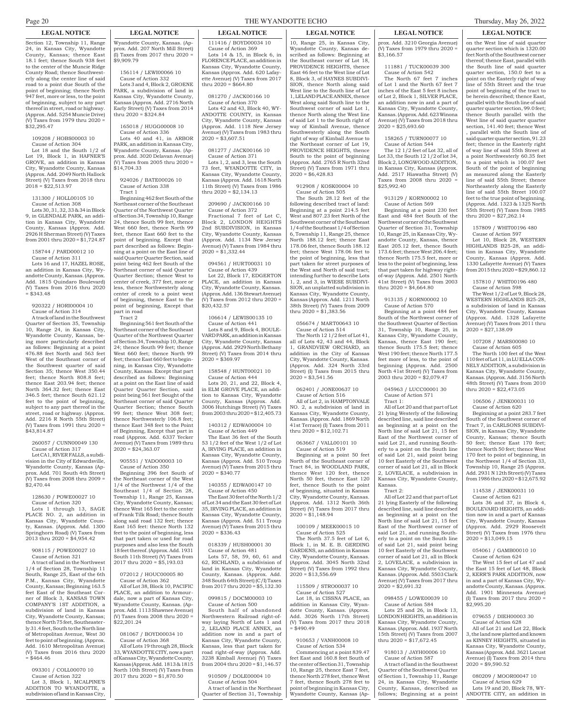Section 12, Township 11, Range 24, in Kansas City, Wyandotte County, Kansas; thence East 18.1 feet; thence South 938 feet to the center of the Muncie Ridge County Road; thence Southwesterly along the center line of said road to a point due South of the point of beginning; thence North 947 feet, more or less, to the point of beginning, subject to any part thereof in street, road or highway. (Approx. Add. 5254 Muncie Drive) (V) Taxes from 1979 thru 2020 =  $\overline{$}32.295.47$ 

#### 109208 / HOBS00003 10 Cause of Action 304

Lot 18 and the South 1/2 of Lot 19, Block 1, in HAFNER'S GROVE, an addition in Kansas City, Wyandotte County, Kansas (Approx. Add. 2049 North Hallock Street) (V) Taxes from 2018 thru  $2018 = $22,513.97$ 

#### 131300 / HOLL00105 10 Cause of Action 308

Lots 30, 31, 32, 33 & 34 in Block 9, in GLENDALE PARK, an addition in Kansas City, Wyandotte County, Kansas (Approx. Add. 2926 H Sherman Street) (V) Taxes from 2001 thru 2020 = \$1,724.87

### 158744 / PARD00012 10

Cause of Action 311 Lots 16 and 17, HAZEL ROSE, an addition in Kansas City, Wyandotte County, Kansas. (Approx. Add. 1815 Quindaro Boulevard) (V) Taxes from 2016 thru 2020  $$343.48$ 

### 920322 / HORI00004 10 Cause of Action 314

A track of land in the Southwest Quarter of Section 35, Township 10, Range 24, in Kansas City, Wyandotte County, Kansas, being more particularly described as follows: Beginning at a point 476.88 feet North and 563 feet West of the Southeast corner of the Southwest quarter of said Section 35; thence West 350.44 feet; thence North 808.8 feet; thence East 203.94 feet; thence North 364.32 feet; thence East 346.5 feet; thence South 621.12 feet to the point of beginning, subject to any part thereof in the street, road or highway. (Approx. Add. 2216 R North 55th Street)  $(V)$  Taxes from 1991 thru 2020 \$43,814.87

#### 260057 / CUNN00049 130 Cause of Action 317

Lot CA1, RIVER FALLS, a subdivision in the City of Edwardsville, Wyandotte County, Kansas (Approx. Add. 701 South 4th Street) (V) Taxes from 2008 thru 2009 = \$2,470.44

#### 128630 / POWE00027 10 Cause of Action 320

Lots 1 through 13, SAGE PLACE NO. 2, an addition in Kansas City, Wyandotte County, Kansas. (Approx. Add. 1300 Springhorn Road) (V) Taxes from 2013 thru 2020 = \$4,954.42

#### 908115 / POWE00027 10 Cause of Action 321

A tract of land in the Northwest 1/4 of Section 28, Township 11 South, Range 25, East of the 6th P.M., Kansas City, Wyandotte County, Kansas; Beginning 163.5 feet East of the Southeast Corner of Block 3, KANSAS TOWN COMPANY'S 1ST ADDITION, a subdivision of land in Kansas City, Wyandotte County, Kansas; thence North 75 feet, Southeasterly 31.4 feet, South to the North line of Metropolitan Avenue, West 30 feet to point of beginning. (Approx. Add. 1610 Metropolitan Avenue) (V) Taxes from 2016 thru 2020  $= $464.46$ 

#### 093301 / COLL00070 10 Cause of Action 322 Lot 3, Block 1, MCALPINE'S ADDITION TO WYANDOTTE, a

subdivision of land in Kansas City,

**LEGAL NOTICE LEGAL NOTICE LEGAL NOTICE LEGAL NOTICE LEGAL NOTICE LEGAL NOTICE**

Wyandotte County, Kansas. (Approx. Add. 207 North Mill Street)  $\left($ I) Taxes from 2017 thru 2020 = \$9,909.79

156114 / LEWI00066 10

Cause of Action 332 Lots 3 and 4, Block 2, GROENE PARK, a subdivision of land in Kansas City, Wyandotte County, Kansas (Approx. Add. 2716 North Early Street) (V) Taxes from 2014 thru  $2020 = $324.84$ 

### 165018 / HUGG00008 10

Cause of Action 336 Lots 40 and 41, in ARBOR PARK, an addition in Kansas City, Wyandotte County, Kansas. (Approx. Add. 3020 Delavan Avenue) (V) Taxes from 2005 thru 2020 = \$14,704.33

924026 / BATE00026 10 Cause of Action 338 Tract 1

Beginning 462 feet South of the Northeast corner of the Southeast Quarter of the Northwest Quarter of Section 34, Township 10, Range 24, thence South 99 feet, thence West 660 feet, thence North 99 feet, thence East 660 feet to the point of beginning. Except that part described as follows: Beginning at a point on the East line of said Quarter Quarter Section, said point being 462 feet South of the Northeast corner of said Quarter Quarter Section; thence West to center of creek, 377 feet, more or less, thence Northwesterly along center of creek to a point west of beginning, thence East to the point of beginning, Except that part in road

Tract 2

Beginning 561 feet South of the Northeast corner of the Southeast Quarter of the Northwest Quarter of Section 34, Township 10, Range 24; thence South 99 feet; thence West 660 feet; thence North 99 feet; thence East 660 feet to beginning, in Kansas City, Wyandotte County, Kansas. Except that part described as follows: Beginning at a point on the East line of said Quarter Quarter Section, said point being 561 feet Sought of the Northeast corner of said Quarter Quarter Section; thence South 99 feet; thence West 308 feet; thence Northwesterly 106.8 feet; thence East 348 feet to the Point of Beginning, Except that part in road (Approx. Add. 6337 Yecker Avenue) (V) Taxes from 1989 thru  $2020 = $24,363.07$ 

#### 905551 / YADO00003 10 Cause of Action 350

Beginning 396 feet South of the Northeast corner of the West 1/4 of the Northwest 1/4 of the Southeast 1/4 of Section 28, Township 11, Range 25, Kansas City, Wyandotte County, Kansas; thence West 165 feet to the center of Frank Tilk Road; thence South along said road 132 feet; thence East 165 feet: thence North 132 feet to the point of beginning, less that part taken or used for road purposes and also less the South 18 feet thereof. (Approx. Add. 1931 South 11th Street) (V) Taxes from 2017 thru 2020 = \$5,193.03

### 072012 / HOUC00005 80

Cause of Action 362 All of Lot 38, Block 10, PACIFIC PLACE, an addition to Armourdale, now a part of Kansas City, Wyandotte County, Kansas. (Approx. Add. 1113 Shawnee Avenue) (V) Taxes from 2008 thru 2020 = \$22,201.24

#### 081067 / BOYD00034 10 Cause of Action 368

All of Lots 19 through 28, Block 33, WYANDOTTE CITY, now a part of Kansas City, Wyandotte County, Kansas (Approx. Add. 1813 & 1815 North 10th Street) (V) Taxes from 2017 thru 2020 = \$1,870.50

## Page 20 THE WYANDOTTE ECHO Thursday, May 26, 2022

111416 / BOYD00034 10 Cause of Action 369 Lots 14 & 15, in Block 6, in FLORENCE PLACE, an addition in Kansas City, Wyandotte County, Kansas (Approx. Add. 620 Lafayette Avenue) (V) Taxes from 2017 thru 2020 = \$664.80

081270 / JACK00166 10 Cause of Action 370

Lots 42 and 43, Block 40, WY-ANDOTTE COUNTY, in Kansas City, Wyandotte County, Kansas (Approx. Add. 1118 New Jersey Avenue) (V) Taxes from 1983 thru  $2020 = $3,607.51$ 

#### 081277 / JACK00166 10 Cause of Action 371

Lots 1, 2, and 3, less the South 73 feet, WYANDOTTE CITY, in Kansas City, Wyandotte County, Kansas (Approx. Add. 1618 North 11th Street) (V) Taxes from 1986 thru 2020 = \$2,134.13

### 209690 / JACK00166 10

Cause of Action 372 Fractional 7 feet of Lot C, Block 2, LONDON HEIGHTS 2nd SUBDIVISION, in Kansas City, Wyandotte County, Kansas (Approx. Add. 1134 New Jersey rr<br>venue) (V) Taxes from 1984 thru  $2020 = $1,332.44$ 

#### 094561 / HURT00031 10 Cause of Action 439

Lot 22, Block 17, EDGERTON PLACE, an addition in Kansas City, Wyandotte County, Kansas. (Approx. Add. 136 Stewart Avenue) (V) Taxes from 2012 thru 2020 = \$20,432.57

#### 106614 / LEWIS00135 10 Cause of Action 441 Lots 8 and 9, Block 4, BOULE-VARD PARK, an addition in Kansas City, Wyandotte County, Kansas (Approx. Add. 2929 North Bethany reet) (V) Taxes from 2014 thru  $2020 = $369.97$

158548 / HUNT00021 10 Cause of Action 444 Lots 20, 21, and 22, Block 4, in ELM GROVE PLACE, an addition to Kansas City, Wyandotte County, Kansas (Approx. Add. 3006 Hutchings Street) (V) Taxes from 2003 thru 2020 =  $\frac{$12,405.73}{}$ 

140312 / EDWA00004 10 Cause of Action 449

The East 36 feet of the South 53 1/2 feet of the West 1/2 of Lot A, IRVING PLACE, an addition in Kansas City, Wyandotte County, Kansas (Approx. Add. 510 Troup Avenue) (V) Taxes from 2015 thru  $2020 = $340.77$ 

#### 140355 / EDWA00147 10 Cause of Action 450

The East 30 feet of the North 1/2 of Lot 34 and the East 30 feet of Lot 35, IRVING PLACE, an addition in Kansas City, Wyandotte County, Kansas (Approx. Add. 511 Troup Avenue) (V) Taxes from 2015 thru  $2020 = $336.43$ 

#### 018339 / HUSH00001 30 Cause of Action 481

Lots 57, 58, 59, 60, 61 and 62, RICHLAND, a subdivision of land in Kansas City, Wyandotte County, Kansas. (Approx. Add. 348 South 64th Street) (C/I) Taxes from 2017 thru 2020 = \$5,132.30

# 099815 / DOCM00003 10

Cause of Action 500 South half of abandoned Northwestern Railroad right-ofway laying North of Lots 1 and 2, LELAND PLACE ANNEX, an addition now in and a part of Kansas City, Wyandotte County, Kansas, less that part taken for road right-of-way (Approx. Add. 3238 Kimball Avenue) (V) Taxes from 2004 thru 2020 = \$1,146.57

910509 / DOLE00004 10 Cause of Action 504 A tract of land in the Northeast Quarter of Section 31, Township

10, Range 25, in Kansas City, Wyandotte County, Kansas described as follows: Beginning at the Southeast corner of Lot 18, PROVIDENCE HEIGHTS, thence East 46 feet to the West line of Lot 8, Block 3, of HAYNES SUBDIVI-SION, thence North along said West line to the South line 1, LELAND PLACE ANNEX, thence West along said South line to the Southwest corner of said Lot 1, thence North along the West line of said Lot 1 to the South right of way of Kimball Avenue, thence Southwesterly along the South right of way of Kimball Avenue to the Northeast corner of Lot 19, PROVIDENCE HEIGHTS, thence South to the point of beginning (Approx. Add. 2765 R North 32nd Street) (V) Taxes from 1971 thru  $2020 = $6,428.83$ 

#### 912908 / KOSK00004 10 Cause of Action 505

The South 28.12 feet of the following described tract of land: Beginning at a point 214.5 feet West and 807.23 feet North of the Southwest corner of the Southeast 1/4 of the Southeast 1/4 of Section 6, Township 11, Range 25, thence North 188.12 feet; thence East 178.06 feet, thence South 188.12 feet; thence West 178.06 feet to the point of beginning, less that part taken for street purposes of the West and North of said tract; intending further to describe Lots 1, 2, and 3, in WIESE SUBDIVI-SION, an unplatted subdivision in Kansas City, Wyandotte County, Kansas (Approx. Add. 1211 North 38th Street) (V) Taxes from 2009 thru 2020 = \$1,383.56

#### 056674 / MART00643 10 Cause of Action 514

The North 12 1/2 feet of Lot 41, all of Lots 42, 43 and 44, Block 1, GRANDVIEW ORCHARD, an addition in the City of Kansas City, Wyandotte County, Kansas. (Approx. Add. 324 North 33rd Street) (I) Taxes from 2015 thru  $2020 = $3,541.56$ 

062401 / JONE00637 10 Cause of Action 516 All of Lot 2, in HAMPTONVALE NO. 2, a subdivision of land in Kansas City, Wyandotte County, Kansas. (Approx. Add. 1869 North 41st Terrace) (I) Taxes from 2011 thru 2020 = \$12,102.71

### 063667 / VALL00101 10

Cause of Action 519 Beginning at a point 50 feet North of the Southeast corner of Tract 84, in WOODLAND PARK, thence West 120 feet, thence North 50 feet, thence East 120 feet, thence South to the point of beginning, situated in Kansas City, Wyandotte County, Kansas. (Approx. Add. 1312 North 36th Street) (V) Taxes from 2017 thru  $2020 = $1,148.94$ 

#### 100109 / MEEK00015 10 Cause of Action 525

The North 37.5 feet of Lot 6, Block 1, in M. E. B. GERDING GARDENS, an addition in Kansas City, Wyandotte County, Kansas. (Approx. Add. 3045 North 32nd Street) (V) Taxes from 1992 thru  $2020 = $13,556.69$ 

#### 115509 / STRO00037 10 Cause of Action 527

Lot 18, in CISSNA PLACE, an addition in Kansas City, Wyandotte County, Kansas. (Approx. Add. 3026 North 17th Street) (V) Taxes from 2017 thru 2018  $$490.49$ 

# 910653 / VANH00008 10

Cause of Action 534 Commencing at a point 839.47 feet East and 160.8 feet South of the center of Section 31, Township 10, Range 25, thence East 7 feet, thence North 278 feet, thence West 7 feet, thence South 278 feet to point of beginning in Kansas City, Wyandotte County, Kansas (Ap-

### prox. Add. 3210 Georgia Avenue) (V) Taxes from 1979 thru 2020 =  $\overline{$3.166.57}$

111881 / TUCK00039 300 Cause of Action 542

The North 67 feet 7 inches of Lot 1 and the North 67 feet 7 inches of the East 5 feet 8 inches of Lot 2, Block 1, SILVER PLACE, an addition now in and a part of Kansas City, Wyandotte County, Kansas. (Approx. Add. 623 Winona Avenue) (V) Taxes from 2018 thru  $2020 = $25,693.60$ 

#### 158265 / TURN00077 10 Cause of Action 544

The 12 1/2 feet of Lot 32, all of Lot 33, the South 12 1/2 of lot 34, Block 2, LONGWOOD ADDITION, in Kansas City, Kansas (Approx. Add. 2517 Hiawatha Street) (V) Taxes from 2008 thru 2020 \$25,992.40

# 913129 / KORN00002 10

Cause of Action 569 Beginning at a point 230 feet East and 484 feet South of the Northwest corner of the Southwest Quarter of Section 31, Township 10, Range 25, in Kansas City, Wyandotte County, Kansas, thence East 205.12 feet, thence South 173.6 feet; thence West 206.4 feet; thence North 175.5 feet, more or less to the point of beginning, less that part taken for highway rightof-way (Approx. Add. 2501 North 41st Street) (V) Taxes from 2003 thru 2020 = \$4,664.80

#### 913135 / KORN00002 10 Cause of Action 570

Beginning at a point 484 feet South of the Northwest corner of the Southwest Quarter of Section 31, Township 10, Range 25, in Kansas City, Wyandotte County, Kansas, thence East 190 feet; thence South 175.5 feet; thence West 190 feet; thence North 177.5 feet more of less, to the point of beginning (Approx. Add. 2500 North 41st Street) (V) Taxes from 2003 thru 2020 = \$2,079.47

#### 045963 / LUCC00001 30 Cause of Action 571 Tract 1:

All of Lot 20 and that part of Lot 21 lying Westerly of the following described line, said line described as beginning at a point on the North line of said Lot 21, 15 feet East of the Northwest corner of said Lot 21, and running Southerly to a point on the South line of said Lot 21, said point being 10 feet Easterly of the Southwest corner of said Lot 21, all in Block LOVELACE, a subdivision in Kansas City, Wyandotte County, Kansas.

# Tract 2:

All of Lot 22 and that part of Lot 21 lying Easterly of the following described line, said line described as beginning at a point on the North line of said Lot 21, 15 feet East of the Northwest corner of said Lot 21, and running Southerly to a point on the South line said Lot 21, said point being 10 feet Easterly of the Southwest corner of said Lot 21, all in Block 2, LOVELACE, a subdivision in Kansas City, Wyandotte County, Kansas. (Approx. Add. 5503 Clark Avenue) (V) Taxes from 2017 thru  $2020 = $2,691.32$ 

#### 098455 / LOWE00039 10 Cause of Action 584

Lots 25 and 26, in Block 13, LONDON HEIGHTS, an addition in Kansas City, Wyandotte County, Kansas. (Approx. Add. 1937 North 15th Street) (V) Taxes from 2007 thru 2020 = \$17,672.45

### 918013 / JAYH00006 10 Cause of Action 587

A tract of land in the Southwest Quarter of the Southwest Quarter of Section 1, Township 11, Range 24, in Kansas City, Wyandotte County, Kansas, described as follows; Beginning at a point

on the West line of said quarter quarter section which is 1320.00 feet North of the Southwest corner thereof; thence East, parallel with the South line of said quarter quarter section, 150.0 feet to a point on the Easterly right of way line of 55th Street and the true point of beginning of the tract to be herein described; thence East, parallel with the South line of said quarter quarter section, 99.0 feet; thence South parallel with the West line of said quarter quarter section, 141.40 feet; thence West , parallel with the South line of said quarter quarter section, 91.23 feet; thence in the Easterly right of way line of said 55th Street at a point Northwesterly 60.35 feet a point which is 100.07 feet South of the point of beginning as measured along the Easterly line of said 55th Street; thence Northeasterly along the Easterly line of said 55th Street 100.07 feet to the true point of beginning. (Approx. Add. 1323 & 1325 North 55th Street) (V) Taxes from 1985 thru  $2020 = $27,262,14$ 

#### 157809 / WHIT00196 480 Cause of Action 597

Lot 10, Block 28, WESTERN HIGHLANDS B25-28, an addition in Kansas City, Wyandotte County, Kansas (Approx. Add. 1330 Lafayette Avenue) (V) Taxes from 2015 thru 2020 = \$29,860.12

# 157810 / WHIT00196 480

Cause of Action 598 The West 1/2 of Lot 9, Block 28, WESTERN HIGHLANDS B25-28, a subdivision of land in Kansas City, Wyandotte County, Kansas (Approx. Add. 1328 Lafayette Avenue) (V) Taxes from 2011 thru  $2020 = $27,138.09$ 

# 107208 / MARS00080 10

Cause of Action 605

The North 100 feet of the West 110 feet of Lot 11, in LU ELLA CON-NELY ADDITION, a subdivision in Kansas City, Wyandotte County, Kansas. (Approx. Add. 3156 North 48th Street) (V) Taxes from 2010 thru 2020 = \$22,473.05

#### 106506 / JENK00031 10 Cause of Action 620

 $2020 = $13.049.15$ 

\$2,995.20

 $2020 = $9,590.52$ 

054061 / GAMB00010 10 Cause of Action 624 The West 15 feet of Lot 47 and the East 15 feet of Lot 48, Block 2, KERR'S PARK ADDITION, now in and a part of Kansas City, Wyandotte County, Kansas. (Approx. Add. 1901 Minnesota Avenue) (I) Taxes from 2017 thru 2020 =

079655 / DIEH00003 30 Cause of Action 628 All of Lot 21 and Lot 22, Block 3, the land now platted and known as KINNEY HEIGHTS, situated in Kansas City, Wyandotte County, Kansas (Approx. Add. 3621 Locust Avenue) (I) Taxes from 2014 thru

080209 / MOOR00047 10 Cause of Action 629 Lots 19 and 20, Block 78, WY-ANDOTTE CITY, an addition in

Beginning at a point 283.7 feet South of the Southwest corner of Tract 7, in CARLSONS SUBDIVI-SION, in Kansas City, Wyandotte County, Kansas; thence South 50 feet; thence East 170 feet; thence North 50 feet; thence West 170 feet to point of beginning, in the Northwest 1/4 of Section 33, Township 10, Range 25 (Approx. Add. 2931 N 12th Street)  $(V)$ from 1986 thru 2020 = \$12,675.92 114538 / JENK00031 10 Cause of Action 621 Lots 36 and 37, in Block 4, BOULEVARD HEIGHTS, an addition now in and a part of Kansas City, Wyandotte County, Kansas (Approx. Add. 2929 Roosevelt Street) (V) Taxes from 1976 thru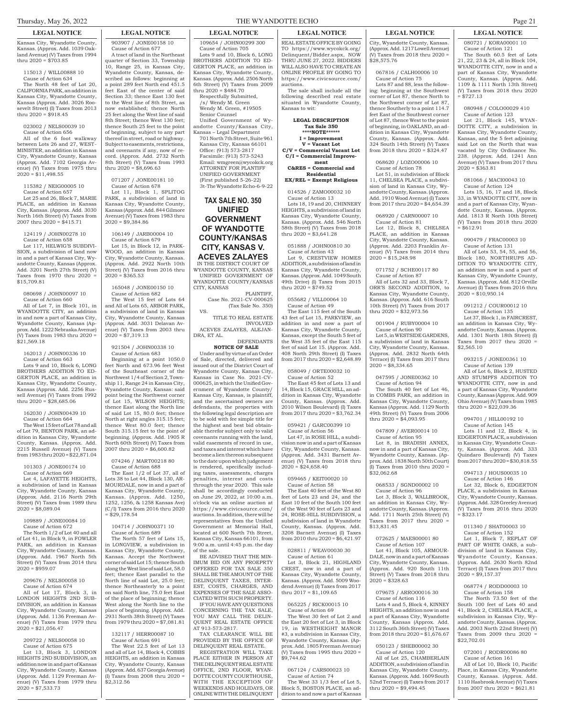### **LEGAL NOTICE LEGAL NOTICE LEGAL NOTICE LEGAL NOTICE LEGAL NOTICE LEGAL NOTICE**

Kansas City, Wyandotte County, Kansas. (Approx. Add. 1039 Oakland Avenue) (V) Taxes from 1994 thru 2020 = \$703.85

115013 / WILL00888 10 Cause of Action 634 The North 48 feet of Lot 20, CALIFORNIA PARK, an addition in Kansas City, Wyandotte County, Kansas (Approx. Add. 3026 Roosevelt Street) (I) Taxes from 2013 thru  $2020 = $918.45$ 

#### 023002 / NELS00039 10 Cause of Action 656

All of the 6 foot walkway between Lots 26 and 27, WEST-MINISTER, an addition in Kansas City, Wyandotte County, Kansas (Approx. Add. 7102 Georgia Avenue) (V) Taxes from 1975 thru  $2020 = $11,498.55$ 

#### 115382 / NEIG00005 10 Cause of Action 657

Lot 25 and 26, Block 7, MARIE PLACE, an addition in Kansas City, Kansas. (Approx. Add. 3030 North 16th Street) (V) Taxes from 2007 thru 2020 = \$415.71

# 124119 / JOHN00278 10

Cause of Action 658 Lot 117, HELWIG'S SUBDIVI-SION, a subdivision of land now in and a part of Kansas City, Wyandotte County, Kansas (Approx. Add. 3201 North 27th Street) (V) Taxes from 1970 thru 2020 = \$15,709.81

# 080698 / JOHN00097 10

Cause of Action 660 All of Lot 7, in Block 101, in WYANDOTTE CITY, an addition in and now a part of Kansas City, Wyandotte County, Kansas (Approx. Add. 1222 Nebraska Avenue) (V) Taxes from 1983 thru 2020 =  $$21.569.18$ 

### 162013 / JOHN00336 10

Cause of Action 663 Lots 9 and 10, Block 6, LONG BROTHERS ADDITION TO ED-GERTON PLACE, an addition in Kansas City, Wyandotte County, Kansas (Approx. Add. 2256 Russell Avenue) (V) Taxes from 1992 thru  $2020 = $28,685.06$ 

#### 162030 / JOHN00439 10 Cause of Action 664

The West 15 feet of Lot 78 and all of Lot 79, BENTON PARK, an addition in Kansas City, Wyandotte County, Kansas. (Approx. Add.<br>2215 Russell Avenue) (V) Taxes Russell Avenue) (V) Taxes from 1983 thru 2020 = \$22,871.04

#### 101303 / JONE00174 10 Cause of Action 669

Lot 4, LAFAYETTE HEIGHTS, subdivision of land in Kansas City, Wyandotte County, Kansas (Approx. Add. 2116 North 29th Street) (V) Taxes from 1989 thru  $2020 = $8,089.04$ 

#### 109889 / JONE00084 10 Cause of Action 672 The North 1/2 of Lot 40 and all of Lot 41, in Block 9, in FOWLER an addition in Kansas City, Wyandotte County, Kansas. (Approx. Add. 1967 North 5th Street) (V) Taxes from 2014 thru  $2020 = $959.07$

#### 209676 / NELS00058 10 Cause of Action 674 All of Lot 17, Block 3, in LONDON HEIGHTS 2ND SUB-

DIVISION, an addition in Kansas City, Wyandotte County, Kansas (Approx. Add. 1136 Freeman Avenue) (V) Taxes from 1979 thru  $2020 = $21,056.47$ 

#### 209722 / NELS00058 10 Cause of Action 675 Lot 13, Block 3, LONDON HEIGHTS 2ND SUBDIVISION, an addition now in and part of Kansas City, Wyandotte County, Kansas (Approx. Add. 1129 Freeman Avenue) (V) Taxes from 1979 thru  $2020 = $7,533.73$

# 903907 / JONE00158 10 Cause of Action 677

A tract of land in the Northeast quarter of Section 33, Township 10, Range 25, in Kansas City, Wyandotte County, Kansas, described as follows: beginning at a point 289 feet North end 451.5 feet East of the center of said Section 33; thence East 130 feet to the West line of 8th Street, as now established; thence North 25 feet along the West line of said 8th Street; thence West 130 feet; thence South 25 feet to the point of beginning, subject to any part thereof in street, road or highway. Subject to easements, restrictions, and covenants if any, now of record. (Approx. Add. 2732 North 8th Street) (V) Taxes from 1993 thru  $2020 = $8,696.63$ 

#### 071207 / JONE00181 10 Cause of Action 678

Lot 11, Block 1, SPLITOG PARK, a subdivision of land in Kansas City, Wyandotte County, Kansas (Approx. Add. 844 Gilmore Avenue) (V) Taxes from 1983 thru  $2020 = $9,384.86$ 

# 106149 / JARB00004 10

Cause of Action 679 Lot 15, in Block 12, in PARK-WOOD, an addition in Kansas City, Wyandotte County, Kansas. (Approx. Add. 2922 North 10th Street) (V) Taxes from 2016 thru  $2020 = $365.53$ 

#### 165048 / JONE00150 10 Cause of Action 682 The West 15 feet of Lots 64 and All of Lots 65, ARBOR PARK,

a subdivision of land in Kansas City, Wyandotte County, Kansas (Approx. Add. 3031 Delavan Avenue) (V) Taxes from 2003 thru  $2020 = $7,319,13$ 

#### 921504 / JOHN00338 10 Cause of Action 683

Beginning at a point 1050.0 feet North and 673.96 feet West of the Southeast corner of the Northwest 1/4 of Section 2, Township 11, Range 24 in Kansas City, Wyandotte County, Kansas: said point being the Northwest corner of Lot 15, WILSON HEIGHTS; thence East along the North line of said Lot 15, 80.0 feet; thence North at right angles 315.15 feet; thence West 80.0 feet; thence South 315.15 feet to the point of beginning. (Approx. Add. 1905 R North 60th Street) (V) Taxes from 2007 thru 2020 = \$6,600.82

#### 074246 / MART00218 80 Cause of Action 688

The East 1/2 of Lot 37, all of Lots 38 to Lot 44, Block 130, AR-MOURDALE, now in and a part of Kansas City, Wyandotte County, Kansas. (Approx. Add. 1250, 1252, 1256, & 1258 Kansas Ave) (C/I) Taxes from 2016 thru 2020  $=$  \$29,178.54

### 104714 / JOHN00371 10 Cause of Action 689

The North 57 feet of Lots 15, in LONGVIEW, a subdivision in Kansas City, Wyandotte County, Kansas. Accept the Northwest corner of said Lot 15; thence South along the West line of said Lot, 58.0 feet; thence East parallel to the North line of said Lot, 25.0 feet; thence Northeasterly to a point on said North line, 75.0 feet East of the place of beginning; thence West along the North line to the place of beginning. (Approx. Add. 2931 North 38th Street) (V) Taxes from 1979 thru 2020 = \$7,081.81

#### 132117 / HERR00087 10 Cause of Action 691

The West 22.5 feet of Lot 13 and all of Lot 14, Block 4, COBBS HEIGHTS, an addition in Kansas City, Wyandotte County, Kansas (Approx. Add. 637 Georgia Avenue) (I) Taxes from 2008 thru 2020 = \$2,312.56

### Thursday, May 26, 2022 Property 2012 2022 THE WYANDOTTE ECHO Page 21

109654 / JOHN00299 300 Cause of Action 705 Lots 9 and 10, Block 6, LONG BROTHERS ADDITION TO ED-GERTON PLACE, an addition in Kansas City, Wyandotte County, Kansas. (Approx. Add. 2506 North

Unified Government of Wyandotte County/Kansas City, Kansas – Legal Department 701 North 7th Street, Suite 961 Kansas City, Kansas 66101 Office: (913) 573-2817 Facsimile: (913) 573-5243 Email: wmgreen@wycokck.org ATTORNEY FOR PLANTIFF UNIFIED GOVERNMENT (First published 5-26-22) 3t-The Wyandotte Echo-6-9-22

**TAX SALE NO. 350 UNIFIED GOVERNMENT OF WYANDOTTE COUNTY/KANSAS CITY, KANSAS V. ACEVES ZALAYES** IN THE DISTRICT COURT OF WYANDOTTE COUNTY, KANSAS UNIFIED GOVERNMENT OF WYANDOTTE COUNTY/KANSAS

PLAINTIFF,

INVOLVED

**DEFENDANTS** 

Case No. 2021-CV-000625 (Tax Sale No. 350)

TITLE TO REAL ESTATE

ACEVES ZALAYES, ALEJAN-

**NOTICE OF SALE** Under and by virtue of an Order of Sale, directed, delivered and issued out of the District Court of Wyandotte County, Kansas City, Kansas in Case No. 2021-CV-000625, in which the Unified Government of Wyandotte County/ Kansas City, Kansas, is plaintiff, and the ascertained owners are defendants, the properties with the following legal description are to be sold with fee simple title for the highest and best bid obtainable therefor subject only to valid covenants running with the land, valid easements of record in use, and taxes and interest which have become a lien thereon subsequent to the date upon which judgement is rendered, specifically including taxes, assessments, charges penalties, interest and costs through the year 2020. This sale shall be accordingly conducted on June 29, 2022, at 10:00 a.m. o'clock via an online auction at https://www.civicsource.com/ auctions. In addition, there will be representatives from the Unified Government at Memorial Hall, located at 600 North 7th Street, Kansas City, Kansas 66101, from 9:00 a.m. until 4:45 p.m. the day

CITY, KANSAS

VS.

DRA, ET AL.

of the sale.

AT 913-573-2817.

BE ADVISED THAT THE MIN-IMUM BID ON ANY PROEPRTY OFFERED FOR TAX SALE 350 SHALL BE THE AMOUNT OF THE DELINQUENT TAXES, INTER-EST, COSTS, CHARGES, AND EXPENSES OF THE SALE ASSO-CIATED WITH SUCH PROPERTY. IF YOU HAVE ANY QUESTIONS CONCERNING THE TAX SALE, YOU MAY CALL THE DELIN-QUENT REAL ESTATE OFFICE

TAX CLEARANCE WILL BE PROVIDED BY THE OFFICE OF DELINQUENT REAL ESTATE. REGISTRATION WILL TAKE PLACE EITHER IN PERSON AT THE DELINQUENT REAL ESTATE OFFICE, 2ND FLOOR, WYAN-DOTTE COUNTY COURTHOUSE, WITH THE EXCEPTION OF WEEKENDS AND HOLIDAYS, OR ONLINE WITH THE DELINQUENT

thru 2020 = \$484.70 Respectfully Submitted, /s/ Wendy M. Green Wendy M. Green, #19505 Senior Counsel

6th Street) (V) Taxes from 2009 REAL ESTATE OFFICE BY GOING TO https://www.wycokck.org/ Delinquent/Bidder.aspx, NOW THRU JUNE 27, 2022. BIDDERS WILL ALSO HAVE TO CREATE AN ONLINE PROFILE BY GOING TO https://www.civicsource.com/ auctions.

The sale shall include all the following described real estate situated in Wyandotte County, Kansas to wit:

#### **LEGAL DESCRIPTION Tax Sale 350 \*\*\*\*NOTE\*\*\*\*\*\***

**I = Improvement V = Vacant Lot C/V = Commercial Vacant Lot**

#### **C/I = Commercial Improvement C&RES = Commercial and**

**Residential EX/REL = Exempt Religious**

# 014526 / ZAMO00032 10

Cause of Action 13 Lots 18, 19 and 20, CHINNERY HEIGHTS, a subdivision of land in Kansas City, Wyandotte County, Kansas. (Approx. Add. 546 North 58th Street) (V) Taxes from 2018 thru 2020 = \$3,641.28

#### 051888 / JOHN00810 30 Cause of Action 43

Lot 9, CRESTVIEW HOMES ADDITION, a subdivision of land in Kansas City, Wyandotte County, Kansas. (Approx. Add. 1049 South 49th Drive) (I) Taxes from 2015 thru 2020 = \$749.52

# 055682 / VILL00064 10

Cause of Action 49 The East 115 feet of the South 43 feet of Lot 15, PARKVIEW, an addition in and now a part of Kansas City, Wyandotte County, Kansas, except the South 5 feet of the West 35 feet of the East 115 feet of said Lot 15. (Approx. Add. 408 North 29th Street) (I) Taxes from 2017 thru 2020 = \$2,648.89

058049 / ORTE00032 10

Cause of Action 52 The East 45 feet of Lots 13 and 14, Block 15, GRACE HILL, an addition in Kansas City, Wyandotte County, Kansas. (Approx. Add. 2010 Wilson Boulevard) (I) Taxes from 2017 thru 2020 = \$3,762.34

059421 / GARC00399 10

Cause of Action 56 Lot 47, in ROSE HILL, a subdivision now in and a part of Kansas City, Wyandotte County, Kansas. (Approx. Add. 3431 Barnett Avenue) (V) Taxes from 2018 thru  $2020 = $24,658.40$ 

#### 059465 / KEIT00020 10 Cause of Action 58

The East 40 feet of the West 80 feet of Lots 23 and 24, and the East 10 feet of the South 100 feet of the West 90 feet of Lots 23 and 24, ROSE-HILL SUBDIVISION, a subdivision of land in Wyandotte County, Kansas. (Approx. Add. 3208 Barnett Avenue) (I) Taxes from 2010 thru 2020 = \$6,421.97

# 028811 / WEAV00030 30

Cause of Action 61 Lot 3, Block 21, HIGHLAND CREST, now in and a part of Kansas City, Wyandotte County, Kansas. (Approx. Add. 5009 Woodend Avenue) (I) Taxes from 2017 thru  $2017 = 1,109.65$ 

#### 065225 / RICK00015 10 Cause of Action 69

The West 30 feet of Lot 2 and the East 20 feet of Lot 3, in Block 19, in WESTHEIGHT MANOR #3, a subdivision in Kansas City, Wyandotte County, Kansas. (Approx. Add. 1805 Freeman Avenue) (V) Taxes from 1995 thru 2020 = \$9,744.62

#### 067124 / CARS00023 10

Cause of Action 74 The West 33 1/3 feet of Lot 5, Block 5, BOSTON PLACE, an addition to and now a part of Kansas

City, Wyandotte County, Kansas. (Approx. Add. 1217 Lowell Avenue) (V) Taxes from 2018 thru 2020 = \$28,575.76

### 067816 / CALH00006 10 Cause of Action 75

Lots 87 and 88, less the following: beginning at the Southwest corner of Lot 87, thence North to the Northwest corner of Lot 87, thence Southerly to a point 114.7 feet East of the Southwest corner of Lot 87, thence West to the point of beginning, in OAKLAND, an addition in Kansas City, Wyandotte County, Kansas. (Approx. Add. 324 South 14th Street) (V) Taxes from 2018 thru 2020 = \$324.47

#### 068620 / LOZO00006 10 Cause of Action 78

Lot 51, in subdivision of Block 11, CHELSEA PLACE, a subdivision of land in Kansas City, Wyandotte County, Kansas. (Approx. Add. 1910 Wood Avenue) (I) Taxes from 2017 thru 2020 = \$4,654.39

#### 068920 / CARN00007 10 Cause of Action 81

Lot 12, Block 8, CHELSEA PLACE, an addition in Kansas City, Wyandotte County, Kansas. (Approx. Add. 2203 Franklin Avenue) (V) Taxes from 2014 thru  $2020 = $15,248.98$ 

#### 071752 / SCHE00117 80 Cause of Action 87

All of Lots 32 and 33, Block 7, ORR'S SECOND ADDITION, to Kansas City, Wyandotte County, Kansas. (Approx. Add. 616 South 10th Street) (V) Taxes from 2017 thru 2020 = \$32,973.56

# 001904 / RUBY00004 10

Cause of Action 90 Lot 5, in WESTSIDE GARDENS, a subdivision of land in Kansas City, Wyandotte County, Kansas. (Approx. Add. 2832 North 64th Terrace) (I) Taxes from 2017 thru  $2020 = $8,334.65$ 

#### 047595 / JONE00362 10 Cause of Action 94

The South 40 feet of Lot 46, in COMBS PARK, an addition in Kansas City, Wyandotte County, Kansas (Approx. Add. 1129 North 49th Street) (V) Taxes from 2006 thru 2020 = \$4,093.95

# 047809 / AVER00014 10

Cause of Action 95 Lot 8, in BRADISH ANNEX,  $ow$  in and a part of Kansas City, Wyandotte County, Kansas. (Approx. Add. 1838 North 50th Court) (I) Taxes from 2010 thru 2020 = \$32,062.68

#### 068533 / SGND00002 10 Cause of Action 96

Lot 3, Block 3, WALLBROOK, an addition in Kansas City, Wyandotte County, Kansas. (Approx. Add. 1711 North 25th Street) (V) Taxes from 2017 thru 2020 \$13,831.45

#### 072625 / MAES00001 80

Cause of Action 107 Lot 41, Block 105, ARMOUR-DALE, now in and a part of Kansas City, Wyandotte County, Kansas. (Approx. Add. 920 South 11th Street) (V) Taxes from 2018 thru  $2020 = $328.63$ 

#### 079675 / ARRO00016 30 Cause of Action 116

Lots 4 and 5, Block 4, KINNEY HEIGHTS, an addition now in and a part of Kansas City, Wyandotte County, Kansas (Approx. Add. 3112 South 36th Street) (V) Taxes from 2018 thru 2020 = \$1,676.67

# 050123 / SHEB00002 30

Cause of Action 120 All of Lot 25, CHAMBERLAIN ADDITION, a subdivision of land in Kansas City, Wyandotte County, Kansas. (Approx. Add. 1609 South 52nd Terrace) (I) Taxes from 2017 thru 2020 = \$9,494.45

080721 / KORA00001 10 Cause of Action 121

The South 60.5 feet of Lots 21, 22, 23 & 24, all in Block 104, WYANDOTTE CITY, now in and a part of Kansas City, Wyandotte County, Kansas. (Approx. Add. 1109 & 1111 North 13th Street) Taxes from 2018 thru 2020  $= $727.13$ 

080948 / COLO00029 410 Cause of Action 123

Lot 21, Block 145, WYAN-DOTTE CITY, a subdivision in Kansas City, Wyandotte County, Kansas, and the 5 feet adjoining said Lot on the North that was vacated by City Ordinance No. 238. (Approx. Add. 1241 Ann Avenue) (V) Taxes from 2017 thru  $2020 = $363.81$ 

# 081066 / MACI00043 10

Cause of Action 124 Lots 15, 16, 17 and 18, Block 33, in WYANDOTTE CITY, now in and a part of Kansas City, Wyandotte County, Kansas. (Approx. Add. 1813 R North 10th Street) (V) Taxes from 2018 thru 2020  $= $612.91$ 

#### 090479 / FRAC00003 10 Cause of Action 131

All of Lots 53, 54, 55, and 56, Block 180, NORTHRUPS AD-DITION TO WYANDOTTE CITY, an addition now in and a part of Kansas City, Wyandotte County, Kansas. (Approx. Add. 812 Orville Avenue) (I) Taxes from 2016 thru  $2020 = $10,950.14$ 

#### 091212 / COUR00012 10 Cause of Action 135

Lot 37, Block 1, in FAIRCREST, an addition in Kansas City, Wyandotte County, Kansas. (Approx. Add. 1301 North 18th Street) (I) Taxes from 2017 thru 2020 = \$2,565.10

093215 / JONE00361 10 Cause of Action 139

All of Lot 6, Block 2, HUSTED AND STUMPFS ADDITION TO WYANDOTTE CITY, now in and a part of Kansas City, Wyandotte County, Kansas (Approx. Add. 909 Ohio Avenue) (V) Taxes from 1985 thru 2020 = \$22,039.36 094701 / HILL00192 10 Cause of Action 145

Lots 11 and 12, Block 4, in EDGERTON PLACE, a subdivision in Kansas City, Wyandotte County, Kansas. (Approx. Add. 333 Quindaro Boulevard) (V) Taxes from 2017 thru 2020 = \$30,818.55 094713 / HOUS00035 10 Cause of Action 146 Lot 32, Block 6, EDGERTON PLACE, a subdivision in Kansas City, Wyandotte County, Kansas. (Approx. Add. 328 Greeley Avenue) Taxes from 2016 thru 2020

011340 / SHAT00003 10 Cause of Action 152

068774 / RODD00003 10 Cause of Action 158

072001 / RODR00086 80 Cause of Action 161 All of Lot 10, Block 10, Pacific Place, in Kansas City, Wyandotte County, Kansas. (Approx. Add. 1110 Hasbrook Avenue) (V) Taxes from 2007 thru 2020 = \$621.81

The North 73.50 feet of the South 100 feet of Lots 40 and 41, Block 2, CHELSEA PLACE, a subdivision in Kansas City, Wyandotte County, Kansas. (Approx. Add. 2003 North 22nd Street) (V) Taxes from 2009 thru 2020 =

Lot 1, Block 7, REPLAT OF PART OF WHITE OAKS, a subdivision of land in Kansas City, Wyandotte County, Kansas. (Approx. Add. 2630 North 82nd Preference) (I) Taxes from 2017 thru

 $= $323.17$ 

 $2020 = $9.157.37$ 

 $$22,702.01$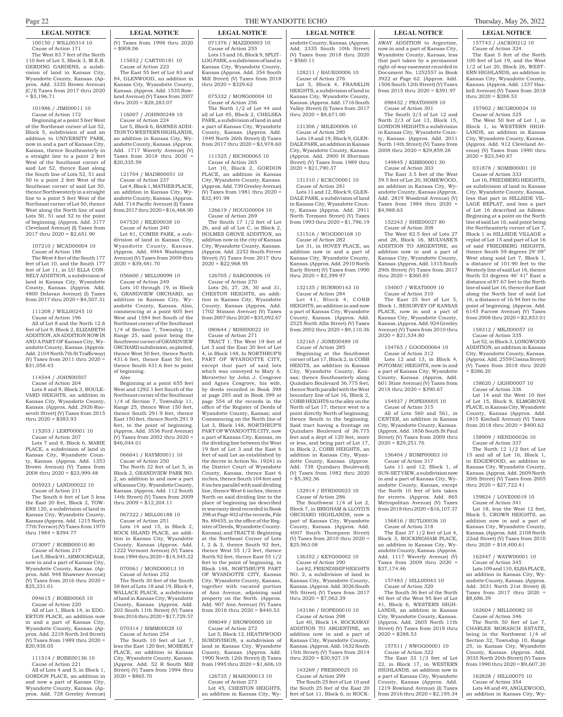100150 / WILL00314 10 Cause of Action 171 The West 83.7 feet of the North 110 feet of Lot 5, Block 3, M.E.B. GERDING GARDENS, a subdivision of land in Kansas City, Wyandotte County, Kansas. (Approx. Add. 3335 Brown Avenue) (C/I) Taxes from 2017 thru 2020  $=$  \$3,196.71

101986 / JIMI00011 10 Cause of Action 172

Beginning at a point 5 feet West of the Northeast corner of Lot 52, Block 5, subdivision of and an addition to UNIVERSITY PARK, now in and a part of Kansas City, Kansas, thence Southeasterly in a straight line to a point 2 feet West of the Southeast corner of said Lot 52, thence East along the South line of Lots 52, 51 and 50 to a point 2 feet West of the Southeast corner of said Lot 50, thence Northwesterly in a straight line to a point 5 feet West of the Northeast corner of Lot 50, thence West along the North line of said Lots 50, 51 and 52 to the point of beginning. (Approx. Add. 3177 Cleveland Avenue) (I) Taxes from 2017 thru 2020 = \$2,651.90

#### 107210 / MCAD00004 10 Cause of Action 188

The West 4 feet of the South 177 feet of Lot 10, and the South 177 feet of Lot 11, in LU ELLA CON-NELY ADDITION, a subdivision of land in Kansas City, Wyandotte County, Kansas. (Approx. Add. 4800 Delavan Avenue) (I) Taxes from 2017 thru 2020 = \$4,507.31

# 111208 / WILL00245 10

Cause of Action 196 All of Lot 8 and the North 12.6 feet of Lot 9, Block 2, ELIZABETH ADDITION, AN ADDITION NOW IN AND A PART OF Kansas City, Wyandotte County, Kansas. (Approx. Add. 2104 North 7th St Trafficway) (V) Taxes from 2011 thru 2020 =  $\overline{$31.058.43}$ 

#### 114544 / JOHN00507 Cause of Action 204 Lots 8 and 9, Block 3, BOULE-

VARD HEIGHTS, an addition in Kansas City, Wyandotte County, Kansas. (Approx. Add. 2926 Roosevelt Street) (V) Taxes from 2015 thru 2020 = \$383.93

#### 115203 / LERP00001 10 Cause of Action 207 Lots 7 and 8, Block 6, MARIE PLACE, a subdivision of land in Kansas City, Wyandotte County, Kansas. (Approx. Add. 1353 Brown Avenue) (V) Taxes from 2008 thru 2020 = \$23,999.48

#### 005923 / LAND00022 10 Cause of Action 211

The South 6 feet of Lot 5 less the East 20 feet, Block 2, TOW-ERS 120, a subdivision of land in Kansas City, Wyandotte County, Kansas (Approx. Add. 1215 North 77th Terrace) (V) Taxes from 1970 thru 1984 = \$394.77

#### 073097 / ROBB00010 80 Cause of Action 217

Lot 5, Block 91, ARMOURDALE, now in and a part of Kansas City, Wyandotte County, Kansas. (Approx. Add. 948 Shawnee Avenue) (V) Taxes from 2016 thru 2020 = \$25,231.01

# 094615 / ROBI00065 10

Cause of Action 220 All of Lot 1, Block 14, in EDG-ERTON PLACE, an addition now in and a part of Kansas City, Wyandotte County, Kansas. (Approx. Add. 2219 North 3rd Street) (V) Taxes from 1989 thru 2020 = \$20,938.05

# 111514 / ROBE00136 10

Cause of Action 221 All of Lots 4 and 5, in Block 1, GORDON PLACE, an addition in and now a part of Kansas City, Wyandotte County, Kansas. (Approx. Add. 728 Greeley Avenue)

# **LEGAL NOTICE LEGAL NOTICE LEGAL NOTICE LEGAL NOTICE LEGAL NOTICE LEGAL NOTICE**

(V) Taxes from 1998 thru 2020 = \$908.06

115852 / CART00181 10 Cause of Action 223 The East 55 feet of Lot 83 and 84, GLENWOOD, an addition in

Kansas City, Wyandotte County, Kansas. (Approx. Add. 1535 Row land Avenue) (V) Taxes from 2007 thru 2020 = \$28,283.07

#### 116007 / JOHN00248 10 Cause of Action 224

Lot 5, Block 6, BARNES ADDI-TION TO WESTERN HIGHLANDS, an addition in Kansas City, Wyandotte County, Kansas. (Approx. Add. 1717 Waverly Avenue) (V) Taxes from 2018 thru 2020 = \$20,335.59

# 121704 / MADR00051 10

Cause of Action 237 Lot 4, Block 1, MATHER PLACE, an addition in Kansas City, Wyandotte County, Kansas. (Approx. Add. 714 Pacific Avenue) (I) Taxes from 2017 thru 2020 = \$16,468.90

# 047520 / RILE00038 10

Cause of Action 240 Lot 81, COMBS PARK, a subdivision of land in Kansas City, Wyandotte County, Kansas. (Approx. Add. 4944 Washington Avenue) (V) Taxes from 2009 thru  $2020 = $39,481,70$ 

#### 056600 / MILL00099 10 Cause of Action 249

Lots 10 through 19, in Block GRANDVIEW ORCHARD, an addition in Kansas City, Wyandotte County, Kansas. Also, commencing at a point 605 feet West and 1584 feet South of the Northeast corner of the Southeast 1/4 of Section 7, Township 11, Range 25, said point being the Southwest corner of GRANDVIEW ORCHARD subdivision, as platted, thence West 50 feet, thence North 431.6 feet, thence East 50 feet, thence South 431.6 feet to point of beginning.

#### Also Beginning at a point 655 feet

West and 1292.1 feet South of the Northeast corner of the Southeast 1/4 of Section 7, Township 11, Range 25, thence West 150 feet, thence South 291.9 feet, thence East 150 feet, thence North 291.9 feet, to the point of beginning. (Approx. Add. 3536 Ford Avenue) (V) Taxes from 2002 thru 2020 = \$46,044.01

# 066641 / RAYM00011 10

Cause of Action 250 The North 32 feet of Lot 5, in Block 2, GRANDVIEW PARK NO. 2, an addition in and now a part of Kansas City, Wyandotte County, Kansas. (Approx. Add. 112 South 14th Street) (V) Taxes from 2009 thru 2009 = \$12,204.11

#### 067322 / MILL00188 10 Cause of Action 251

Lots 14 and 15, in Block 2, ROCK ISLAND PLACE, an addition in Kansas City, Wyandotte County, Kansas (Approx. Add. 1222 Vermont Avenue) (V) Taxes from 1994 thru 2020 = \$14,545.22

# 070061 / MOND00013 10

Cause of Action 252 The North 30 feet of the South 58 feet of Lots 18 and 19, Block 4, WALLACE PLACE, a subdivision of land in Kansas City, Wyandotte County, Kansas. (Approx. Add. 203 South 11th Street) (V) Taxes from 2016 thru 2020 =  $\frac{\cancel{17}}{7}$ , 729.57

# 070314 / SIMM00028 10

Cause of Action 254 The South 10 feet of Lot 7, less the East 120 feet, MOBERLY PLACE, an addition in Kansas City, Wyandotte County, Kansas. (Approx. Add. 52 R South Mill Street) (V) Taxes from 1994 thru  $2020 = $865.70$ 

071376 / MAZZ00003 10 Cause of Action 255 Lots 15 and 16, Block 9, SPLIT-LOG PARK, a subdivision of land in Kansas City, Wyandotte County, Kansas (Approx. Add. 354 South Mill Street) (V) Taxes from 2018 thru 2020 = \$329.62

075332 / MONG00004 10 Cause of Action 256

The North 1/2 of Lot 44 and all of Lot 45, Block 2, CHELSEA PARK, a subdivision of land in and a part of Kansas City, Wyandotte County, Kansas. (Approx. Add. 1949 North 26th Street) (I) Taxes from 2017 thru 2020 = \$3,978.60

111525 / RICH00065 10 Cause of Action 265

Lot 10, Block 2, GORDON PLACE, an addition in Kansas City, Wyandotte County, Kansas. (Approx. Add. 739 Greeley Avenue) (V) Taxes from 1981 thru 2020 = \$32,491.98

#### 126619 / HOUG00004 10 Cause of Action 269

The South 17 1/2 feet of Lot 26, and all of Lot C, in Block 2, HOLMES GROVE ADDITION, an addition now in the city of Kansas City, Wyandotte County, Kansas. (Approx. Add. 2252 South Ferree Street) (V) Taxes from 2017 thru  $2020 = $22.968.95$ 

#### 126705 / SARG00006 10 Cause of Action 270

Lots 26, 27, 28, 30 and 31, CHESTON HEIGHTS, an addition in Kansas City, Wyandotte County, Kansas (Approx. Add. 1702 Stinson Avenue) (V) Taxes from 2007 thru 2020 = \$35,092.67

#### 080644 / MISS00022 10 Cause of Action 271

TRACT 1: The West 19 feet of Lot 3 and the East 20 feet of Lot 4, in Block 148, In NORTHRUP'S PART OF WYANDOTTE CITY, except that part of said lots which was conveyed to Mary A. Merstetter by John J. Cosgrove and Agnes Cosgrove, his wife, by deeds recorded in Book 398 at page 285 and in Book 399 at page 554 of the records in the office of the Register of Deeds of Wyandotte County, Kansas; and Commencing on the North line of Lot 3, Block 148, NORTHRUP'S PART OP WYANDOTTE CITY, now a part of Kansas City, Kansas, on the dividing line between the West 19 feet of Lot 3 and the East 6 feet of said Lot as established by the decree in Action No. 19241 in the District Court of Wyandotte County, Kansas, thence East 6 inches, thence South 104 feet and 8 inches parallel with said dividing line, thence West 6 inches, thence North on said dividing line to the place of beginning (as described in warranty deed recorded in Book 398 at Page 402 of the records, File No. 89455, in the office of the Register of Deeds, Wyandotte County. Kansas); and TRACT II: Beginning at the Northeast Corner of Lots I, 2 & 3, thence South 92 feet, thence West 55 1/2 feet, thence North 92 feet, thence East 55 1/2 feet to the point of beginning, in Block 148, NORTHRUP'S PART OF WYANDOTTE CITY, Kansas City, Wyandotte County, Kansas, together with vacated portion of Ann Avenue, adjoining said property on the North. (Approx. Add. 907 Ann Avenue) (V) Taxes from 2016 thru 2020 = \$440.53

# 098049 / SNOW00005 10

Cause of Action 272 Lot 5, Block 12, HEATHWOOD SUBDIVISION, a subdivision of land in Kansas City, Wyandotte County, Kansas. (Approx. Add. 1900 North 12th Street) (I) Taxes from 1995 thru 2020 = \$1,606.10

#### 126735 / MAHO00013 10

Cause of Action 273 Lot 45, CHESTON HEIGHTS, an addition in Kansas City, Wy-

andotte County, Kansas. (Approx. Add. 2335 South 10th Street) (V) Taxes from 2018 thru 2020

128211 / BAUE00006 10 Cause of Action 276

 $= $560.11$ 

Lot 5, Block 4, FRANKLIN HEIGHTS, a subdivision of land in Kansas City, Wyandotte County, Kansas. (Approx. Add. 1716 South Valley Street) (I) Taxes from 2017 thru  $2020 = $8,671.00$ 

# 131306 / MILE00006 10

Cause of Action 280 Lots 18 and 19, Block 9, GLEN-DALE PARK, an addition in Kansas City, Wyandotte County, Kansas. (Approx. Add. 2900 H Sherman Street) (V) Taxes from 1989 thru  $2020 = $21,790.37$ 

131310 / KCKC00001 10 Cause of Action 281 Lots 11 and 12, Block 9, GLEN-DALE PARK, a subdivision of land in Kansas City, Wyandotte County, Kansas (Approx. Add. 2911 North Tremont Street) (V) Taxes from 1993 thru 2020 = \$1,796.19

# 131516 / WOOD00168 10

Cause of Action 282 Lot 31, in HOVEY PLACE, an addition now in and a part of

#### Kansas City, Wyandotte County, Kansas. (Approx. Add. 2910 North Early Street) (V) Taxes from 1990

thru  $2020 = $2,399.97$ 

132135 / BURN00143 10 Cause of Action 284 Lot 41, Block 4, COBB HEIGHTS, an addition in and now a part of Kansas City, Wyandotte County, Kansas. (Approx. Add. 2525 North Allis Street) (V) Taxes from 2002 thru 2020 = \$9,110.36

### 132165 / JONE00489 10

Cause of Action 285 Beginning at the Southwest corner of Lot 17, Block 2, in COBB HEIGTS, an addition in Kansas City, Wyandotte County, Kansas; thence Southeasterly along Quindaro Boulevard 36.775 feet; thence North parallel with the West boundary line of Lot 16, Block 2, COBB HEIGHTS to the alley on the North of Lot 17; thence west to a point directly North of beginning; thence South to the beginning. Said tract having a frontage on Quindaro Boulevard of 36.775 feet and a dept of 120 feet, more or less, and being part of Lot 17, in Block 2, COBB HEIGHTS, an addition in Kansas City, Wyandotte County, Kansas. (Approx. Add. 738 Quindaro Boulevard) (V) Taxes from 1982 thru 2020  $= $5,382.36$ 

# 132914 / BYRD00023 10

Cause of Action 286 The Southwest 1/4 of Lot 2, Block 7, in BRIGHAM & LLOYD'S ORCHARD HIGHLANDS, now a part of Kansas City, Wyandotte County, Kansas. (Approx. Add. 4007 South Thompson Street) (V) Taxes from 2010 thru 2020 = \$25,963.08

#### 136352 / KEYG00002 10 Cause of Action 290

Lot 82, FRIENDSHIP HEIGHTS NO. 2, a subdivision of land in Kansas City, Wyandotte County, Kansas. (Approx. Add. 3026 South 9th Street) (V) Taxes from 2017 thru 2020 = \$7,062.39

### 143186 / HOPE00010 10

Cause of Action 298 Lot 40, Block 14, ROCKAWAY ADDITION TO ARGENTINE, an addition now in and a part of Kansas City, Wyandotte County, Kansas. (Approx. Add. 1632 South 15th Street) (V) Taxes from 2014 thru 2020 = \$30,927.19

# 143269 / PRES00025 10

Cause of Action 299 The South 25 feet of Lot 10 and the South 25 feet of the East 20 feet of Lot 11, Block 6, in ROCK-

157743 / JACK00212 10 Cause of Action 324 The East 5 feet of the North 100 feet of Lot 19, and the West 1/2 of Lot 20, Block 26, WEST-ERN HIGHLANDS, an addition in Kansas City, Wyandotte County, Kansas. (Approx. Add. 1337 Haskell Avenue) (V) Taxes from 2018

157902 / MCGR00024 10 Cause of Action 325

031878 / SOMB00001 10 Cause of Action 333 Lot 16, FRIEDBERG HEIGHTS, subdivision of land in Kansas City, Wyandotte County, Kansas, less that part in HILLSIDE VIL-LAGE REPLAT, and less a part of Lot 16 described as follows: Beginning at a point on the North line of said Lot 16, said point being the Northeasterly corner of Lot 7, Block 1 in HILLSIDE VILLAGE a replat of Lot 15 and part of Lot 16 said FRIEDBERG HEIGHTS, thence South 59 degrees 29' 09" West along said Lot 7, Block 1, a distance of 101.90 feet to the Westerly line of said Lot 16, thence North 53 degrees 46' 41" East a distance of 87.67 feet to the North line of said Lot 16, thence due East along the North line of said Lot 16, a distance of 16.94 feet to the oint of beginning. (Approx. Add. 6145 Farrow Avenue) (V) Taxes from 2008 thru 2020 = \$2,853.01 158312 / MEJI00057 10 Cause of Action 335 Lot 52, in Block 3, LONGWOOD ADDITION, an addition in Kansas City, Wyandotte County, Kansas. (Approx. Add. 2559 Cissna Street) (V) Taxes from 2018 thru 2020

The West 50 feet of Lot 1, in Block 1, in WESTERN HIGH-LANDS, an addition in Kansas City, Wyandotte County, Kansas. (Approx. Add. 912 Cleveland Avenue) (V) Taxes from 1990 thru

thru 2020 = \$288.53

 $2020 = $23,540.87$ 

= \$286.20

158620 / LIGH00007 10 Cause of Action 336 Lot 14 and the West 10 feet of Lot 15, Block 8, ELMGROVE PLACE, in Kansas City, Wyandotte County, Kansas (Approx. Add. 1815 Kimball Avenue) (V) Taxes from 2018 thru 2020 = \$400.62 158909 / HEND00026 10 Cause of Action 337 The North 12 1/2 feet of Lot 15 and all of Lot 16, Block 1, in EDGEWOOD, an addition in Kansas City, Wyandotte County, Kansas. (Approx. Add. 2609 North 20th Street) (V) Taxes from 2005 thru 2020 = \$27,722.41 159824 / LOVE00019 10 Cause of Action 341 Lot 18, less the West 12 feet, Block 5, CROWN HEIGHTS, an addition now in and a part of Kansas City, Wyandotte County, Kansas. (Approx. Add. 2108 North 22nd Street) (V) Taxes from 2010 thru 2020 = \$18,400.61

162447 / WAYW00001 10 Cause of Action 345 Lots 109 and 110, ELBA PLACE, an addition in Kansas City, Wyandotte County, Kansas. (Approx. Add. 3031 North 21st Street) (I) from 2017 thru 2020

162604 / MILL00082 10 Cause of Action 346 The North 50 feet of Lot 7, CHARLES MORASCH ESTATE, being in the Northwest 1/4 of Section 32, Township 10, Range 25, in Kansas City, Wyandotte County, Kansas. (Approx. Add. 3035 North 20th Street) (V) Taxes from 1990 thru 2020 = \$9,607.20 162828 / HILL00075 10 Cause of Action 354 Lots 48 and 49, ANGLEWOOD, an addition in Kansas City, Wy-

\$8,686.39

AWAY ADDITION to Argentine, now in and a part of Kansas City, Wyandotte County, Kansas, less that part taken by a permanent right-of-way easement recorded in Document No. 1252557 in Book 3922 at Page 62. (Approx. Add. 1506 South 12th Street) (V) Taxes from 2015 thru 2020 = \$391.97

# 098432 / PRAT00009 10

Cause of Action 301 The South 2/3 of Lot 12 and North 2/3 of Lot 13, Block 15, LONDON HEIGHTS a subdivision in Kansas City, Wyandotte County, Kansas. (Approx. Add. 2011

North 14th Street) (V) Taxes from 2008 thru 2020 = \$29,859.28 149845 / KIBB00001 30

#### Cause of Action 303

The East 3.5 feet of the West 59.5 feet of Lot 20, HOMEWOOD, an addition in Kansas City, Wyandotte County, Kansas (Approx. Add. 2819 Woodend Avenue) (V) Taxes from 1984 thru 2020 = \$4,988.63

# 152243 / SHIE00027 80

Cause of Action 308 The West 82.5 feet of Lots 27 and 28, Block 16, MULVANE'S ADDITION TO ARGENTINE, an addition now in and a part of Kansas City, Wyandotte County, Kansas. (Approx. Add. 1315 South 29th Street) (V) Taxes from 2017 thru  $2020 = $360.85$ 

#### 154007 / WEAT0009 10 Cause of Action 310

The East 25 feet of Lot 5, Block 1, RESURVEY OF KANSAS PLACE, now in and a part of Kansas City, Wyandotte County, Kansas. (Approx. Add. 924 Greeley Avenue) (V) Taxes from 2010 thru  $2020 = $21,534.80$ 

# 154765 / GOOD00064 10

Cause of Action 312 Lots 12 and 13, in Block 4, POTOMAC HEIGHTS, now in and a part of Kansas City, Wyandotte County, Kansas. (Approx. Add. 601 Stine Avenue) (V) Taxes from 2018 thru 2020 = \$390.67

### 154937 / POPE00005 10

Cause of Action 315 All of Lots 560 and 561, in CENTER, an addition in Kansas City, Wyandotte County, Kansas. (Approx. Add. 1856 South St Paul Street) (V) Taxes from 2009 thru  $2020 = $29.251.76$ 

# 156404 / ROMP00003 10

Cause of Action 317 Lots 11 and 12, Block 1, of SUN-SET VIEW, a subdivision now in and a part of Kansas City, Wyandotte County, Kansas, except the North 10 feet of lots taken for streets. (Approx. Add. 865 Metropolitan Avenue) (V) Taxes from 2018 thru 2020 = \$16,107.37

# 156816 / BUTL00036 10

Cause of Action 318 The East 37 1/2 feet of Lot 4, Block 3, ROCKINGHAM PLACE, an addition in Kansas City, Wyandotte County, Kansas. (Approx. Add. 1117 Waverly Avenue) (V) Taxes from  $2009$  thru  $2020$ \$37,174.46

### 157483 / HILL00043 10

 $2020 = $288.53$ 

Cause of Action 320 The South 36 feet of the North

40 feet of the West 95 feet of Lot 41, Block 6, WESTERN HIGH-LANDS, an addition in Kansas City, Wyandotte County, Kansas. (Approx. Add. 2605 North 11th Street) (V) Taxes from 2018 thru

157511 / NWOG00001 10 Cause of Action 322 The East 33 1/3 feet of Lot 22, in Block 17, in WESTERN HIGHLANDS, an addition now in a part of Kansas City, Wyandotte County, Kansas (Approx. Add. 1219 Rowland Avenue) (I) Taxes from 2016 thru 2020 = \$2,195.34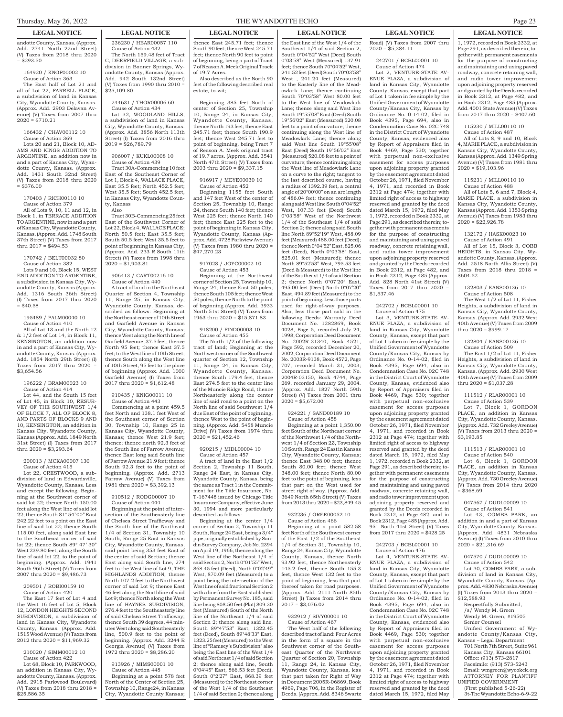andotte County, Kansas. (Approx. Add. 2741 North 22nd Street) (V) Taxes from 2018 thru 2020  $= $293.50$ 

#### 164920 / KNOF00002 10 Cause of Action 363 The East half of Lot 21 and all of Lot 22, FARRELL PLACE, a subdivision of land in Kansas City, Wyandotte County, Kansas. (Approx. Add. 2903 Delavan Avenue) (V) Taxes from 2007 thru

 $2020 = $710.21$ 

166432 / CHAV00112 10 Cause of Action 369 Lots 20 and 21, Block 10, AD-AMS AND KINGS ADDITION TO ARGENTINE, an addition now in and a part of Kansas City, Wyandotte County, Kansas. (Approx. Add. 1431 South 32nd Street) (V) Taxes from 2018 thru 2020  $=$  \$376.00

170403 / RICH00110 10 Cause of Action 379 All of Lots 9, 10, 11 and 12, in Block 1, in TERRACE ADDITION TO ARGENTINE, now in and a part of Kansas City, Wyandotte County, Kansas. (Approx. Add. 1748 South 37th Street) (V) Taxes from 2017 thru  $2017 = $494.53$ 

170742 / BELT00032 80 Cause of Action 382 Lots 9 and 10, Block 15, WEST END ADDITION TO ARGENTINE, a subdivision in Kansas City, Wyandotte County, Kansas (Approx. Add. 1316 South 36th Street) (I) Taxes from 2017 thru 2020  $\frac{1}{1}$ \$40.58

195489 / PALM00040 10 Cause of Action 410 All of Lot 13 and the North 12 & 1/2 feet of Lot 14, in Block 11, KENSINGTON, an addition now in and a part of Kansas City, Wyandotte County, Kansas. (Approx. Add. 1854 North 29th Street) (I) Taxes from 2017 thru 2020

196222 / BRAM00023 10

\$3,654.56

Cause of Action 414 Lot 44, and the South 15 feet of Lot 45, in Block 10, RESUR-VEY OF THE SOUTHWEST 1/4 OF BLOCK 7, ALL OF BLOCK 8, AND PARTS OF BLOCKS 9 AND 10, KENSINGTON, an addition in Kansas City, Wyandotte County, Kansas (Approx. Add. 1849 North 31st Street) (I) Taxes from 2017 thru 2020 = \$3,293.64

200013 / MCKA00007 130 Cause of Action 415

Lot 22, CRESTWOOD, a subdivision of land in Edwardsville, Wyandotte County, Kansas. Less and except the following: Beginning at the Southwest corner of said lot 22; thence North 150.00 feet along the West line of said lot 22; thence South 81° 54' 00" East 242.22 feet to a point on the East line of said Lot 22; thence South 115.00 feet, along said East line to the Southeast corner of said lot 22; thence South 89° 47' 30" West 239.80 feet, along the South line of said lot 22, to the point of beginning. (Approx. Add. 1941 South 96th Street) (V) Taxes from 2007 thru 2020 = \$9,486.73

209501 / ROBI00159 10 Cause of Action 420

The East 17 feet of Lot 4 and the West 16 feet of Lot 5, Block 12, LONDON HEIGHTS SECOND SUBDIVISION, a subdivision of land in Kansas City, Wyandotte County, Kansas. (Approx. Add. 1515 Wood Avenue) (V) Taxes from 2012 thru 2020 = \$11,969.32

# 210020 / SIMM00012 10

Cause of Action 422 Lot 68, Block 10, PARKWOOD, an addition in Kansas City, Wyandotte County, Kansas. (Approx. Add. 2915 Parkwood Boulevard) (V) Taxes from 2018 thru 2018 = \$25,586.35

**LEGAL NOTICE LEGAL NOTICE LEGAL NOTICE LEGAL NOTICE LEGAL NOTICE LEGAL NOTICE**

236230 / HEAR00057 110 Cause of Action 432 The North 159.48 feet of Tract C, DEERFIELD VILLAGE, a subdivision in Bonner Springs, Wyandotte County, Kansas (Approx. Add. 942 South 132nd Street) (V) Taxes from 1990 thru 2010 =  $$25,109.80$ 

244631 / THOR00006 60 Cause of Action 434

Lot 32, WOODLAND HILLS, a subdivision of land in Kansas City, Wyandotte County, Kansas. (Approx. Add. 3856 North 113th Street) (I) Taxes from 2016 thru  $2019 = $26,789,79$ 

# 906007 / KUKL00008 10

Cause of Action 439 Tract 30A-Commencing 10 feet East of the Southeast Corner of Lot 1, Block 4, WALLACE PLACE, East 35.5 feet; North 452.5 feet; West 35.5 feet; South 452.5 feet, in Kansas City, Wyandotte County, Kansas

Also

Tract 30B-Commencing 25 feet East of the Southwest Corner of Lot 22, Block 4, WALLACE PLACE; North 50.5 feet; East 35.5 feet; South 50.5 feet; West 35.5 feet to point of beginning in Kansas City, (Approx. Add. 233 R South 11th Street) (V) Taxes from 1998 thru  $2020 = $1,903.81$ 

# 906413 / CART00216 10

Cause of Action 440 A tract of land in the Northeast Quarter of Section 4, Township 11, Range 25, in Kansas City, Wyandotte County, Kansas, described as follows: Beginning at the Northeast corner of 10th Street and Garfield Avenue in Kansas City, Wyandotte County, Kansas; thence West along the North line of Garfield Avenue, 37.5 feet; thence North 95 feet; thence East 37.5 feet; to the West line of 10th Street; thence South along the West line of 10th Street, 95 feet to the place of beginning (Approx. Add. 1000 Garfield Avenue) (I) Taxes from 2017 thru 2020 = \$1,612.48

910435 / KNIG00011 10

Cause of Action 443 Commencing at a point 459.5 feet North and 138.1 feet West of the Southeast corner of Section 30, Township 10, Range 25 in Kansas City, Wyandotte County, Kansas; thence West 21.9 feet; thence; thence north 92.3 feet of the South line of Farrow Avenue; thence East long said South line of Farrow Avenue 21.9 feet; thence South 92.3 feet to the point of beginning. (Approx. Add. 2713 Farrow Avenue) (V) Taxes from 1981 thru 2020 = \$3,392.13

#### 910512 / RODG00007 10 Cause of Action 444

Beginning at the point of intersection of the Southeasterly line of Chelsea Street Trafficway and the South line of the Northeast 1/4 of Section 31, Township 10 South, Range 25 East in Kansas City, Wyandotte County, Kansas, said point being 353 feet East of the center of said Section; thence East along said South line, 274 feet to the West line of Lot 9, THE HIGHLANDS ADDITION, thence North 107.2 feet to the Northwest corner of said Lot 9; thence East 46 feet along the Northline of said Lot 9; thence North along the West line of HAYNES SUBDIVISION, 276.4 feet to the Southeasterly line of said Chelsea Street Trafficway; thence South 39 degrees, 44 minutes West along said Southeasterly line, 500.9 feet to the point of beginning. (Approx. Add. 3244 R Georgia Avenue) (V) Taxes from 1972 thru 2020 = \$8,286.20

913926 / MIMS00001 10 Cause of Action 448

Beginning at a point 578 feet North of the Center of Section 25, Township 10, Range24, in Kansas City, Wyandotte County Kansas;

thence East 245.71 feet; thence South 90 feet; thence West 245.71 feet; thence North 90 feet to point of beginning, being a part of Tract 7 of Reason A. Meek Original Track

Also described as the North 90 feet of the following described real

Beginning 385 feet North of center of Section 25, Township 10, Range 24, in Kansas City, Wyandotte County, Kansas, thence North 193 feet; thence East 245.71 feet; thence South 190.9 feet; thence West 245.71 feet to point of beginning, being Tract 7 of Reason A. Meek original tract of 19.7 acres. (Approx. Add. 3541 North 47th Street) (V) Taxes from 2003 thru 2020 = \$9,337.15 916917 / MEYE00030 10 Cause of Action 452

Beginning 1155 feet South and 147 feet West of the center of Section 25, Township 10, Range 24, thence South 140 feet; thence West 225 feet; thence North 140 feet; thence East 225 feet to the point of beginning in Kansas City, Wyandotte County, Kansas (Approx. Add. 4728 Parkview Avenue) (V) Taxes from 1980 thru 2020 =

917028 / JOYC00002 10 Cause of Action 453 Beginning at the Northwest corner of Section 25, Township 10, Range 24; thence East 50 poles; thence South 105 feet; thence West 50 poles; thence North to the point of beginning (Approx. Add. 3933 North 51st Street) (V) Taxes from 1963 thru 2020 = \$15,871.83 918200 / FIND00003 10 Cause of Action 455 The North 1/2 of the following tract of land; Beginning at the Northwest corner of the Southwest quarter of Section 12, Township 11, Range 24, in Kansas City, Wyandotte County, Kansas, thence South 179.4 feet, thence East 274.5 feet to the center line of the Muncie Ridge Road, thence Northeasterly along the center line of said road to a point on the North line of said Southwest 1/4 due East of the point of beginning, thence West to the point of beginning. (Approx. Add. 5458 Muncie Drive) (V) Taxes from 1974 thru

of 19.7 Acres.

estate, to-wit;

\$47,270.23

 $2020 = $21,452.46$ 

described as follows:

Beginning at the center 1/4 corner of Section 2, Township 11 South, Range 24 East, being a 3/4" pipe, originally established by Sandin Survey Company, Job No. 2394 on April 19, 1966; thence along the West line of the Northeast 1/4 of said Section 2, North 0°01'55" West, 868.45 feet (Deed), North 0°02'49" West, 870.09 feet (Measured) to a point being the intersection of the West line of said fractional Section 2 with a line from the East stablished by Permanent Survey No. 185, said line being 808.50 feet (Plat) 809.30 feet (Measured) South of the North line of the Northeast 1/4 of said Section 2; thence along said line, South 89°47'53" East, 1322.45 feet (Deed), South 89°48'33" East, 1323.25 feet (Measured) to the West line of "Ramsey's Subdivision" also being the East line of the West 1/4 of said Northeast 1/4 of said Section 2; thence along said line, South 0°04'45" East, 866.53 feet (Deed), South 0°2'27" East, 868.39 feet (Measured) to the Northeast corner of the West 1/4 of the Southeast 1/4 of said Section 2; thence along

920215 / MIDL00004 10 Cause of Action 457 A tract of land in the East 1/2 Section 2, Township 11 South, Range 24 East, in Kansas City, Wyandotte County, Kansas, being the same as Tract 1 in the Commitment for the Title Insurance, No. T-167448 issued by Chicago Title Insurance Company, effective June 30, 1994 and more particularly

the East line of the West 1/4 of the Southeast 1/4 of said Section 2, South 0°04'52" West (Deed) South 0°03'58" West (Measured) 137.91 feet; thence South 70°04'52" West, 241.52 feet (Deed) South 70°03'58" West , 241.24 feet (Measured) to the Easterly line of the Meadowlark Lane; thence continuing South 70°03'58" West 80.00 feet to the West line of Meadowlark Lane; thence along said West line South 19°55'08" East (Deed) South 19°56'02" East (Measured) 520.08 feet to a point of curvature; thence continuing along the West line of Meadowlark Lane; thence along said West line South 19°55'08 East (Deed) South 19°56'02" East (Measured) 520.08 feet to a point of curvature; thence continuing along the West line of Meadowlark Lane on a curve to the right; tangent to the last described course, having a radius of 1392.39 feet, a central angle of 20°00'00" on an arc length of 486.04 feet; thence continuing along said West line South 0°04'52<br>West 107.33 feet (Deed) South 107.33 feet (Deed) South 0°03'58" West of the Northwest 1/4 of the Southeast 1/4 of said Section 2; thence along said South line North 89°52'19" West, 488.09 feet (Measured) 488.00 feet (Deed); thence North 0°04'52" East, 825.06 feet (Deed), North 0°03'58" East, 825.01 feet (Measured); thence North 89°52'53" West, 795.53 feet (Deed & Measured) to the West line of the Southeast 1/4 of said Section 2; thence North 0°07'20" East 495.00 feet (Deed) North 0°07'20" East, 494.89 feet (Measured) to the point of beginning. Less those parts used for right-of-way purposes. Also, less those part sold in the following Deeds: Warranty Deed Document No. 1282869, Book 4028, Page 5, recorded July 24, 1998; Corporation Deed Document No. 2002R-31340, Book 4521, Page 592, recorded December 20, 2002; Corporation Deed Document No. 2003R-9138, Book 4572, Page 707, recorded March 31, 2003; Corporation Deed Document No. 2004R-03150, Book 4744, Page 269, recorded January 29, 2004. (Approx. Add. 1827 North 59th Street) (V) Taxes from 2001 thru  $2020 = $5,672.00$ 

## 924221 / SAND00189 10

Cause of Action 458 Beginning at a point 1,350.00 feet South of the Northeast corner of the Northwest 1/4 of the Northwest 1/4 of Section 2Z, Township 10 South, Range 24 East in Kansas City, Wyandotte County, Kansas; thence East 348.00 feet; thence South 80.00 feet; thence West 348.00 feet; thence North 80.00 feet to the point of beginning, less that part on the West used for street right of way. (Approx. Add. 3649 North 65th Street) (V) Taxes from 2013 thru 2020 = \$23,849.45

932236 / GREE00052 10 Cause of Action 466

Beginning at a point 582.58 feet North of the Southwest corner of the East 1/2 of the Southeast 1/4 of Section 31, Township 10, Range 24, Kansas City, Wyandotte County, Kansas, thence North 93.92 feet, thence Northeasterly 145.2 feet, thence South 155.3 feet, thence West 132 feet to the point of beginning, less that part thereof taken for road purposes. (Approx. Add. 2111 North 85th Street) (I) Taxes from 2014 thru  $2017 = $3,076.02$ 

#### 932912 / SIVY00001 10 Cause of Action 467

The West half of the following described tract of land: Four Acres in the form of a square in the Southwest corner of the Southeast Quarter of the Northwest Quarter of Section 20, Township 11, Range 24, in Kansas City, Wyandotte County, Kansas, less that part taken for Right of Way in Document 2005R-06869, Book 4969, Page 706, in the Register of Deeds. (Approx. Add. 8346 Swartz

# Road) (V) Taxes from 2007 thru  $2020 = $5,384.11$

#### 242701 / BCBL00001 10 Cause of Action 474

Lot 2, VENTURE-STATE AV-ENUE PLAZA, a subdivision of land in Kansas City, Wyandotte County, Kansas, except that part of Lot 1 taken in fee simple by the Unified Government of Wyandotte County/Kansas City, Kansas by Ordinance No. 0-14-02, filed in Book 4395, Page 694, also in Condemnation Case No. 02C 748 in the District Court of Wyandotte County, Kansas, evidenced also by Report of Appraisers filed in Book 4469, Page 530; together with perpetual non-exclusive easement for access purposes upon adjoining property granted by the easement agreement dated October 26, 1971, filed November 4, 1971, and recorded in Book 2312 at Page 474; together with limited right of access to highway reserved and granted by the deed dated March 15, 1972, filed May 1, 1972, recorded n Book 2332, at Page 291, as described therein; together with permanent easements for the purpose of constructing and maintaining and using paved roadway, concrete retaining wall, and radio tower improvement upon adjoining property reserved and granted by the Deeds recorded in Book 2312, at Page 482, and in Book 2312, Page 485 (Approx. Add. 828 North 41st Street) (V) Taxes from 2017 thru 2020 = \$1,537.46

#### 242702 / BCBL00001 10 Cause of Action 475

Lot 3, VENTURE-STATE AV-ENUE PLAZA, a subdivision of land in Kansas City, Wyandotte County, Kansas, except that part of Lot 1 taken in fee simple by the Unified Government of Wyandotte County/Kansas City, Kansas by Ordinance No. 0-14-02, filed in Book 4395, Page 694, also in Condemnation Case No. 02C 748 in the District Court of Wyandotte County, Kansas, evidenced also by Report of Appraisers filed in Book 4469, Page 530; together with perpetual non-exclusive easement for access purposes upon adjoining property granted by the easement agreement dated October 26, 1971, filed November 4, 1971, and recorded in Book 2312 at Page 474; together with limited right of access to highway reserved and granted by the deed dated March 15, 1972, filed May 1, 1972, recorded n Book 2332, at Page 291, as described therein; together with permanent easements for the purpose of constructing and maintaining and using paved roadway, concrete retaining wall, and radio tower improvement upon adjoining property reserved and granted by the Deeds recorded in Book 2312, at Page 482, and in Book 2312, Page 485 (Approx. Add. 951 North 41st Street) (V) Taxes from 2017 thru 2020 = \$428.25

#### 242703 / BCBL00001 10 Cause of Action 476

Lot 4, VENTURE-STATE AV-ENUE PLAZA, a subdivision of land in Kansas City, Wyandotte County, Kansas, except that part of Lot 1 taken in fee simple by the Unified Government of Wyandotte County/Kansas City, Kansas by Ordinance No. 0-14-02, filed in Book 4395, Page 694, also in Condemnation Case No. 02C 748 in the District Court of Wyandotte County, Kansas, evidenced also by Report of Appraisers filed in Book 4469, Page 530; together with perpetual non-exclusive easement for access purposes upon adjoining property granted by the easement agreement dated October 26, 1971, filed November 4, 1971, and recorded in Book 2312 at Page 474; together with limited right of access to highway reserved and granted by the deed dated March 15, 1972, filed May

1, 1972, recorded n Book 2332, at Page 291, as described therein; together with permanent easements for the purpose of constructing and maintaining and using paved roadway, concrete retaining wall, and radio tower improvement upon adjoining property reserved and granted by the Deeds recorded in Book 2312, at Page 482, and in Book 2312, Page 485 (Approx. Add. 4001 State Avenue) (V) Taxes from 2017 thru 2020 = \$407.60

#### 115230 / MILL00110 10 Cause of Action 487

All of Lots 8, 9 and 10, Block 4, MARIE PLACE, a subdivision in Kansas City, Wyandotte County, Kansas (Approx. Add. 1349 Spring Avenue) (V) Taxes from 1981 thru  $2020 = $19,103.96$ 

# 115231 / MILL00110 10

Cause of Action 488 All of Lots 5, 6 and 7, Block 4, MARIE PLACE, a subdivision in Kansas City, Wyandotte County, Kansas (Approx. Add. 1353 Spring Avenue) (V) Taxes from 1983 thru 2020 = \$22,926.78

## 132172 / HASK00023 10

Cause of Action 491 All of Lot 15, Block 3, COBB HEIGHTS, in Kansas City, Wyandotte County, Kansas. (Approx. Add. 2518 North Allis Street) (V) Taxes from 2018 thru 2018 \$604.52

#### 132803 / KANS00136 10 Cause of Action 508

The West 1/2 of Lot 11, Fisher Heights, a subdivision of land in Kansas City, Wyandotte County, Kansas. (Approx. Add. 2932 West 40th Avenue) (V) Taxes from 2009 thru 2020 = \$999.17

### 132804 / KANS00136 10

Cause of Action 509 The East 1/2 of Lot 11, Fisher Heights, a subdivision of land in Kansas City, Wyandotte County, Kansas. (Approx. Add. 2930 West 40th Avenue) (V) Taxes from 2009 thru 2020 = \$1,037.28

# 111512 / RLAR00001 10

Cause of Action 539 Lot 7, Block 1, GORDON PLACE, an addition in Kansas City, Wyandotte County, Kansas. (Approx. Add. 732 Greeley Avenue) (V) Taxes from 2013 thru 2020 = \$3,193.85

# 111513 / RLAR00001 10

Cause of Action 540 Lot 6, Block 1, GORDON PLACE, an addition in Kansas City, Wyandotte County, Kansas. (Approx. Add. 730 Greeley Avenue) Taxes from 2014 thru 2020 = \$368.69

# 047567 / DUDL00009 10

Cause of Action 541 Lot 43, COMBS PARK, an addition in and a part of Kansas City, Wyandotte County, Kansas. (Approx. Add. 4831 Nebraska Avenue) (I) Taxes from 2010 thru  $2020 = $21,316.69$ 

#### 047570 / DUDL00009 10 Cause of Action 542

Lot 30, COMBS PARK, a subdivision of land in Kansas City, Wyandotte County, Kansas. (Approx. Add. 4830 Nebraska Avenue) Taxes from 2013 thru 2020 = \$12,588.93

Respectfully Submitted, /s/ Wendy M. Green Wendy M. Green, #19505 Senior Counsel

Unified Government of Wyandotte County/Kansas City, Kansas – Legal Department 701 North 7th Street, Suite 961 Kansas City, Kansas 66101

Office: (913) 573-2817 Facsimile: (913) 573-5243 Email: wmgreen@wycokck.org

ATTORNEY FOR PLANTIFF UNIFIED GOVERNMENT (First published 5-26-22)

3t-The Wyandotte Echo-6-9-22